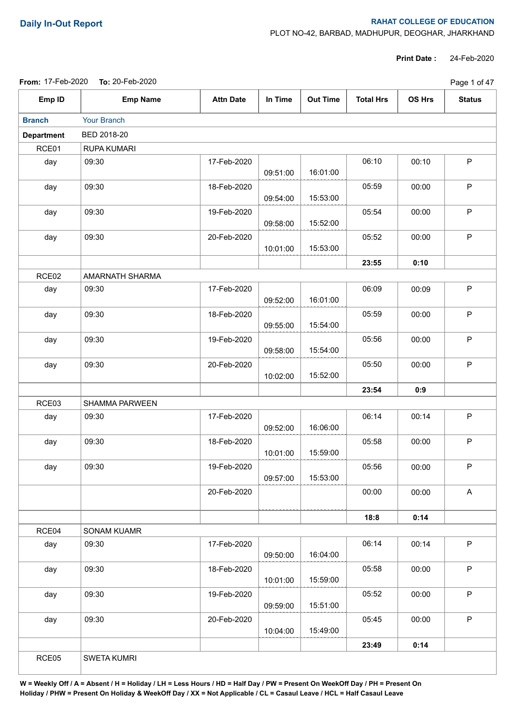## **Daily In-Out Report RAHAT COLLEGE OF EDUCATION**

PLOT NO-42, BARBAD, MADHUPUR, DEOGHAR, JHARKHAND

**Print Date :** 24-Feb-2020

|--|

|                   | From: 17-Feb-2020 To: 20-Feb-2020 |                  |          |                 |                  |               | Page 1 of 47  |  |  |
|-------------------|-----------------------------------|------------------|----------|-----------------|------------------|---------------|---------------|--|--|
| Emp ID            | <b>Emp Name</b>                   | <b>Attn Date</b> | In Time  | <b>Out Time</b> | <b>Total Hrs</b> | <b>OS Hrs</b> | <b>Status</b> |  |  |
| <b>Branch</b>     | Your Branch                       |                  |          |                 |                  |               |               |  |  |
| <b>Department</b> | BED 2018-20                       |                  |          |                 |                  |               |               |  |  |
| RCE01             | RUPA KUMARI                       |                  |          |                 |                  |               |               |  |  |
| day               | 09:30                             | 17-Feb-2020      | 09:51:00 | 16:01:00        | 06:10            | 00:10         | $\mathsf P$   |  |  |
| day               | 09:30                             | 18-Feb-2020      | 09:54:00 | 15:53:00        | 05:59            | 00:00         | P             |  |  |
| day               | 09:30                             | 19-Feb-2020      | 09:58:00 | 15:52:00        | 05:54            | 00:00         | $\mathsf P$   |  |  |
| day               | 09:30                             | 20-Feb-2020      | 10:01:00 | 15:53:00        | 05:52            | 00:00         | $\mathsf P$   |  |  |
|                   |                                   |                  |          |                 | 23:55            | 0:10          |               |  |  |
| RCE02             | AMARNATH SHARMA                   |                  |          |                 |                  |               |               |  |  |
| day               | 09:30                             | 17-Feb-2020      | 09:52:00 | 16:01:00        | 06:09            | 00:09         | $\mathsf P$   |  |  |
| day               | 09:30                             | 18-Feb-2020      | 09:55:00 | 15:54:00        | 05:59            | 00:00         | $\mathsf P$   |  |  |
| day               | 09:30                             | 19-Feb-2020      | 09:58:00 | 15:54:00        | 05:56            | 00:00         | $\mathsf P$   |  |  |
| day               | 09:30                             | 20-Feb-2020      | 10:02:00 | 15:52:00        | 05:50            | 00:00         | $\mathsf P$   |  |  |
|                   |                                   |                  |          |                 | 23:54            | 0:9           |               |  |  |
| RCE03             | SHAMMA PARWEEN                    |                  |          |                 |                  |               |               |  |  |
| day               | 09:30                             | 17-Feb-2020      | 09:52:00 | 16:06:00        | 06:14            | 00:14         | $\mathsf P$   |  |  |
| day               | 09:30                             | 18-Feb-2020      | 10:01:00 | 15:59:00        | 05:58            | 00:00         | $\sf P$       |  |  |
| day               | 09:30                             | 19-Feb-2020      | 09:57:00 | 15:53:00        | 05:56            | 00:00         | P             |  |  |
|                   |                                   | 20-Feb-2020      |          |                 | 00:00            | 00:00         | A             |  |  |
|                   |                                   |                  |          |                 | 18:8             | 0:14          |               |  |  |
| RCE04             | SONAM KUAMR                       |                  |          |                 |                  |               |               |  |  |
| day               | 09:30                             | 17-Feb-2020      | 09:50:00 | 16:04:00        | 06:14            | 00:14         | P             |  |  |
| day               | 09:30                             | 18-Feb-2020      | 10:01:00 | 15:59:00        | 05:58            | 00:00         | P             |  |  |
| day               | 09:30                             | 19-Feb-2020      | 09:59:00 | 15:51:00        | 05:52            | 00:00         | $\mathsf P$   |  |  |
| day               | 09:30                             | 20-Feb-2020      | 10:04:00 | 15:49:00        | 05:45            | 00:00         | $\mathsf P$   |  |  |
|                   |                                   |                  |          |                 | 23:49            | 0:14          |               |  |  |
| RCE05             | <b>SWETA KUMRI</b>                |                  |          |                 |                  |               |               |  |  |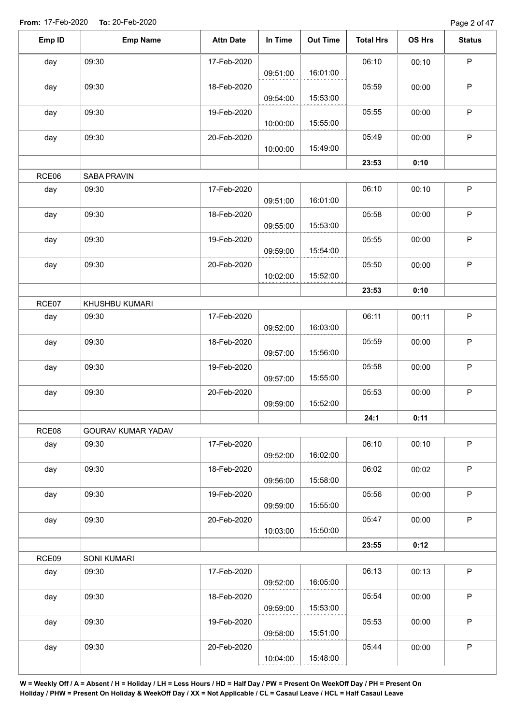Page 2 of 47

| Emp ID | <b>Emp Name</b>    | <b>Attn Date</b> | In Time  | <b>Out Time</b> | <b>Total Hrs</b> | OS Hrs | <b>Status</b> |
|--------|--------------------|------------------|----------|-----------------|------------------|--------|---------------|
| day    | 09:30              | 17-Feb-2020      |          |                 | 06:10            | 00:10  | $\mathsf P$   |
|        |                    |                  | 09:51:00 | 16:01:00        |                  |        |               |
| day    | 09:30              | 18-Feb-2020      | 09:54:00 | 15:53:00        | 05:59            | 00:00  | P             |
| day    | 09:30              | 19-Feb-2020      | 10:00:00 | 15:55:00        | 05:55            | 00:00  | P             |
|        | 09:30              | 20-Feb-2020      |          |                 | 05:49            | 00:00  | P             |
| day    |                    |                  | 10:00:00 | 15:49:00        |                  |        |               |
|        |                    |                  |          |                 | 23:53            | 0:10   |               |
| RCE06  | SABA PRAVIN        |                  |          |                 |                  |        |               |
| day    | 09:30              | 17-Feb-2020      | 09:51:00 | 16:01:00        | 06:10            | 00:10  | $\mathsf P$   |
| day    | 09:30              | 18-Feb-2020      | 09:55:00 | 15:53:00        | 05:58            | 00:00  | $\sf P$       |
| day    | 09:30              | 19-Feb-2020      |          |                 | 05:55            | 00:00  | $\mathsf P$   |
|        |                    |                  | 09:59:00 | 15:54:00        |                  |        |               |
| day    | 09:30              | 20-Feb-2020      | 10:02:00 | 15:52:00        | 05:50            | 00:00  | $\sf P$       |
|        |                    |                  |          |                 | 23:53            | 0:10   |               |
| RCE07  | KHUSHBU KUMARI     |                  |          |                 |                  |        |               |
| day    | 09:30              | 17-Feb-2020      | 09:52:00 | 16:03:00        | 06:11            | 00:11  | $\sf P$       |
| day    | 09:30              | 18-Feb-2020      | 09:57:00 | 15:56:00        | 05:59            | 00:00  | $\mathsf P$   |
| day    | 09:30              | 19-Feb-2020      | 09:57:00 | 15:55:00        | 05:58            | 00:00  | $\mathsf P$   |
| day    | 09:30              | 20-Feb-2020      |          |                 | 05:53            | 00:00  | $\mathsf P$   |
|        |                    |                  | 09:59:00 | 15:52:00        |                  |        |               |
|        |                    |                  |          |                 | 24:1             | 0:11   |               |
| RCE08  | GOURAV KUMAR YADAV |                  |          |                 |                  |        |               |
| day    | 09:30              | 17-Feb-2020      | 09:52:00 | 16:02:00        | 06:10            | 00:10  | $\mathsf P$   |
| day    | 09:30              | 18-Feb-2020      | 09:56:00 | 15:58:00        | 06:02            | 00:02  | P             |
| day    | 09:30              | 19-Feb-2020      | 09:59:00 | 15:55:00        | 05:56            | 00:00  | P             |
| day    | 09:30              | 20-Feb-2020      | 10:03:00 | 15:50:00        | 05:47            | 00:00  | P             |
|        |                    |                  |          |                 |                  |        |               |
|        |                    |                  |          |                 | 23:55            | 0:12   |               |
| RCE09  | SONI KUMARI        |                  |          |                 |                  |        |               |
| day    | 09:30              | 17-Feb-2020      | 09:52:00 | 16:05:00        | 06:13            | 00:13  | $\mathsf P$   |
| day    | 09:30              | 18-Feb-2020      | 09:59:00 | 15:53:00        | 05:54            | 00:00  | $\sf P$       |
| day    | 09:30              | 19-Feb-2020      | 09:58:00 | 15:51:00        | 05:53            | 00:00  | $\mathsf P$   |
| day    | 09:30              | 20-Feb-2020      |          |                 | 05:44            | 00:00  | $\sf P$       |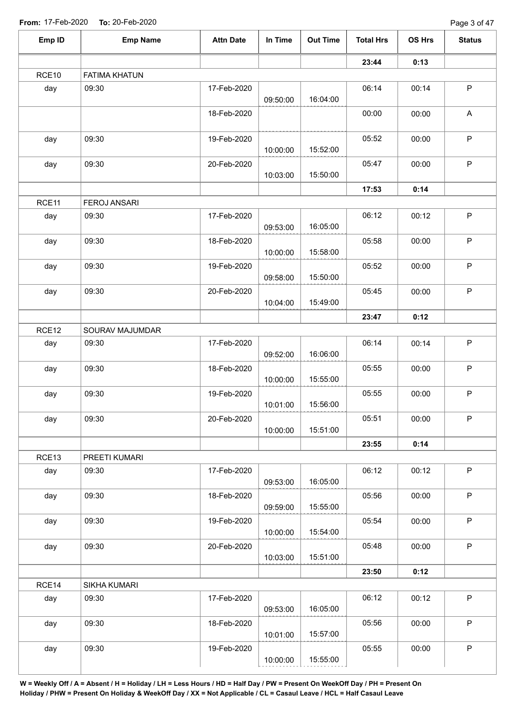| Emp ID            | <b>Emp Name</b>      | <b>Attn Date</b> | In Time  | <b>Out Time</b> | <b>Total Hrs</b> | OS Hrs | <b>Status</b>             |
|-------------------|----------------------|------------------|----------|-----------------|------------------|--------|---------------------------|
|                   |                      |                  |          |                 | 23:44            | 0:13   |                           |
| RCE10             | <b>FATIMA KHATUN</b> |                  |          |                 |                  |        |                           |
| day               | 09:30                | 17-Feb-2020      | 09:50:00 | 16:04:00        | 06:14            | 00:14  | $\mathsf P$               |
|                   |                      | 18-Feb-2020      |          |                 | 00:00            | 00:00  | $\boldsymbol{\mathsf{A}}$ |
| day               | 09:30                | 19-Feb-2020      | 10:00:00 | 15:52:00        | 05:52            | 00:00  | $\sf P$                   |
| day               | 09:30                | 20-Feb-2020      | 10:03:00 | 15:50:00        | 05:47            | 00:00  | $\mathsf P$               |
|                   |                      |                  |          |                 | 17:53            | 0:14   |                           |
| RCE11             | <b>FEROJ ANSARI</b>  |                  |          |                 |                  |        |                           |
| day               | 09:30                | 17-Feb-2020      | 09:53:00 | 16:05:00        | 06:12            | 00:12  | $\mathsf P$               |
| day               | 09:30                | 18-Feb-2020      | 10:00:00 | 15:58:00        | 05:58            | 00:00  | $\mathsf P$               |
| day               | 09:30                | 19-Feb-2020      | 09:58:00 | 15:50:00        | 05:52            | 00:00  | $\mathsf P$               |
| day               | 09:30                | 20-Feb-2020      | 10:04:00 | 15:49:00        | 05:45            | 00:00  | $\mathsf P$               |
|                   |                      |                  |          |                 | 23:47            | 0:12   |                           |
| RCE <sub>12</sub> | SOURAV MAJUMDAR      |                  |          |                 |                  |        |                           |
| day               | 09:30                | 17-Feb-2020      | 09:52:00 | 16:06:00        | 06:14            | 00:14  | $\mathsf P$               |
| day               | 09:30                | 18-Feb-2020      | 10:00:00 | 15:55:00        | 05:55            | 00:00  | $\mathsf{P}$              |
| day               | 09:30                | 19-Feb-2020      | 10:01:00 | 15:56:00        | 05:55            | 00:00  | $\mathsf P$               |
| day               | 09:30                | 20-Feb-2020      | 10:00:00 | 15:51:00        | 05:51            | 00:00  | P.                        |
|                   |                      |                  |          |                 | 23:55            | 0:14   |                           |
| RCE13             | PREETI KUMARI        |                  |          |                 |                  |        |                           |
| day               | 09:30                | 17-Feb-2020      | 09:53:00 | 16:05:00        | 06:12            | 00:12  | $\mathsf P$               |
| day               | 09:30                | 18-Feb-2020      | 09:59:00 | 15:55:00        | 05:56            | 00:00  | $\mathsf{P}$              |
| day               | 09:30                | 19-Feb-2020      | 10:00:00 | 15:54:00        | 05:54            | 00:00  | P                         |
| day               | 09:30                | 20-Feb-2020      | 10:03:00 | 15:51:00        | 05:48            | 00:00  | $\mathsf{P}$              |
|                   |                      |                  |          |                 | 23:50            | 0:12   |                           |
| RCE14             | SIKHA KUMARI         |                  |          |                 |                  |        |                           |
| day               | 09:30                | 17-Feb-2020      | 09:53:00 | 16:05:00        | 06:12            | 00:12  | $\mathsf{P}$              |
| day               | 09:30                | 18-Feb-2020      | 10:01:00 | 15:57:00        | 05:56            | 00:00  | P                         |
| day               | 09:30                | 19-Feb-2020      | 10:00:00 | 15:55:00        | 05:55            | 00:00  | $\sf P$                   |
|                   |                      |                  |          |                 |                  |        |                           |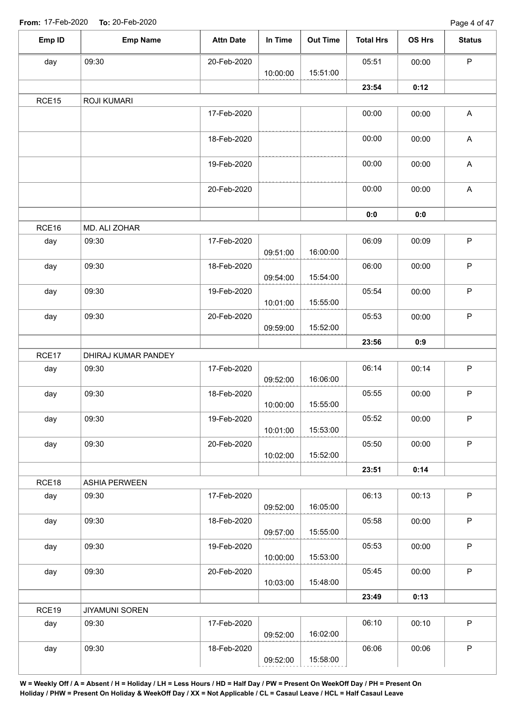Page 4 of 47

| Emp ID | <b>Emp Name</b>       | <b>Attn Date</b> | In Time  | <b>Out Time</b> | <b>Total Hrs</b> | OS Hrs | <b>Status</b>             |
|--------|-----------------------|------------------|----------|-----------------|------------------|--------|---------------------------|
| day    | 09:30                 | 20-Feb-2020      |          |                 | 05:51            | 00:00  | $\mathsf P$               |
|        |                       |                  | 10:00:00 | 15:51:00        |                  |        |                           |
|        |                       |                  |          |                 | 23:54            | 0:12   |                           |
| RCE15  | <b>ROJI KUMARI</b>    |                  |          |                 |                  |        |                           |
|        |                       | 17-Feb-2020      |          |                 | 00:00            | 00:00  | $\boldsymbol{\mathsf{A}}$ |
|        |                       | 18-Feb-2020      |          |                 | 00:00            | 00:00  | $\boldsymbol{\mathsf{A}}$ |
|        |                       | 19-Feb-2020      |          |                 | 00:00            | 00:00  | A                         |
|        |                       | 20-Feb-2020      |          |                 | 00:00            | 00:00  | $\boldsymbol{\mathsf{A}}$ |
|        |                       |                  |          |                 | 0:0              | 0:0    |                           |
| RCE16  | MD. ALI ZOHAR         |                  |          |                 |                  |        |                           |
| day    | 09:30                 | 17-Feb-2020      | 09:51:00 | 16:00:00        | 06:09            | 00:09  | $\mathsf P$               |
| day    | 09:30                 | 18-Feb-2020      | 09:54:00 | 15:54:00        | 06:00            | 00:00  | $\mathsf P$               |
| day    | 09:30                 | 19-Feb-2020      |          | 15:55:00        | 05:54            | 00:00  | $\mathsf P$               |
|        |                       |                  | 10:01:00 |                 |                  |        | $\mathsf P$               |
| day    | 09:30                 | 20-Feb-2020      | 09:59:00 | 15:52:00        | 05:53            | 00:00  |                           |
|        |                       |                  |          |                 | 23:56            | 0:9    |                           |
| RCE17  | DHIRAJ KUMAR PANDEY   |                  |          |                 |                  |        |                           |
| day    | 09:30                 | 17-Feb-2020      | 09:52:00 | 16:06:00        | 06:14            | 00:14  | $\mathsf P$               |
| day    | 09:30                 | 18-Feb-2020      | 10:00:00 | 15:55:00        | 05:55            | 00:00  | $\mathsf P$               |
| day    | 09:30                 | 19-Feb-2020      | 10:01:00 | 15:53:00        | 05:52            | 00:00  | P                         |
| day    | 09:30                 | 20-Feb-2020      | 10:02:00 | 15:52:00        | 05:50            | 00:00  | $\mathsf P$               |
|        |                       |                  |          |                 | 23:51            | 0:14   |                           |
| RCE18  | <b>ASHIA PERWEEN</b>  |                  |          |                 |                  |        |                           |
| day    | 09:30                 | 17-Feb-2020      | 09:52:00 | 16:05:00        | 06:13            | 00:13  | $\mathsf P$               |
| day    | 09:30                 | 18-Feb-2020      | 09:57:00 | 15:55:00        | 05:58            | 00:00  | $\mathsf P$               |
| day    | 09:30                 | 19-Feb-2020      | 10:00:00 | 15:53:00        | 05:53            | 00:00  | $\sf P$                   |
| day    | 09:30                 | 20-Feb-2020      |          |                 | 05:45            | 00:00  | $\mathsf P$               |
|        |                       |                  | 10:03:00 | 15:48:00        |                  |        |                           |
|        |                       |                  |          |                 | 23:49            | 0:13   |                           |
| RCE19  | <b>JIYAMUNI SOREN</b> |                  |          |                 |                  |        |                           |
| day    | 09:30                 | 17-Feb-2020      | 09:52:00 | 16:02:00        | 06:10            | 00:10  | $\mathsf P$               |
| day    | 09:30                 | 18-Feb-2020      | 09:52:00 | 15:58:00        | 06:06            | 00:06  | $\mathsf P$               |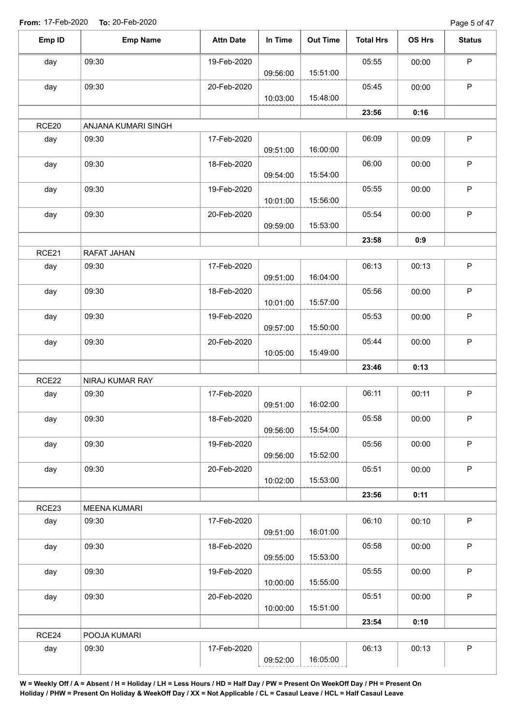Page 5 of 47

| Emp ID            | <b>Emp Name</b>     | <b>Attn Date</b> | In Time  | <b>Out Time</b> | <b>Total Hrs</b> | OS Hrs | <b>Status</b> |
|-------------------|---------------------|------------------|----------|-----------------|------------------|--------|---------------|
| day               | 09:30               | 19-Feb-2020      | 09:56:00 | 15:51:00        | 05:55            | 00:00  | P             |
| day               | 09:30               | 20-Feb-2020      | 10:03:00 | 15:48:00        | 05:45            | 00:00  | $\mathsf P$   |
|                   |                     |                  |          |                 | 23:56            | 0:16   |               |
| RCE <sub>20</sub> | ANJANA KUMARI SINGH |                  |          |                 |                  |        |               |
| day               | 09:30               | 17-Feb-2020      | 09:51:00 | 16:00:00        | 06:09            | 00:09  | $\mathsf P$   |
| day               | 09:30               | 18-Feb-2020      | 09:54:00 | 15:54:00        | 06:00            | 00:00  | $\mathsf P$   |
| day               | 09:30               | 19-Feb-2020      | 10:01:00 | 15:56:00        | 05:55            | 00:00  | $\mathsf P$   |
| day               | 09:30               | 20-Feb-2020      | 09:59:00 | 15:53:00        | 05:54            | 00:00  | $\mathsf P$   |
|                   |                     |                  |          |                 | 23:58            | 0:9    |               |
| RCE21             | RAFAT JAHAN         |                  |          |                 |                  |        |               |
| day               | 09:30               | 17-Feb-2020      | 09:51:00 | 16:04:00        | 06:13            | 00:13  | $\mathsf P$   |
| day               | 09:30               | 18-Feb-2020      | 10:01:00 | 15:57:00        | 05:56            | 00:00  | P             |
| day               | 09:30               | 19-Feb-2020      | 09:57:00 | 15:50:00        | 05:53            | 00:00  | $\mathsf P$   |
| day               | 09:30               | 20-Feb-2020      | 10:05:00 | 15:49:00        | 05:44            | 00:00  | $\mathsf P$   |
|                   |                     |                  |          |                 | 23:46            | 0:13   |               |
| RCE22             | NIRAJ KUMAR RAY     |                  |          |                 |                  |        |               |
| day               | 09:30               | 17-Feb-2020      | 09:51:00 | 16:02:00        | 06:11            | 00:11  | $\mathsf P$   |
| day               | 09:30               | 18-Feb-2020      | 09:56:00 | 15:54:00        | 05:58            | 00:00  | P             |
| day               | 09:30               | 19-Feb-2020      | 09:56:00 | 15:52:00        | 05:56            | 00:00  | $\mathsf P$   |
| day               | 09:30               | 20-Feb-2020      | 10:02:00 | 15:53:00        | 05:51            | 00:00  | $\mathsf P$   |
|                   |                     |                  |          |                 | 23:56            | 0:11   |               |
| RCE23             | <b>MEENA KUMARI</b> |                  |          |                 |                  |        |               |
| day               | 09:30               | 17-Feb-2020      | 09:51:00 | 16:01:00        | 06:10            | 00:10  | $\mathsf P$   |
| day               | 09:30               | 18-Feb-2020      | 09:55:00 | 15:53:00        | 05:58            | 00:00  | $\mathsf P$   |
| day               | 09:30               | 19-Feb-2020      | 10:00:00 | 15:55:00        | 05:55            | 00:00  | $\sf P$       |
| day               | 09:30               | 20-Feb-2020      | 10:00:00 | 15:51:00        | 05:51            | 00:00  | $\mathsf P$   |
|                   |                     |                  |          |                 | 23:54            | 0:10   |               |
| RCE24             | POOJA KUMARI        |                  |          |                 |                  |        |               |
| day               | 09:30               | 17-Feb-2020      | 09:52:00 | 16:05:00        | 06:13            | 00:13  | $\mathsf P$   |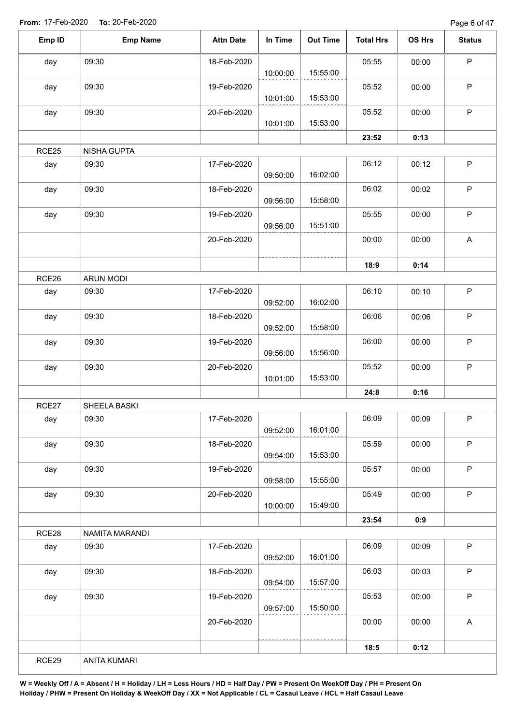Page 6 of 47

| Emp ID | <b>Emp Name</b>    | <b>Attn Date</b> | In Time  | <b>Out Time</b> | <b>Total Hrs</b> | OS Hrs | <b>Status</b> |
|--------|--------------------|------------------|----------|-----------------|------------------|--------|---------------|
| day    | 09:30              | 18-Feb-2020      |          |                 | 05:55            | 00:00  | $\mathsf P$   |
|        |                    |                  | 10:00:00 | 15:55:00        |                  |        |               |
| day    | 09:30              | 19-Feb-2020      | 10:01:00 | 15:53:00        | 05:52            | 00:00  | $\sf P$       |
| day    | 09:30              | 20-Feb-2020      | 10:01:00 | 15:53:00        | 05:52            | 00:00  | $\mathsf P$   |
|        |                    |                  |          |                 | 23:52            | 0:13   |               |
| RCE25  | <b>NISHA GUPTA</b> |                  |          |                 |                  |        |               |
|        | 09:30              |                  |          |                 | 06:12            |        | $\sf P$       |
| day    |                    | 17-Feb-2020      | 09:50:00 | 16:02:00        |                  | 00:12  |               |
| day    | 09:30              | 18-Feb-2020      | 09:56:00 | 15:58:00        | 06:02            | 00:02  | $\mathsf P$   |
| day    | 09:30              | 19-Feb-2020      | 09:56:00 | 15:51:00        | 05:55            | 00:00  | $\mathsf P$   |
|        |                    | 20-Feb-2020      |          |                 | 00:00            | 00:00  | A             |
|        |                    |                  |          |                 | 18:9             | 0:14   |               |
| RCE26  | <b>ARUN MODI</b>   |                  |          |                 |                  |        |               |
| day    | 09:30              | 17-Feb-2020      | 09:52:00 | 16:02:00        | 06:10            | 00:10  | $\mathsf P$   |
| day    | 09:30              | 18-Feb-2020      | 09:52:00 | 15:58:00        | 06:06            | 00:06  | $\sf P$       |
| day    | 09:30              | 19-Feb-2020      | 09:56:00 | 15:56:00        | 06:00            | 00:00  | $\mathsf P$   |
| day    | 09:30              | 20-Feb-2020      |          |                 | 05:52            | 00:00  | $\mathsf P$   |
|        |                    |                  | 10:01:00 | 15:53:00        |                  |        |               |
|        |                    |                  |          |                 | 24:8             | 0:16   |               |
| RCE27  | SHEELA BASKI       |                  |          |                 |                  |        |               |
| day    | 09:30              | 17-Feb-2020      | 09:52:00 | 16:01:00        | 06:09            | 00:09  | P             |
| day    | 09:30              | 18-Feb-2020      | 09:54:00 | 15:53:00        | 05:59            | 00:00  | $\mathsf P$   |
| day    | 09:30              | 19-Feb-2020      | 09:58:00 | 15:55:00        | 05:57            | 00:00  | $\sf P$       |
| day    | 09:30              | 20-Feb-2020      | 10:00:00 | 15:49:00        | 05:49            | 00:00  | $\mathsf P$   |
|        |                    |                  |          |                 | 23:54            | 0:9    |               |
| RCE28  | NAMITA MARANDI     |                  |          |                 |                  |        |               |
| day    | 09:30              | 17-Feb-2020      |          |                 | 06:09            | 00:09  | $\mathsf P$   |
|        |                    |                  | 09:52:00 | 16:01:00        |                  |        |               |
| day    | 09:30              | 18-Feb-2020      | 09:54:00 | 15:57:00        | 06:03            | 00:03  | $\sf P$       |
| day    | 09:30              | 19-Feb-2020      | 09:57:00 | 15:50:00        | 05:53            | 00:00  | $\sf P$       |
|        |                    | 20-Feb-2020      |          |                 | 00:00            | 00:00  | $\mathsf{A}$  |
|        |                    |                  |          |                 | 18:5             | 0:12   |               |
| RCE29  | ANITA KUMARI       |                  |          |                 |                  |        |               |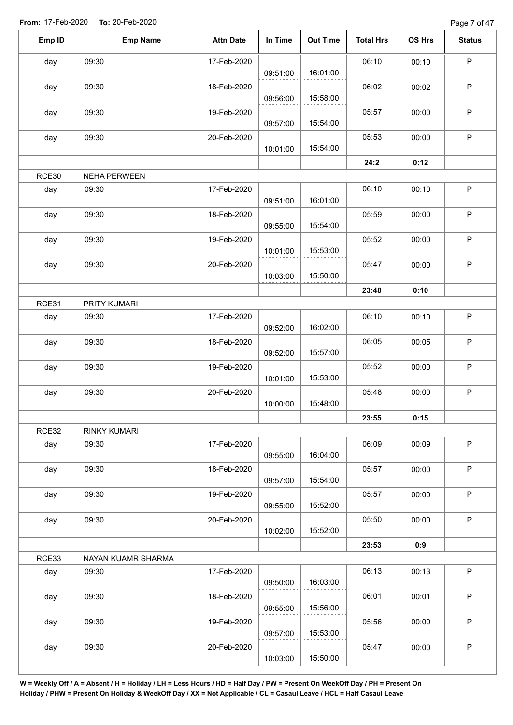Page 7 of 47

| Emp ID | <b>Emp Name</b>     | <b>Attn Date</b> | In Time  | <b>Out Time</b> | <b>Total Hrs</b> | OS Hrs | <b>Status</b> |
|--------|---------------------|------------------|----------|-----------------|------------------|--------|---------------|
| day    | 09:30               | 17-Feb-2020      |          |                 | 06:10            | 00:10  | $\mathsf P$   |
|        |                     |                  | 09:51:00 | 16:01:00        |                  |        |               |
| day    | 09:30               | 18-Feb-2020      | 09:56:00 | 15:58:00        | 06:02            | 00:02  | P             |
| day    | 09:30               | 19-Feb-2020      |          |                 | 05:57            | 00:00  | P             |
|        |                     |                  | 09:57:00 | 15:54:00        |                  |        |               |
| day    | 09:30               | 20-Feb-2020      | 10:01:00 | 15:54:00        | 05:53            | 00:00  | P             |
|        |                     |                  |          |                 | 24:2             | 0:12   |               |
| RCE30  | NEHA PERWEEN        |                  |          |                 |                  |        |               |
| day    | 09:30               | 17-Feb-2020      | 09:51:00 | 16:01:00        | 06:10            | 00:10  | $\sf P$       |
| day    | 09:30               | 18-Feb-2020      | 09:55:00 | 15:54:00        | 05:59            | 00:00  | $\sf P$       |
| day    | 09:30               | 19-Feb-2020      |          | 15:53:00        | 05:52            | 00:00  | $\mathsf P$   |
|        |                     |                  | 10:01:00 |                 |                  |        | $\sf P$       |
| day    | 09:30               | 20-Feb-2020      | 10:03:00 | 15:50:00        | 05:47            | 00:00  |               |
|        |                     |                  |          |                 | 23:48            | 0:10   |               |
| RCE31  | PRITY KUMARI        |                  |          |                 |                  |        |               |
| day    | 09:30               | 17-Feb-2020      | 09:52:00 | 16:02:00        | 06:10            | 00:10  | $\sf P$       |
| day    | 09:30               | 18-Feb-2020      | 09:52:00 | 15:57:00        | 06:05            | 00:05  | $\mathsf P$   |
| day    | 09:30               | 19-Feb-2020      | 10:01:00 | 15:53:00        | 05:52            | 00:00  | $\mathsf P$   |
| day    | 09:30               | 20-Feb-2020      | 10:00:00 | 15:48:00        | 05:48            | 00:00  | $\mathsf P$   |
|        |                     |                  |          |                 |                  |        |               |
|        |                     |                  |          |                 | 23:55            | 0:15   |               |
| RCE32  | <b>RINKY KUMARI</b> |                  |          |                 |                  |        |               |
| day    | 09:30               | 17-Feb-2020      | 09:55:00 | 16:04:00        | 06:09            | 00:09  | $\mathsf P$   |
| day    | 09:30               | 18-Feb-2020      | 09:57:00 | 15:54:00        | 05:57            | 00:00  | P             |
| day    | 09:30               | 19-Feb-2020      | 09:55:00 | 15:52:00        | 05:57            | 00:00  | P             |
| day    | 09:30               | 20-Feb-2020      | 10:02:00 | 15:52:00        | 05:50            | 00:00  | $\mathsf P$   |
|        |                     |                  |          |                 | 23:53            | 0:9    |               |
| RCE33  | NAYAN KUAMR SHARMA  |                  |          |                 |                  |        |               |
| day    | 09:30               | 17-Feb-2020      |          |                 | 06:13            | 00:13  | $\mathsf P$   |
|        |                     |                  | 09:50:00 | 16:03:00        |                  |        |               |
| day    | 09:30               | 18-Feb-2020      | 09:55:00 | 15:56:00        | 06:01            | 00:01  | $\sf P$       |
| day    | 09:30               | 19-Feb-2020      |          |                 | 05:56            | 00:00  | $\mathsf P$   |
|        |                     |                  | 09:57:00 | 15:53:00        |                  |        |               |
| day    | 09:30               | 20-Feb-2020      | 10:03:00 | 15:50:00        | 05:47            | 00:00  | $\mathsf P$   |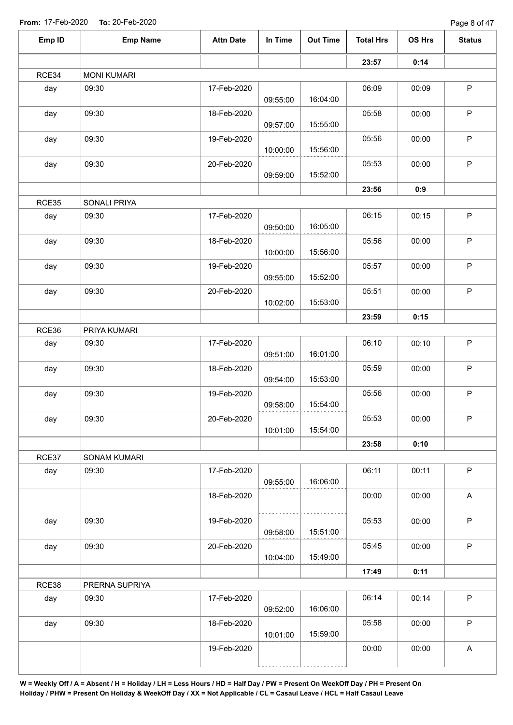| Emp ID       | <b>Emp Name</b>       | <b>Attn Date</b> | In Time  | <b>Out Time</b> | <b>Total Hrs</b> | OS Hrs | <b>Status</b>             |
|--------------|-----------------------|------------------|----------|-----------------|------------------|--------|---------------------------|
|              |                       |                  |          |                 | 23:57            | 0:14   |                           |
| RCE34        | <b>MONI KUMARI</b>    |                  |          |                 |                  |        |                           |
| day          | 09:30                 | 17-Feb-2020      | 09:55:00 | 16:04:00        | 06:09            | 00:09  | P                         |
| day          | 09:30                 | 18-Feb-2020      |          | 15:55:00        | 05:58            | 00:00  | $\sf P$                   |
| day          | 09:30                 | 19-Feb-2020      | 09:57:00 |                 | 05:56            | 00:00  | $\mathsf P$               |
| day          | 09:30                 | 20-Feb-2020      | 10:00:00 | 15:56:00        | 05:53            | 00:00  | $\mathsf P$               |
|              |                       |                  | 09:59:00 | 15:52:00        | 23:56            | 0:9    |                           |
|              |                       |                  |          |                 |                  |        |                           |
| RCE35<br>day | SONALI PRIYA<br>09:30 | 17-Feb-2020      |          |                 | 06:15            | 00:15  | $\mathsf P$               |
| day          | 09:30                 | 18-Feb-2020      | 09:50:00 | 16:05:00        | 05:56            | 00:00  | $\mathsf P$               |
| day          | 09:30                 | 19-Feb-2020      | 10:00:00 | 15:56:00        | 05:57            | 00:00  | $\mathsf P$               |
|              |                       |                  | 09:55:00 | 15:52:00        |                  |        |                           |
| day          | 09:30                 | 20-Feb-2020      | 10:02:00 | 15:53:00        | 05:51            | 00:00  | $\sf P$                   |
|              |                       |                  |          |                 | 23:59            | 0:15   |                           |
| RCE36        | PRIYA KUMARI          |                  |          |                 |                  |        |                           |
| day          | 09:30                 | 17-Feb-2020      | 09:51:00 | 16:01:00        | 06:10            | 00:10  | $\mathsf P$               |
| day          | 09:30                 | 18-Feb-2020      | 09:54:00 | 15:53:00        | 05:59            | 00:00  | $\mathsf{P}$              |
| day          | 09:30                 | 19-Feb-2020      | 09:58:00 | 15:54:00        | 05:56            | 00:00  | $\mathsf P$               |
| day          | 09:30                 | 20-Feb-2020      | 10:01:00 | 15:54:00        | 05:53            | 00:00  | P                         |
|              |                       |                  |          |                 | 23:58            | 0:10   |                           |
| RCE37        | SONAM KUMARI          |                  |          |                 |                  |        |                           |
| day          | 09:30                 | 17-Feb-2020      | 09:55:00 | 16:06:00        | 06:11            | 00:11  | P                         |
|              |                       | 18-Feb-2020      |          |                 | 00:00            | 00:00  | A                         |
| day          | 09:30                 | 19-Feb-2020      | 09:58:00 | 15:51:00        | 05:53            | 00:00  | $\mathsf{P}$              |
| day          | 09:30                 | 20-Feb-2020      | 10:04:00 | 15:49:00        | 05:45            | 00:00  | $\mathsf{P}$              |
|              |                       |                  |          |                 | 17:49            | 0:11   |                           |
| RCE38        | PRERNA SUPRIYA        |                  |          |                 |                  |        |                           |
| day          | 09:30                 | 17-Feb-2020      | 09:52:00 | 16:06:00        | 06:14            | 00:14  | $\mathsf{P}$              |
| day          | 09:30                 | 18-Feb-2020      | 10:01:00 | 15:59:00        | 05:58            | 00:00  | P                         |
|              |                       | 19-Feb-2020      |          |                 | 00:00            | 00:00  | $\boldsymbol{\mathsf{A}}$ |
|              |                       |                  |          |                 |                  |        |                           |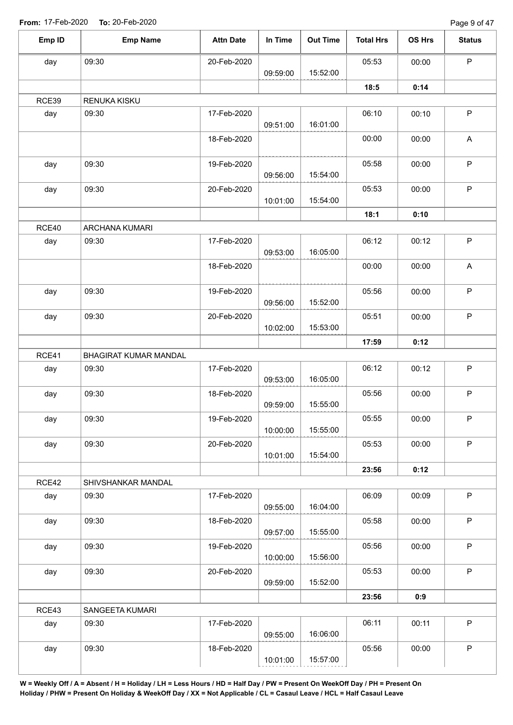| Emp ID | <b>Emp Name</b>       | <b>Attn Date</b> | In Time  | <b>Out Time</b> | <b>Total Hrs</b> | OS Hrs | <b>Status</b> |
|--------|-----------------------|------------------|----------|-----------------|------------------|--------|---------------|
| day    | 09:30                 | 20-Feb-2020      |          |                 | 05:53            | 00:00  | $\mathsf{P}$  |
|        |                       |                  | 09:59:00 | 15:52:00        |                  |        |               |
|        |                       |                  |          |                 | 18:5             | 0:14   |               |
| RCE39  | RENUKA KISKU          |                  |          |                 |                  |        |               |
| day    | 09:30                 | 17-Feb-2020      | 09:51:00 | 16:01:00        | 06:10            | 00:10  | $\mathsf P$   |
|        |                       | 18-Feb-2020      |          |                 | 00:00            | 00:00  | A             |
| day    | 09:30                 | 19-Feb-2020      | 09:56:00 | 15:54:00        | 05:58            | 00:00  | $\mathsf P$   |
| day    | 09:30                 | 20-Feb-2020      | 10:01:00 | 15:54:00        | 05:53            | 00:00  | $\sf P$       |
|        |                       |                  |          |                 | 18:1             | 0:10   |               |
| RCE40  | ARCHANA KUMARI        |                  |          |                 |                  |        |               |
| day    | 09:30                 | 17-Feb-2020      |          |                 | 06:12            | 00:12  | $\mathsf P$   |
|        |                       |                  | 09:53:00 | 16:05:00        |                  |        |               |
|        |                       | 18-Feb-2020      |          |                 | 00:00<br>00:00   | A      |               |
| day    | 09:30                 | 19-Feb-2020      |          |                 | 05:56            | 00:00  | $\mathsf P$   |
|        |                       |                  | 09:56:00 | 15:52:00        |                  |        |               |
| day    | 09:30                 | 20-Feb-2020      | 10:02:00 | 15:53:00        | 05:51            | 00:00  | $\sf P$       |
|        |                       |                  |          |                 | 17:59            | 0:12   |               |
| RCE41  | BHAGIRAT KUMAR MANDAL |                  |          |                 |                  |        |               |
| day    | 09:30                 | 17-Feb-2020      |          |                 | 06:12            | 00:12  | $\sf P$       |
|        |                       |                  | 09:53:00 | 16:05:00        |                  |        |               |
| day    | 09:30                 | 18-Feb-2020      |          |                 | 05:56            | 00:00  | $\mathsf P$   |
|        |                       |                  | 09:59:00 | 15:55:00        |                  |        |               |
| day    | 09:30                 | 19-Feb-2020      | 10:00:00 | 15:55:00        | 05:55            | 00:00  | P             |
| day    | 09:30                 | 20-Feb-2020      | 10:01:00 | 15:54:00        | 05:53            | 00:00  | $\mathsf P$   |
|        |                       |                  |          |                 | 23:56            | 0:12   |               |
| RCE42  | SHIVSHANKAR MANDAL    |                  |          |                 |                  |        |               |
| day    | 09:30                 | 17-Feb-2020      | 09:55:00 | 16:04:00        | 06:09            | 00:09  | $\mathsf P$   |
| day    | 09:30                 | 18-Feb-2020      |          |                 | 05:58            | 00:00  | $\mathsf P$   |
|        |                       |                  | 09:57:00 | 15:55:00        |                  |        |               |
| day    | 09:30                 | 19-Feb-2020      | 10:00:00 | 15:56:00        | 05:56            | 00:00  | $\sf P$       |
| day    | 09:30                 | 20-Feb-2020      |          |                 | 05:53            | 00:00  | $\mathsf P$   |
|        |                       |                  | 09:59:00 | 15:52:00        |                  |        |               |
|        |                       |                  |          |                 | 23:56            | 0:9    |               |
| RCE43  | SANGEETA KUMARI       |                  |          |                 |                  |        |               |
| day    | 09:30                 | 17-Feb-2020      |          |                 | 06:11            | 00:11  | $\mathsf P$   |
|        |                       |                  | 09:55:00 | 16:06:00        |                  |        |               |
| day    | 09:30                 | 18-Feb-2020      |          |                 | 05:56            | 00:00  | $\sf P$       |
|        |                       |                  | 10:01:00 | 15:57:00        |                  |        |               |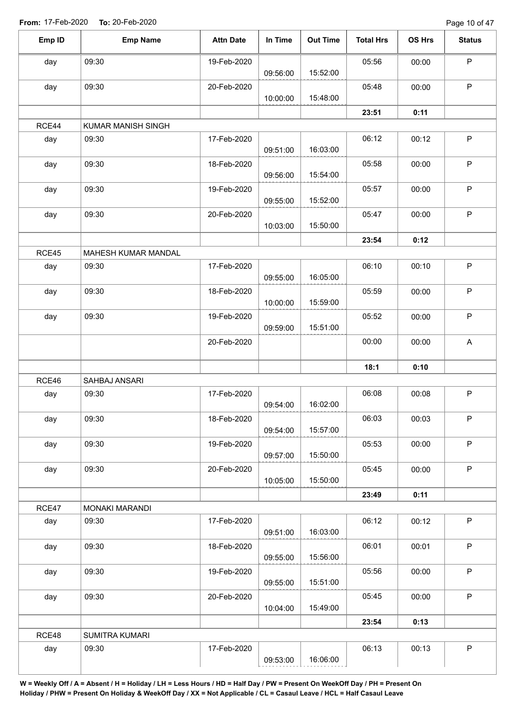Page 10 of 47

| Emp ID | <b>Emp Name</b>       | <b>Attn Date</b> | In Time  | <b>Out Time</b> | <b>Total Hrs</b> | OS Hrs | <b>Status</b> |
|--------|-----------------------|------------------|----------|-----------------|------------------|--------|---------------|
| day    | 09:30                 | 19-Feb-2020      |          |                 | 05:56            | 00:00  | P             |
|        |                       |                  | 09:56:00 | 15:52:00        |                  |        |               |
| day    | 09:30                 | 20-Feb-2020      |          |                 | 05:48            | 00:00  | $\mathsf P$   |
|        |                       |                  | 10:00:00 | 15:48:00        |                  |        |               |
| RCE44  | KUMAR MANISH SINGH    |                  |          |                 | 23:51            | 0:11   |               |
| day    | 09:30                 | 17-Feb-2020      |          |                 | 06:12            | 00:12  | $\mathsf P$   |
|        |                       |                  | 09:51:00 | 16:03:00        |                  |        |               |
| day    | 09:30                 | 18-Feb-2020      |          |                 | 05:58            | 00:00  | $\mathsf P$   |
|        |                       |                  | 09:56:00 | 15:54:00        |                  |        |               |
| day    | 09:30                 | 19-Feb-2020      |          |                 | 05:57            | 00:00  | $\sf P$       |
|        |                       |                  | 09:55:00 | 15:52:00        |                  |        |               |
| day    | 09:30                 | 20-Feb-2020      |          |                 | 05:47            | 00:00  | $\mathsf P$   |
|        |                       |                  | 10:03:00 | 15:50:00        |                  |        |               |
|        |                       |                  |          |                 | 23:54            | 0:12   |               |
| RCE45  | MAHESH KUMAR MANDAL   |                  |          |                 |                  |        |               |
| day    | 09:30                 | 17-Feb-2020      | 09:55:00 | 16:05:00        | 06:10            | 00:10  | $\mathsf P$   |
| day    | 09:30                 | 18-Feb-2020      |          |                 | 05:59            | 00:00  | $\mathsf P$   |
|        |                       |                  | 10:00:00 | 15:59:00        |                  |        |               |
| day    | 09:30                 | 19-Feb-2020      |          |                 | 05:52            | 00:00  | $\mathsf P$   |
|        |                       |                  | 09:59:00 | 15:51:00        |                  |        |               |
|        |                       | 20-Feb-2020      |          |                 | 00:00            | 00:00  | A             |
|        |                       |                  |          |                 |                  |        |               |
|        |                       |                  |          |                 | 18:1             | 0:10   |               |
| RCE46  | SAHBAJ ANSARI         |                  |          |                 |                  |        |               |
| day    | 09:30                 | 17-Feb-2020      |          |                 | 06:08            | 00:08  | $\mathsf P$   |
|        |                       |                  | 09:54:00 | 16:02:00        |                  |        |               |
| day    | 09:30                 | 18-Feb-2020      | 09:54:00 | 15:57:00        | 06:03            | 00:03  | P             |
|        | 09:30                 |                  |          |                 | 05:53            | 00:00  | $\mathsf P$   |
| day    |                       | 19-Feb-2020      | 09:57:00 | 15:50:00        |                  |        |               |
| day    | 09:30                 | 20-Feb-2020      |          |                 | 05:45            | 00:00  | $\mathsf P$   |
|        |                       |                  | 10:05:00 | 15:50:00        |                  |        |               |
|        |                       |                  |          |                 | 23:49            | 0:11   |               |
| RCE47  | MONAKI MARANDI        |                  |          |                 |                  |        |               |
| day    | 09:30                 | 17-Feb-2020      |          |                 | 06:12            | 00:12  | $\mathsf{P}$  |
|        |                       |                  | 09:51:00 | 16:03:00        |                  |        |               |
| day    | 09:30                 | 18-Feb-2020      |          |                 | 06:01            | 00:01  | $\sf P$       |
|        |                       |                  | 09:55:00 | 15:56:00        |                  |        |               |
| day    | 09:30                 | 19-Feb-2020      |          |                 | 05:56            | 00:00  | $\mathsf P$   |
|        |                       |                  | 09:55:00 | 15:51:00        |                  |        |               |
| day    | 09:30                 | 20-Feb-2020      | 10:04:00 | 15:49:00        | 05:45            | 00:00  | $\sf P$       |
|        |                       |                  |          |                 | 23:54            | 0:13   |               |
| RCE48  | <b>SUMITRA KUMARI</b> |                  |          |                 |                  |        |               |
| day    | 09:30                 | 17-Feb-2020      |          |                 | 06:13            | 00:13  | $\sf P$       |
|        |                       |                  | 09:53:00 | 16:06:00        |                  |        |               |
|        |                       |                  |          |                 |                  |        |               |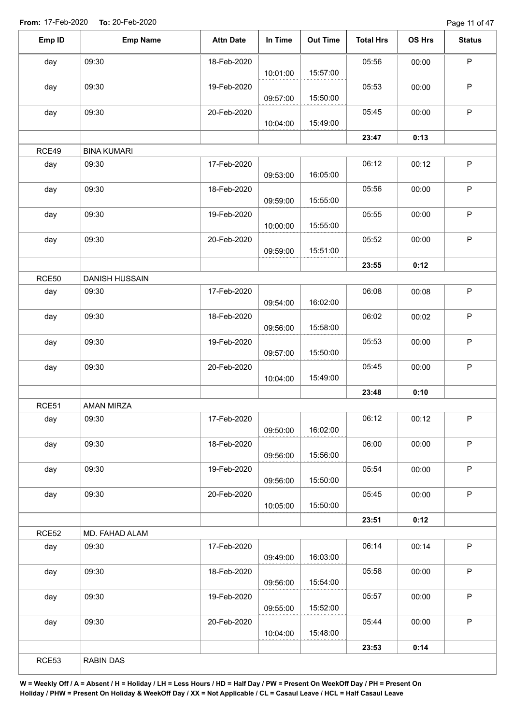Page 11 of 47

| Emp ID       | <b>Emp Name</b>       | <b>Attn Date</b> | In Time  | <b>Out Time</b> | <b>Total Hrs</b> | OS Hrs | <b>Status</b> |
|--------------|-----------------------|------------------|----------|-----------------|------------------|--------|---------------|
| day          | 09:30                 | 18-Feb-2020      |          |                 | 05:56            | 00:00  | $\mathsf P$   |
|              |                       |                  | 10:01:00 | 15:57:00        |                  |        |               |
| day          | 09:30                 | 19-Feb-2020      | 09:57:00 | 15:50:00        | 05:53            | 00:00  | $\mathsf P$   |
| day          | 09:30                 | 20-Feb-2020      | 10:04:00 | 15:49:00        | 05:45            | 00:00  | $\sf P$       |
|              |                       |                  |          |                 | 23:47            | 0:13   |               |
| RCE49        | <b>BINA KUMARI</b>    |                  |          |                 |                  |        |               |
| day          | 09:30                 | 17-Feb-2020      | 09:53:00 | 16:05:00        | 06:12            | 00:12  | $\sf P$       |
| day          | 09:30                 | 18-Feb-2020      | 09:59:00 | 15:55:00        | 05:56            | 00:00  | $\mathsf P$   |
| day          | 09:30                 | 19-Feb-2020      | 10:00:00 | 15:55:00        | 05:55            | 00:00  | $\mathsf P$   |
| day          | 09:30                 | 20-Feb-2020      | 09:59:00 | 15:51:00        | 05:52            | 00:00  | $\mathsf P$   |
|              |                       |                  |          |                 | 23:55            | 0:12   |               |
| <b>RCE50</b> | <b>DANISH HUSSAIN</b> |                  |          |                 |                  |        |               |
| day          | 09:30                 | 17-Feb-2020      | 09:54:00 | 16:02:00        | 06:08            | 00:08  | $\mathsf P$   |
| day          | 09:30                 | 18-Feb-2020      | 09:56:00 | 15:58:00        | 06:02            | 00:02  | $\sf P$       |
| day          | 09:30                 | 19-Feb-2020      |          | 15:50:00        | 05:53            | 00:00  | $\sf P$       |
| day          | 09:30                 | 20-Feb-2020      | 09:57:00 |                 | 05:45            | 00:00  | $\sf P$       |
|              |                       |                  | 10:04:00 | 15:49:00        |                  |        |               |
|              |                       |                  |          |                 | 23:48            | 0:10   |               |
| RCE51        | <b>AMAN MIRZA</b>     |                  |          |                 |                  |        |               |
| day          | 09:30                 | 17-Feb-2020      | 09:50:00 | 16:02:00        | 06:12            | 00:12  | P             |
| day          | 09:30                 | 18-Feb-2020      | 09:56:00 | 15:56:00        | 06:00            | 00:00  | P             |
| day          | 09:30                 | 19-Feb-2020      | 09:56:00 | 15:50:00        | 05:54            | 00:00  | $\mathsf P$   |
| day          | 09:30                 | 20-Feb-2020      | 10:05:00 | 15:50:00        | 05:45            | 00:00  | $\mathsf{P}$  |
|              |                       |                  |          |                 | 23:51            | 0:12   |               |
| RCE52        | MD. FAHAD ALAM        |                  |          |                 |                  |        |               |
| day          | 09:30                 | 17-Feb-2020      | 09:49:00 | 16:03:00        | 06:14            | 00:14  | $\mathsf{P}$  |
| day          | 09:30                 | 18-Feb-2020      | 09:56:00 | 15:54:00        | 05:58            | 00:00  | $\mathsf P$   |
| day          | 09:30                 | 19-Feb-2020      | 09:55:00 | 15:52:00        | 05:57            | 00:00  | $\sf P$       |
| day          | 09:30                 | 20-Feb-2020      | 10:04:00 | 15:48:00        | 05:44            | 00:00  | $\mathsf P$   |
|              |                       |                  |          |                 | 23:53            | 0:14   |               |
| RCE53        | RABIN DAS             |                  |          |                 |                  |        |               |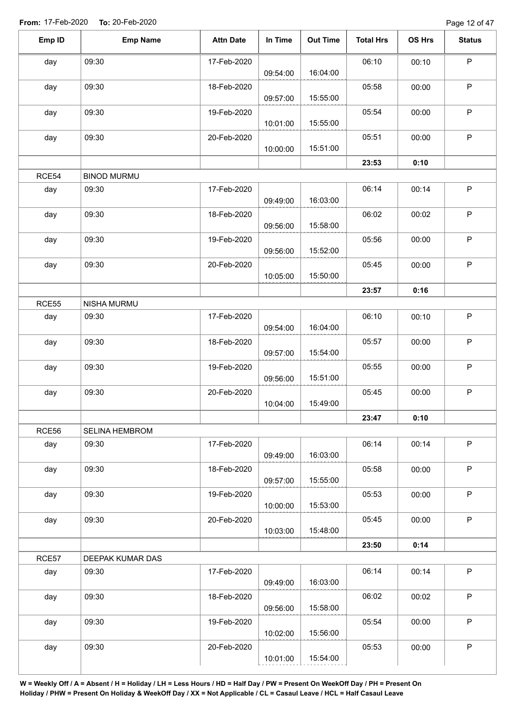Page 12 of 47

| Emp ID | <b>Emp Name</b>    | <b>Attn Date</b> | In Time  | <b>Out Time</b> | <b>Total Hrs</b> | OS Hrs | <b>Status</b> |
|--------|--------------------|------------------|----------|-----------------|------------------|--------|---------------|
| day    | 09:30              | 17-Feb-2020      |          |                 | 06:10            | 00:10  | $\mathsf P$   |
|        |                    |                  | 09:54:00 | 16:04:00        |                  |        |               |
| day    | 09:30              | 18-Feb-2020      | 09:57:00 | 15:55:00        | 05:58            | 00:00  | $\mathsf P$   |
| day    | 09:30              | 19-Feb-2020      | 10:01:00 | 15:55:00        | 05:54            | 00:00  | $\mathsf P$   |
| day    | 09:30              | 20-Feb-2020      |          |                 | 05:51            | 00:00  | $\mathsf{P}$  |
|        |                    |                  | 10:00:00 | 15:51:00        |                  |        |               |
|        |                    |                  |          |                 | 23:53            | 0:10   |               |
| RCE54  | <b>BINOD MURMU</b> |                  |          |                 |                  |        |               |
| day    | 09:30              | 17-Feb-2020      | 09:49:00 | 16:03:00        | 06:14            | 00:14  | $\mathsf P$   |
| day    | 09:30              | 18-Feb-2020      | 09:56:00 | 15:58:00        | 06:02            | 00:02  | $\sf P$       |
| day    | 09:30              | 19-Feb-2020      | 09:56:00 | 15:52:00        | 05:56            | 00:00  | $\sf P$       |
|        | 09:30              | 20-Feb-2020      |          |                 | 05:45            | 00:00  | $\mathsf P$   |
| day    |                    |                  | 10:05:00 | 15:50:00        |                  |        |               |
|        |                    |                  |          |                 | 23:57            | 0:16   |               |
| RCE55  | NISHA MURMU        |                  |          |                 |                  |        |               |
| day    | 09:30              | 17-Feb-2020      | 09:54:00 | 16:04:00        | 06:10            | 00:10  | $\sf P$       |
| day    | 09:30              | 18-Feb-2020      | 09:57:00 | 15:54:00        | 05:57            | 00:00  | $\sf P$       |
| day    | 09:30              | 19-Feb-2020      |          |                 | 05:55            | 00:00  | $\mathsf P$   |
| day    | 09:30              | 20-Feb-2020      | 09:56:00 | 15:51:00        | 05:45            | 00:00  | $\sf P$       |
|        |                    |                  | 10:04:00 | 15:49:00        |                  |        |               |
|        |                    |                  |          |                 | 23:47            | 0:10   |               |
| RCE56  | SELINA HEMBROM     |                  |          |                 |                  |        |               |
| day    | 09:30              | 17-Feb-2020      | 09:49:00 | 16:03:00        | 06:14            | 00:14  | $\mathsf P$   |
| day    | 09:30              | 18-Feb-2020      | 09:57:00 | 15:55:00        | 05:58            | 00:00  | $\sf P$       |
| day    | 09:30              | 19-Feb-2020      | 10:00:00 | 15:53:00        | 05:53            | 00:00  | $\mathsf P$   |
| day    | 09:30              | 20-Feb-2020      | 10:03:00 | 15:48:00        | 05:45            | 00:00  | $\mathsf P$   |
|        |                    |                  |          |                 | 23:50            | 0:14   |               |
| RCE57  | DEEPAK KUMAR DAS   |                  |          |                 |                  |        |               |
| day    | 09:30              | 17-Feb-2020      |          |                 | 06:14            | 00:14  | $\mathsf{P}$  |
|        |                    |                  | 09:49:00 | 16:03:00        |                  |        |               |
| day    | 09:30              | 18-Feb-2020      | 09:56:00 | 15:58:00        | 06:02            | 00:02  | $\sf P$       |
| day    | 09:30              | 19-Feb-2020      |          |                 | 05:54            | 00:00  | $\mathsf P$   |
|        |                    |                  | 10:02:00 | 15:56:00        |                  |        |               |
| day    | 09:30              | 20-Feb-2020      |          |                 | 05:53            | 00:00  | $\sf P$       |
|        |                    |                  | 10:01:00 | 15:54:00        |                  |        |               |
|        |                    |                  |          |                 |                  |        |               |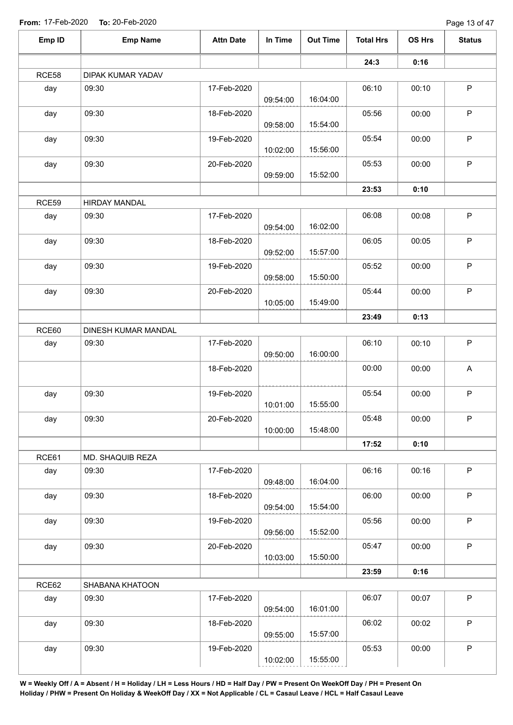| Emp ID | <b>Emp Name</b>      | <b>Attn Date</b> | In Time  | <b>Out Time</b> | <b>Total Hrs</b> | OS Hrs | <b>Status</b> |
|--------|----------------------|------------------|----------|-----------------|------------------|--------|---------------|
|        |                      |                  |          |                 | 24:3             | 0:16   |               |
| RCE58  | DIPAK KUMAR YADAV    |                  |          |                 |                  |        |               |
| day    | 09:30                | 17-Feb-2020      | 09:54:00 | 16:04:00        | 06:10            | 00:10  | $\mathsf P$   |
| day    | 09:30                | 18-Feb-2020      | 09:58:00 | 15:54:00        | 05:56            | 00:00  | $\mathsf P$   |
| day    | 09:30                | 19-Feb-2020      |          |                 | 05:54            | 00:00  | $\mathsf P$   |
| day    | 09:30                | 20-Feb-2020      | 10:02:00 | 15:56:00        | 05:53            | 00:00  | $\mathsf P$   |
|        |                      |                  | 09:59:00 | 15:52:00        | 23:53            | 0:10   |               |
| RCE59  | <b>HIRDAY MANDAL</b> |                  |          |                 |                  |        |               |
| day    | 09:30                | 17-Feb-2020      | 09:54:00 | 16:02:00        | 06:08            | 00:08  | $\mathsf P$   |
| day    | 09:30                | 18-Feb-2020      | 09:52:00 | 15:57:00        | 06:05            | 00:05  | $\mathsf P$   |
| day    | 09:30                | 19-Feb-2020      | 09:58:00 | 15:50:00        | 05:52            | 00:00  | $\mathsf P$   |
| day    | 09:30                | 20-Feb-2020      | 10:05:00 | 15:49:00        | 05:44            | 00:00  | $\mathsf P$   |
|        |                      |                  |          |                 | 23:49            | 0:13   |               |
| RCE60  | DINESH KUMAR MANDAL  |                  |          |                 |                  |        |               |
| day    | 09:30                | 17-Feb-2020      |          |                 | 06:10            | 00:10  | $\sf P$       |
|        |                      |                  | 09:50:00 | 16:00:00        |                  |        |               |
|        |                      | 18-Feb-2020      |          |                 | 00:00            | 00:00  | A             |
| day    | 09:30                | 19-Feb-2020      | 10:01:00 | 15:55:00        | 05:54            | 00:00  | $\mathsf P$   |
| day    | 09:30                | 20-Feb-2020      | 10:00:00 | 15:48:00        | 05:48            | 00:00  | $\mathsf P$   |
|        |                      |                  |          |                 | 17:52            | 0:10   |               |
| RCE61  | MD. SHAQUIB REZA     |                  |          |                 |                  |        |               |
| day    | 09:30                | 17-Feb-2020      | 09:48:00 | 16:04:00        | 06:16            | 00:16  | $\mathsf P$   |
| day    | 09:30                | 18-Feb-2020      | 09:54:00 | 15:54:00        | 06:00            | 00:00  | $\mathsf{P}$  |
| day    | 09:30                | 19-Feb-2020      | 09:56:00 | 15:52:00        | 05:56            | 00:00  | $\mathsf{P}$  |
| day    | 09:30                | 20-Feb-2020      | 10:03:00 | 15:50:00        | 05:47            | 00:00  | P             |
|        |                      |                  |          |                 | 23:59            | 0:16   |               |
| RCE62  | SHABANA KHATOON      |                  |          |                 |                  |        |               |
| day    | 09:30                | 17-Feb-2020      | 09:54:00 | 16:01:00        | 06:07            | 00:07  | P             |
| day    | 09:30                | 18-Feb-2020      | 09:55:00 | 15:57:00        | 06:02            | 00:02  | $\mathsf{P}$  |
| day    | 09:30                | 19-Feb-2020      |          |                 | 05:53            | 00:00  | $\mathsf P$   |
|        |                      |                  | 10:02:00 | 15:55:00        |                  |        |               |
|        |                      |                  |          |                 |                  |        |               |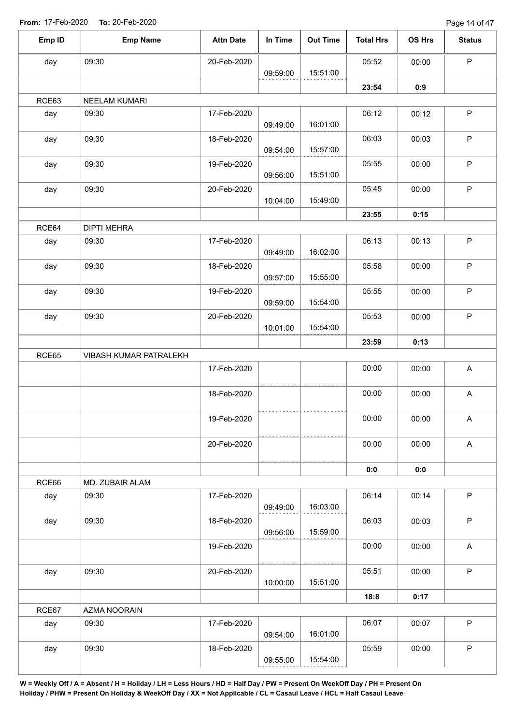Page 14 of 47

| Emp ID | <b>Emp Name</b>        | <b>Attn Date</b> | In Time  | <b>Out Time</b> | <b>Total Hrs</b> | OS Hrs | <b>Status</b>             |
|--------|------------------------|------------------|----------|-----------------|------------------|--------|---------------------------|
| day    | 09:30                  | 20-Feb-2020      |          |                 | 05:52            | 00:00  | $\mathsf P$               |
|        |                        |                  | 09:59:00 | 15:51:00        |                  |        |                           |
|        |                        |                  |          |                 | 23:54            | 0:9    |                           |
| RCE63  | NEELAM KUMARI          |                  |          |                 |                  |        |                           |
| day    | 09:30                  | 17-Feb-2020      | 09:49:00 | 16:01:00        | 06:12            | 00:12  | $\mathsf P$               |
| day    | 09:30                  | 18-Feb-2020      | 09:54:00 | 15:57:00        | 06:03            | 00:03  | $\sf P$                   |
| day    | 09:30                  | 19-Feb-2020      | 09:56:00 | 15:51:00        | 05:55            | 00:00  | $\sf P$                   |
| day    | 09:30                  | 20-Feb-2020      |          | 15:49:00        | 05:45            | 00:00  | $\sf P$                   |
|        |                        |                  | 10:04:00 |                 |                  |        |                           |
|        |                        |                  |          |                 | 23:55            | 0:15   |                           |
| RCE64  | <b>DIPTI MEHRA</b>     | 17-Feb-2020      |          |                 |                  |        | $\sf P$                   |
| day    | 09:30                  |                  | 09:49:00 | 16:02:00        | 06:13            | 00:13  |                           |
| day    | 09:30                  | 18-Feb-2020      | 09:57:00 | 15:55:00        | 05:58            | 00:00  | $\mathsf P$               |
| day    | 09:30                  | 19-Feb-2020      | 09:59:00 | 15:54:00        | 05:55            | 00:00  | $\sf P$                   |
| day    | 09:30                  | 20-Feb-2020      | 10:01:00 | 15:54:00        | 05:53            | 00:00  | $\mathsf P$               |
|        |                        |                  |          |                 | 23:59            | 0:13   |                           |
|        |                        |                  |          |                 |                  |        |                           |
| RCE65  | VIBASH KUMAR PATRALEKH |                  |          |                 |                  |        |                           |
|        |                        | 17-Feb-2020      |          |                 | 00:00            | 00:00  | $\mathsf{A}$              |
|        |                        | 18-Feb-2020      |          |                 | 00:00            | 00:00  | $\boldsymbol{\mathsf{A}}$ |
|        |                        | 19-Feb-2020      |          |                 | 00:00            | 00:00  | A                         |
|        |                        | 20-Feb-2020      |          |                 | 00:00            | 00:00  | $\mathsf{A}$              |
|        |                        |                  |          |                 | 0:0              | 0:0    |                           |
| RCE66  | MD. ZUBAIR ALAM        |                  |          |                 |                  |        |                           |
| day    | 09:30                  | 17-Feb-2020      | 09:49:00 | 16:03:00        | 06:14            | 00:14  | $\mathsf{P}$              |
| day    | 09:30                  | 18-Feb-2020      | 09:56:00 | 15:59:00        | 06:03            | 00:03  | $\sf P$                   |
|        |                        | 19-Feb-2020      |          |                 | 00:00            | 00:00  | A                         |
|        |                        |                  |          |                 |                  |        |                           |
| day    | 09:30                  | 20-Feb-2020      | 10:00:00 | 15:51:00        | 05:51            | 00:00  | $\mathsf P$               |
|        |                        |                  |          |                 | 18:8             | 0:17   |                           |
| RCE67  | AZMA NOORAIN           |                  |          |                 |                  |        |                           |
| day    | 09:30                  | 17-Feb-2020      | 09:54:00 | 16:01:00        | 06:07            | 00:07  | $\mathsf P$               |
| day    | 09:30                  | 18-Feb-2020      |          |                 | 05:59            | 00:00  | $\mathsf P$               |
|        |                        |                  | 09:55:00 | 15:54:00        |                  |        |                           |
|        |                        |                  |          |                 |                  |        |                           |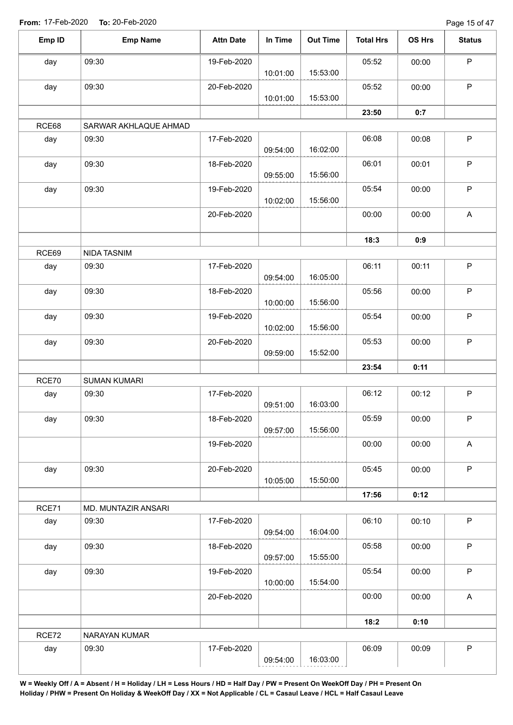Page 15 of 47

| Emp ID | <b>Emp Name</b>       | <b>Attn Date</b> | In Time  | <b>Out Time</b> | <b>Total Hrs</b> | OS Hrs | <b>Status</b>             |
|--------|-----------------------|------------------|----------|-----------------|------------------|--------|---------------------------|
| day    | 09:30                 | 19-Feb-2020      |          |                 | 05:52            | 00:00  | $\mathsf P$               |
|        |                       |                  | 10:01:00 | 15:53:00        |                  |        |                           |
| day    | 09:30                 | 20-Feb-2020      | 10:01:00 | 15:53:00        | 05:52            | 00:00  | P                         |
|        |                       |                  |          |                 |                  |        |                           |
| RCE68  | SARWAR AKHLAQUE AHMAD |                  |          |                 | 23:50            | 0:7    |                           |
| day    | 09:30                 | 17-Feb-2020      |          |                 | 06:08            | 00:08  | $\mathsf P$               |
|        |                       |                  | 09:54:00 | 16:02:00        |                  |        |                           |
| day    | 09:30                 | 18-Feb-2020      |          |                 | 06:01            | 00:01  | P                         |
|        |                       |                  | 09:55:00 | 15:56:00        |                  |        |                           |
| day    | 09:30                 | 19-Feb-2020      |          |                 | 05:54            | 00:00  | P                         |
|        |                       |                  | 10:02:00 | 15:56:00        |                  |        |                           |
|        |                       | 20-Feb-2020      |          |                 | 00:00            | 00:00  | $\mathsf A$               |
|        |                       |                  |          |                 |                  |        |                           |
|        |                       |                  |          |                 | 18:3             | 0:9    |                           |
| RCE69  | NIDA TASNIM           |                  |          |                 |                  |        |                           |
| day    | 09:30                 | 17-Feb-2020      | 09:54:00 | 16:05:00        | 06:11            | 00:11  | $\sf P$                   |
| day    | 09:30                 | 18-Feb-2020      |          |                 | 05:56            | 00:00  | $\mathsf P$               |
|        |                       |                  | 10:00:00 | 15:56:00        |                  |        |                           |
| day    | 09:30                 | 19-Feb-2020      |          |                 | 05:54            | 00:00  | $\sf P$                   |
|        |                       |                  | 10:02:00 | 15:56:00        |                  |        |                           |
| day    | 09:30                 | 20-Feb-2020      |          |                 | 05:53            | 00:00  | $\sf P$                   |
|        |                       |                  | 09:59:00 | 15:52:00        |                  |        |                           |
|        |                       |                  |          |                 | 23:54            | 0:11   |                           |
| RCE70  | <b>SUMAN KUMARI</b>   |                  |          |                 |                  |        |                           |
| day    | 09:30                 | 17-Feb-2020      |          |                 | 06:12            | 00:12  | $\mathsf P$               |
|        |                       |                  | 09:51:00 | 16:03:00        |                  |        |                           |
| day    | 09:30                 | 18-Feb-2020      | 09:57:00 | 15:56:00        | 05:59            | 00:00  | P                         |
|        |                       | 19-Feb-2020      |          |                 | 00:00            | 00:00  | $\mathsf{A}$              |
|        |                       |                  |          |                 |                  |        |                           |
| day    | 09:30                 | 20-Feb-2020      |          |                 | 05:45            | 00:00  | $\mathsf P$               |
|        |                       |                  | 10:05:00 | 15:50:00        |                  |        |                           |
|        |                       |                  |          |                 | 17:56            | 0:12   |                           |
| RCE71  | MD. MUNTAZIR ANSARI   |                  |          |                 |                  |        |                           |
| day    | 09:30                 | 17-Feb-2020      |          |                 | 06:10            | 00:10  | P                         |
|        |                       |                  | 09:54:00 | 16:04:00        |                  |        |                           |
| day    | 09:30                 | 18-Feb-2020      |          |                 | 05:58            | 00:00  | P                         |
|        |                       |                  | 09:57:00 | 15:55:00        |                  |        |                           |
| day    | 09:30                 | 19-Feb-2020      | 10:00:00 | 15:54:00        | 05:54            | 00:00  | $\mathsf P$               |
|        |                       | 20-Feb-2020      |          |                 | 00:00            | 00:00  | $\boldsymbol{\mathsf{A}}$ |
|        |                       |                  |          |                 |                  |        |                           |
|        |                       |                  |          |                 | 18:2             | 0:10   |                           |
| RCE72  | NARAYAN KUMAR         |                  |          |                 |                  |        |                           |
| day    | 09:30                 | 17-Feb-2020      |          |                 | 06:09            | 00:09  | $\sf P$                   |
|        |                       |                  | 09:54:00 | 16:03:00        |                  |        |                           |
|        |                       |                  |          |                 |                  |        |                           |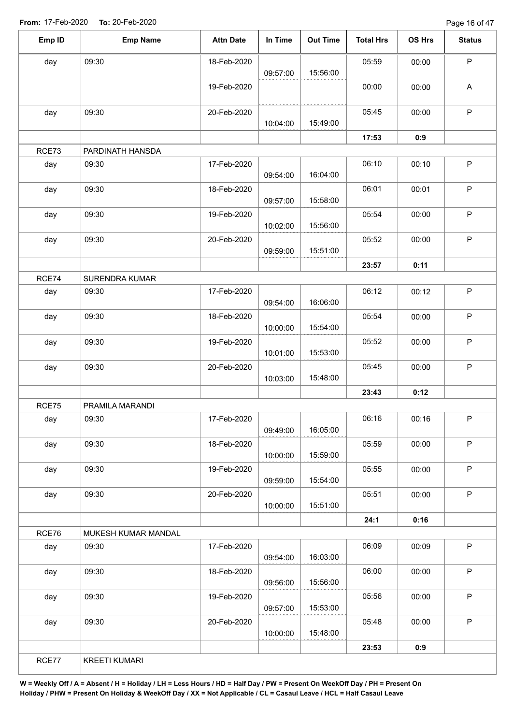Page 16 of 47

| day   | 09:30                | 18-Feb-2020 |          |          |       |       |                           |
|-------|----------------------|-------------|----------|----------|-------|-------|---------------------------|
|       |                      |             | 09:57:00 | 15:56:00 | 05:59 | 00:00 | $\mathsf P$               |
|       |                      | 19-Feb-2020 |          |          | 00:00 | 00:00 | $\boldsymbol{\mathsf{A}}$ |
| day   | 09:30                | 20-Feb-2020 | 10:04:00 | 15:49:00 | 05:45 | 00:00 | $\mathsf P$               |
|       |                      |             |          |          | 17:53 | 0:9   |                           |
| RCE73 | PARDINATH HANSDA     |             |          |          |       |       |                           |
| day   | 09:30                | 17-Feb-2020 | 09:54:00 | 16:04:00 | 06:10 | 00:10 | $\mathsf P$               |
| day   | 09:30                | 18-Feb-2020 | 09:57:00 | 15:58:00 | 06:01 | 00:01 | $\mathsf P$               |
| day   | 09:30                | 19-Feb-2020 | 10:02:00 | 15:56:00 | 05:54 | 00:00 | P                         |
| day   | 09:30                | 20-Feb-2020 | 09:59:00 | 15:51:00 | 05:52 | 00:00 | $\mathsf P$               |
|       |                      |             |          |          | 23:57 | 0:11  |                           |
| RCE74 | SURENDRA KUMAR       |             |          |          |       |       |                           |
| day   | 09:30                | 17-Feb-2020 | 09:54:00 | 16:06:00 | 06:12 | 00:12 | $\mathsf P$               |
| day   | 09:30                | 18-Feb-2020 | 10:00:00 | 15:54:00 | 05:54 | 00:00 | $\sf P$                   |
| day   | 09:30                | 19-Feb-2020 | 10:01:00 | 15:53:00 | 05:52 | 00:00 | $\mathsf P$               |
| day   | 09:30                | 20-Feb-2020 | 10:03:00 | 15:48:00 | 05:45 | 00:00 | $\mathsf P$               |
|       |                      |             |          |          | 23:43 | 0:12  |                           |
| RCE75 | PRAMILA MARANDI      |             |          |          |       |       |                           |
| day   | 09:30                | 17-Feb-2020 | 09:49:00 | 16:05:00 | 06:16 | 00:16 | P                         |
| day   | 09:30                | 18-Feb-2020 | 10:00:00 | 15:59:00 | 05:59 | 00:00 | $\sf P$                   |
| day   | 09:30                | 19-Feb-2020 | 09:59:00 | 15:54:00 | 05:55 | 00:00 | $\mathsf P$               |
| day   | 09:30                | 20-Feb-2020 | 10:00:00 | 15:51:00 | 05:51 | 00:00 | $\mathsf P$               |
|       |                      |             |          |          | 24:1  | 0:16  |                           |
| RCE76 | MUKESH KUMAR MANDAL  |             |          |          |       |       |                           |
| day   | 09:30                | 17-Feb-2020 | 09:54:00 | 16:03:00 | 06:09 | 00:09 | $\mathsf P$               |
| day   | 09:30                | 18-Feb-2020 | 09:56:00 | 15:56:00 | 06:00 | 00:00 | P                         |
| day   | 09:30                | 19-Feb-2020 | 09:57:00 | 15:53:00 | 05:56 | 00:00 | $\mathsf P$               |
| day   | 09:30                | 20-Feb-2020 | 10:00:00 | 15:48:00 | 05:48 | 00:00 | $\mathsf P$               |
|       |                      |             |          |          | 23:53 | 0:9   |                           |
| RCE77 | <b>KREETI KUMARI</b> |             |          |          |       |       |                           |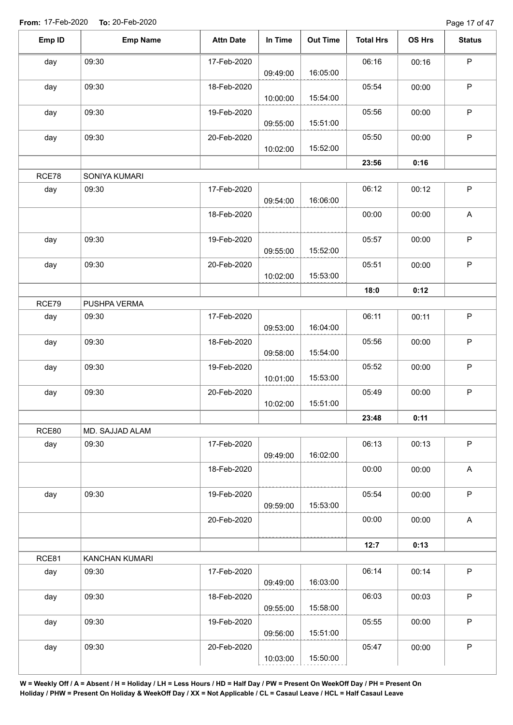Page 17 of 47

| Emp ID       | <b>Emp Name</b>         | <b>Attn Date</b> | In Time  | <b>Out Time</b> | <b>Total Hrs</b> | OS Hrs | <b>Status</b>             |
|--------------|-------------------------|------------------|----------|-----------------|------------------|--------|---------------------------|
| day          | 09:30                   | 17-Feb-2020      |          |                 | 06:16            | 00:16  | $\mathsf P$               |
|              |                         |                  | 09:49:00 | 16:05:00        |                  |        |                           |
| day          | 09:30                   | 18-Feb-2020      | 10:00:00 | 15:54:00        | 05:54            | 00:00  | $\mathsf P$               |
| day          | 09:30                   | 19-Feb-2020      |          |                 | 05:56            | 00:00  | $\mathsf P$               |
|              |                         |                  | 09:55:00 | 15:51:00        |                  |        |                           |
| day          | 09:30                   | 20-Feb-2020      |          |                 | 05:50            | 00:00  | $\sf P$                   |
|              |                         |                  | 10:02:00 | 15:52:00        |                  |        |                           |
|              |                         |                  |          |                 | 23:56            | 0:16   |                           |
| RCE78        | SONIYA KUMARI           |                  |          |                 |                  |        |                           |
| day          | 09:30                   | 17-Feb-2020      |          |                 | 06:12            | 00:12  | $\mathsf P$               |
|              |                         |                  | 09:54:00 | 16:06:00        |                  |        |                           |
|              |                         | 18-Feb-2020      |          |                 | 00:00            | 00:00  | A                         |
|              |                         |                  |          |                 |                  |        |                           |
| day          | 09:30                   | 19-Feb-2020      | 09:55:00 | 15:52:00        | 05:57            | 00:00  | $\sf P$                   |
| day          | 09:30                   | 20-Feb-2020      |          |                 | 05:51            | 00:00  | $\mathsf P$               |
|              |                         |                  | 10:02:00 | 15:53:00        |                  |        |                           |
|              |                         |                  |          |                 | 18:0             | 0:12   |                           |
| RCE79        | PUSHPA VERMA            |                  |          |                 |                  |        |                           |
| day          | 09:30                   | 17-Feb-2020      |          |                 | 06:11            | 00:11  | $\mathsf P$               |
|              |                         |                  | 09:53:00 | 16:04:00        |                  |        |                           |
| day          | 09:30                   | 18-Feb-2020      |          |                 | 05:56            | 00:00  | $\mathsf P$               |
|              |                         |                  | 09:58:00 | 15:54:00        |                  |        |                           |
| day          | 09:30                   | 19-Feb-2020      |          |                 | 05:52            | 00:00  | $\sf P$                   |
|              |                         |                  | 10:01:00 | 15:53:00        |                  |        |                           |
| day          | 09:30                   | 20-Feb-2020      | 10:02:00 | 15:51:00        | 05:49            | 00:00  | $\mathsf P$               |
|              |                         |                  |          |                 | 23:48            | 0:11   |                           |
| <b>RCE80</b> | MD. SAJJAD ALAM         |                  |          |                 |                  |        |                           |
| day          | 09:30                   | 17-Feb-2020      |          |                 | 06:13            | 00:13  | $\mathsf P$               |
|              |                         |                  | 09:49:00 | 16:02:00        |                  |        |                           |
|              |                         | 18-Feb-2020      |          |                 | 00:00            | 00:00  | $\boldsymbol{\mathsf{A}}$ |
|              |                         |                  |          |                 |                  |        |                           |
| day          | 09:30                   | 19-Feb-2020      |          |                 | 05:54            | 00:00  | $\mathsf P$               |
|              |                         |                  | 09:59:00 | 15:53:00        |                  |        |                           |
|              |                         | 20-Feb-2020      |          |                 | 00:00            | 00:00  | $\mathsf A$               |
|              |                         |                  |          |                 |                  |        |                           |
| RCE81        |                         |                  |          |                 | 12:7             | 0:13   |                           |
| day          | KANCHAN KUMARI<br>09:30 | 17-Feb-2020      |          |                 | 06:14            | 00:14  | $\sf P$                   |
|              |                         |                  | 09:49:00 | 16:03:00        |                  |        |                           |
| day          | 09:30                   | 18-Feb-2020      |          |                 | 06:03            | 00:03  | $\mathsf P$               |
|              |                         |                  | 09:55:00 | 15:58:00        |                  |        |                           |
| day          | 09:30                   | 19-Feb-2020      |          |                 | 05:55            | 00:00  | $\mathsf P$               |
|              |                         |                  | 09:56:00 | 15:51:00        |                  |        |                           |
| day          | 09:30                   | 20-Feb-2020      |          |                 | 05:47            | 00:00  | $\mathsf P$               |
|              |                         |                  | 10:03:00 | 15:50:00        |                  |        |                           |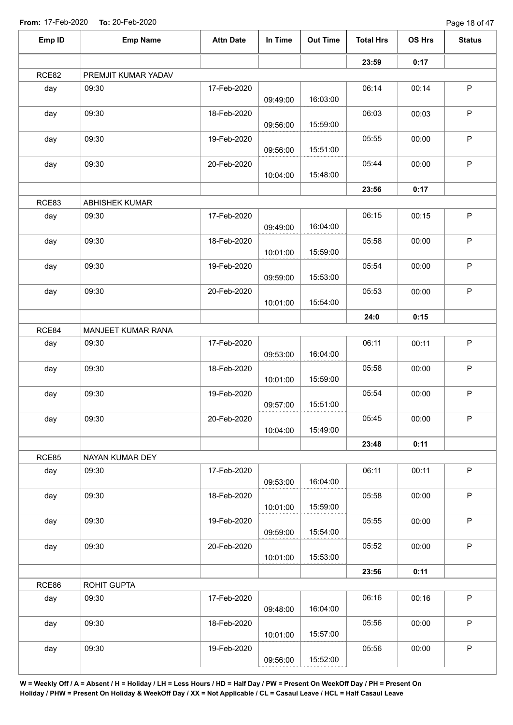| Emp ID | <b>Emp Name</b>       | <b>Attn Date</b> | In Time  | <b>Out Time</b> | <b>Total Hrs</b> | OS Hrs | <b>Status</b> |
|--------|-----------------------|------------------|----------|-----------------|------------------|--------|---------------|
|        |                       |                  |          |                 | 23:59            | 0:17   |               |
| RCE82  | PREMJIT KUMAR YADAV   |                  |          |                 |                  |        |               |
| day    | 09:30                 | 17-Feb-2020      | 09:49:00 | 16:03:00        | 06:14            | 00:14  | P             |
| day    | 09:30                 | 18-Feb-2020      | 09:56:00 | 15:59:00        | 06:03            | 00:03  | $\sf P$       |
| day    | 09:30                 | 19-Feb-2020      | 09:56:00 | 15:51:00        | 05:55            | 00:00  | $\sf P$       |
| day    | 09:30                 | 20-Feb-2020      | 10:04:00 | 15:48:00        | 05:44            | 00:00  | $\mathsf P$   |
|        |                       |                  |          |                 | 23:56            | 0:17   |               |
| RCE83  | <b>ABHISHEK KUMAR</b> |                  |          |                 |                  |        |               |
| day    | 09:30                 | 17-Feb-2020      | 09:49:00 | 16:04:00        | 06:15            | 00:15  | $\mathsf P$   |
| day    | 09:30                 | 18-Feb-2020      | 10:01:00 | 15:59:00        | 05:58            | 00:00  | $\mathsf P$   |
| day    | 09:30                 | 19-Feb-2020      | 09:59:00 | 15:53:00        | 05:54            | 00:00  | $\mathsf P$   |
| day    | 09:30                 | 20-Feb-2020      | 10:01:00 | 15:54:00        | 05:53            | 00:00  | $\mathsf P$   |
|        |                       |                  |          |                 | 24:0             | 0:15   |               |
| RCE84  | MANJEET KUMAR RANA    |                  |          |                 |                  |        |               |
| day    | 09:30                 | 17-Feb-2020      | 09:53:00 | 16:04:00        | 06:11            | 00:11  | $\mathsf P$   |
| day    | 09:30                 | 18-Feb-2020      | 10:01:00 | 15:59:00        | 05:58            | 00:00  | $\mathsf P$   |
| day    | 09:30                 | 19-Feb-2020      | 09:57:00 | 15:51:00        | 05:54            | 00:00  | $\mathsf P$   |
| day    | 09:30                 | 20-Feb-2020      | 10:04:00 | 15:49:00        | 05:45            | 00:00  | P.            |
|        |                       |                  |          |                 | 23:48            | 0:11   |               |
| RCE85  | NAYAN KUMAR DEY       |                  |          |                 |                  |        |               |
| day    | 09:30                 | 17-Feb-2020      | 09:53:00 | 16:04:00        | 06:11            | 00:11  | P             |
| day    | 09:30                 | 18-Feb-2020      | 10:01:00 | 15:59:00        | 05:58            | 00:00  | P             |
| day    | 09:30                 | 19-Feb-2020      | 09:59:00 | 15:54:00        | 05:55            | 00:00  | P             |
| day    | 09:30                 | 20-Feb-2020      | 10:01:00 | 15:53:00        | 05:52            | 00:00  | P             |
|        |                       |                  |          |                 | 23:56            | 0:11   |               |
| RCE86  | ROHIT GUPTA           |                  |          |                 |                  |        |               |
| day    | 09:30                 | 17-Feb-2020      | 09:48:00 | 16:04:00        | 06:16            | 00:16  | P             |
| day    | 09:30                 | 18-Feb-2020      | 10:01:00 | 15:57:00        | 05:56            | 00:00  | P             |
| day    | 09:30                 | 19-Feb-2020      | 09:56:00 | 15:52:00        | 05:56            | 00:00  | $\sf P$       |
|        |                       |                  |          |                 |                  |        |               |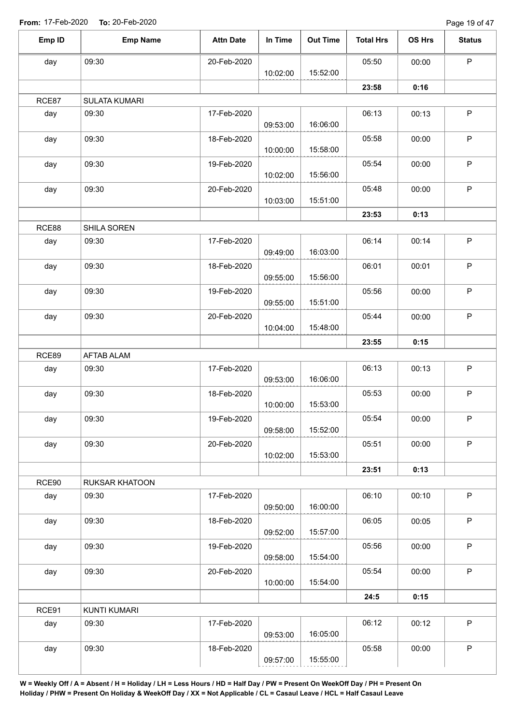Page 19 of 47

| Emp ID | <b>Emp Name</b>     | <b>Attn Date</b> | In Time  | <b>Out Time</b> | <b>Total Hrs</b> | OS Hrs | <b>Status</b> |
|--------|---------------------|------------------|----------|-----------------|------------------|--------|---------------|
| day    | 09:30               | 20-Feb-2020      |          |                 | 05:50            | 00:00  | $\mathsf P$   |
|        |                     |                  | 10:02:00 | 15:52:00        |                  |        |               |
|        |                     |                  |          |                 | 23:58            | 0:16   |               |
| RCE87  | SULATA KUMARI       |                  |          |                 |                  |        |               |
| day    | 09:30               | 17-Feb-2020      |          |                 | 06:13            | 00:13  | $\mathsf P$   |
|        |                     |                  | 09:53:00 | 16:06:00        |                  |        |               |
| day    | 09:30               | 18-Feb-2020      | 10:00:00 | 15:58:00        | 05:58            | 00:00  | $\mathsf P$   |
| day    | 09:30               | 19-Feb-2020      | 10:02:00 | 15:56:00        | 05:54            | 00:00  | $\mathsf P$   |
|        | 09:30               | 20-Feb-2020      |          |                 | 05:48            | 00:00  | $\mathsf P$   |
| day    |                     |                  | 10:03:00 | 15:51:00        |                  |        |               |
|        |                     |                  |          |                 |                  |        |               |
|        |                     |                  |          |                 | 23:53            | 0:13   |               |
| RCE88  | SHILA SOREN         |                  |          |                 |                  |        |               |
| day    | 09:30               | 17-Feb-2020      | 09:49:00 | 16:03:00        | 06:14            | 00:14  | $\mathsf{P}$  |
| day    | 09:30               | 18-Feb-2020      |          |                 | 06:01            | 00:01  | $\mathsf P$   |
|        |                     |                  | 09:55:00 | 15:56:00        |                  |        |               |
| day    | 09:30               | 19-Feb-2020      | 09:55:00 | 15:51:00        | 05:56            | 00:00  | $\sf P$       |
| day    | 09:30               | 20-Feb-2020      |          |                 | 05:44            | 00:00  | $\mathsf P$   |
|        |                     |                  | 10:04:00 | 15:48:00        |                  |        |               |
|        |                     |                  |          |                 | 23:55            | 0:15   |               |
| RCE89  | AFTAB ALAM          |                  |          |                 |                  |        |               |
|        |                     | 17-Feb-2020      |          |                 | 06:13            |        | $\mathsf P$   |
| day    | 09:30               |                  | 09:53:00 | 16:06:00        |                  | 00:13  |               |
|        | 09:30               | 18-Feb-2020      |          |                 | 05:53            | 00:00  | $\sf P$       |
| day    |                     |                  | 10:00:00 | 15:53:00        |                  |        |               |
|        | 09:30               | 19-Feb-2020      |          |                 | 05:54            | 00:00  | P             |
| day    |                     |                  | 09:58:00 | 15:52:00        |                  |        |               |
|        | 09:30               | 20-Feb-2020      |          |                 | 05:51            | 00:00  | P             |
| day    |                     |                  | 10:02:00 | 15:53:00        |                  |        |               |
|        |                     |                  |          |                 | 23:51            | 0:13   |               |
| RCE90  | RUKSAR KHATOON      |                  |          |                 |                  |        |               |
|        |                     | 17-Feb-2020      |          |                 | 06:10            |        | $\mathsf{P}$  |
| day    | 09:30               |                  | 09:50:00 | 16:00:00        |                  | 00:10  |               |
|        | 09:30               | 18-Feb-2020      |          |                 | 06:05            | 00:05  | $\mathsf{P}$  |
| day    |                     |                  | 09:52:00 | 15:57:00        |                  |        |               |
|        | 09:30               | 19-Feb-2020      |          |                 | 05:56            | 00:00  | $\mathsf P$   |
| day    |                     |                  | 09:58:00 | 15:54:00        |                  |        |               |
|        | 09:30               | 20-Feb-2020      |          |                 | 05:54            | 00:00  | $\mathsf P$   |
| day    |                     |                  | 10:00:00 | 15:54:00        |                  |        |               |
|        |                     |                  |          |                 | 24:5             | 0:15   |               |
|        |                     |                  |          |                 |                  |        |               |
| RCE91  | <b>KUNTI KUMARI</b> |                  |          |                 |                  |        | $\mathsf{P}$  |
| day    | 09:30               | 17-Feb-2020      | 09:53:00 | 16:05:00        | 06:12            | 00:12  |               |
|        | 09:30               |                  |          |                 | 05:58            | 00:00  | $\mathsf P$   |
| day    |                     | 18-Feb-2020      | 09:57:00 | 15:55:00        |                  |        |               |
|        |                     |                  |          |                 |                  |        |               |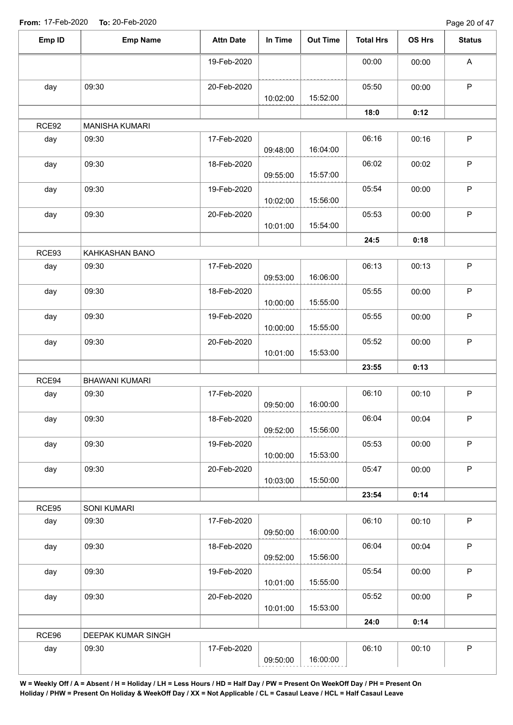Page 20 of 47

| Emp ID | <b>Emp Name</b>       | <b>Attn Date</b> | In Time  | <b>Out Time</b> | <b>Total Hrs</b> | OS Hrs | <b>Status</b> |
|--------|-----------------------|------------------|----------|-----------------|------------------|--------|---------------|
|        |                       | 19-Feb-2020      |          |                 | 00:00            | 00:00  | A             |
| day    | 09:30                 | 20-Feb-2020      | 10:02:00 | 15:52:00        | 05:50            | 00:00  | $\mathsf P$   |
|        |                       |                  |          |                 | 18:0             | 0:12   |               |
| RCE92  | <b>MANISHA KUMARI</b> |                  |          |                 |                  |        |               |
| day    | 09:30                 | 17-Feb-2020      | 09:48:00 | 16:04:00        | 06:16            | 00:16  | $\mathsf P$   |
| day    | 09:30                 | 18-Feb-2020      | 09:55:00 | 15:57:00        | 06:02            | 00:02  | $\mathsf P$   |
| day    | 09:30                 | 19-Feb-2020      | 10:02:00 | 15:56:00        | 05:54            | 00:00  | $\mathsf P$   |
| day    | 09:30                 | 20-Feb-2020      | 10:01:00 | 15:54:00        | 05:53            | 00:00  | $\mathsf P$   |
|        |                       |                  |          |                 | 24:5             | 0:18   |               |
| RCE93  | KAHKASHAN BANO        |                  |          |                 |                  |        |               |
| day    | 09:30                 | 17-Feb-2020      | 09:53:00 | 16:06:00        | 06:13            | 00:13  | $\mathsf P$   |
| day    | 09:30                 | 18-Feb-2020      | 10:00:00 | 15:55:00        | 05:55            | 00:00  | $\sf P$       |
| day    | 09:30                 | 19-Feb-2020      | 10:00:00 | 15:55:00        | 05:55            | 00:00  | $\mathsf P$   |
| day    | 09:30                 | 20-Feb-2020      | 10:01:00 | 15:53:00        | 05:52            | 00:00  | $\mathsf P$   |
|        |                       |                  |          |                 | 23:55            | 0:13   |               |
| RCE94  | <b>BHAWANI KUMARI</b> |                  |          |                 |                  |        |               |
| day    | 09:30                 | 17-Feb-2020      | 09:50:00 | 16:00:00        | 06:10            | 00:10  | $\mathsf P$   |
| day    | 09:30                 | 18-Feb-2020      | 09:52:00 | 15:56:00        | 06:04            | 00:04  | P             |
| day    | 09:30                 | 19-Feb-2020      | 10:00:00 | 15:53:00        | 05:53            | 00:00  | $\mathsf P$   |
| day    | 09:30                 | 20-Feb-2020      | 10:03:00 | 15:50:00        | 05:47            | 00:00  | $\mathsf P$   |
|        |                       |                  |          |                 | 23:54            | 0:14   |               |
| RCE95  | <b>SONI KUMARI</b>    |                  |          |                 |                  |        |               |
| day    | 09:30                 | 17-Feb-2020      | 09:50:00 | 16:00:00        | 06:10            | 00:10  | $\mathsf P$   |
| day    | 09:30                 | 18-Feb-2020      | 09:52:00 | 15:56:00        | 06:04            | 00:04  | $\mathsf P$   |
| day    | 09:30                 | 19-Feb-2020      | 10:01:00 | 15:55:00        | 05:54            | 00:00  | $\mathsf P$   |
| day    | 09:30                 | 20-Feb-2020      | 10:01:00 | 15:53:00        | 05:52            | 00:00  | $\mathsf P$   |
|        |                       |                  |          |                 | 24:0             | 0:14   |               |
| RCE96  | DEEPAK KUMAR SINGH    |                  |          |                 |                  |        |               |
| day    | 09:30                 | 17-Feb-2020      | 09:50:00 | 16:00:00        | 06:10            | 00:10  | $\sf P$       |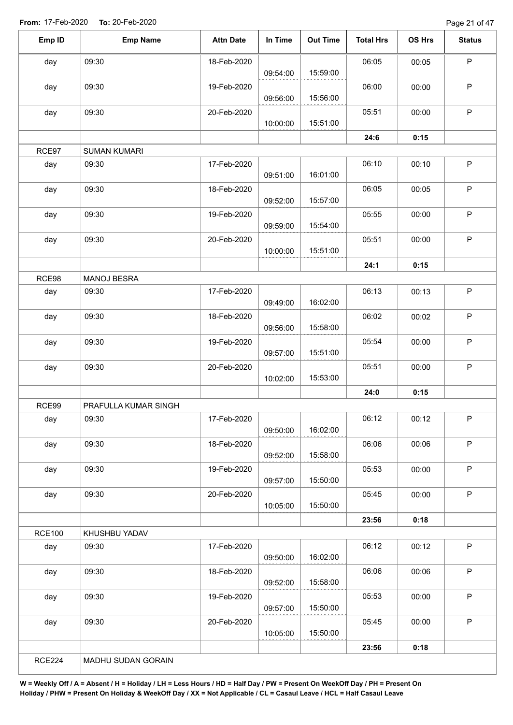Page 21 of 47

| Emp ID        | <b>Emp Name</b>      | <b>Attn Date</b> | In Time  | <b>Out Time</b> | <b>Total Hrs</b> | OS Hrs | <b>Status</b> |
|---------------|----------------------|------------------|----------|-----------------|------------------|--------|---------------|
| day           | 09:30                | 18-Feb-2020      |          |                 | 06:05            | 00:05  | $\mathsf P$   |
|               |                      |                  | 09:54:00 | 15:59:00        |                  |        |               |
| day           | 09:30                | 19-Feb-2020      | 09:56:00 | 15:56:00        | 06:00            | 00:00  | $\mathsf P$   |
| day           | 09:30                | 20-Feb-2020      | 10:00:00 | 15:51:00        | 05:51            | 00:00  | $\mathsf P$   |
|               |                      |                  |          |                 | 24:6             | 0:15   |               |
| RCE97         | <b>SUMAN KUMARI</b>  |                  |          |                 |                  |        |               |
| day           | 09:30                | 17-Feb-2020      |          |                 | 06:10            | 00:10  | $\sf P$       |
|               |                      |                  | 09:51:00 | 16:01:00        |                  |        |               |
| day           | 09:30                | 18-Feb-2020      | 09:52:00 | 15:57:00        | 06:05            | 00:05  | $\sf P$       |
| day           | 09:30                | 19-Feb-2020      |          |                 | 05:55            | 00:00  | $\sf P$       |
|               |                      |                  | 09:59:00 | 15:54:00        |                  |        |               |
| day           | 09:30                | 20-Feb-2020      | 10:00:00 | 15:51:00        | 05:51            | 00:00  | $\sf P$       |
|               |                      |                  |          |                 | 24:1             | 0:15   |               |
| RCE98         | MANOJ BESRA          |                  |          |                 |                  |        |               |
| day           | 09:30                | 17-Feb-2020      |          |                 | 06:13            | 00:13  | $\mathsf P$   |
|               |                      |                  | 09:49:00 | 16:02:00        |                  |        |               |
| day           | 09:30                | 18-Feb-2020      | 09:56:00 | 15:58:00        | 06:02            | 00:02  | $\sf P$       |
|               | 09:30                |                  |          |                 |                  |        | $\sf P$       |
| day           |                      | 19-Feb-2020      | 09:57:00 | 15:51:00        | 05:54            | 00:00  |               |
| day           | 09:30                | 20-Feb-2020      |          |                 | 05:51            | 00:00  | $\sf P$       |
|               |                      |                  | 10:02:00 | 15:53:00        |                  |        |               |
|               |                      |                  |          |                 | 24:0             | 0:15   |               |
| RCE99         | PRAFULLA KUMAR SINGH |                  |          |                 |                  |        |               |
| day           | 09:30                | 17-Feb-2020      | 09:50:00 | 16:02:00        | 06:12            | 00:12  | P.            |
| day           | 09:30                | 18-Feb-2020      | 09:52:00 | 15:58:00        | 06:06            | 00:06  | $\mathsf P$   |
| day           | 09:30                | 19-Feb-2020      | 09:57:00 | 15:50:00        | 05:53            | 00:00  | $\sf P$       |
| day           | 09:30                | 20-Feb-2020      | 10:05:00 | 15:50:00        | 05:45            | 00:00  | $\mathsf P$   |
|               |                      |                  |          |                 | 23:56            | 0:18   |               |
| <b>RCE100</b> | KHUSHBU YADAV        |                  |          |                 |                  |        |               |
| day           | 09:30                | 17-Feb-2020      | 09:50:00 | 16:02:00        | 06:12            | 00:12  | $\mathsf{P}$  |
| day           | 09:30                | 18-Feb-2020      | 09:52:00 | 15:58:00        | 06:06            | 00:06  | $\mathsf P$   |
| day           | 09:30                | 19-Feb-2020      |          |                 | 05:53            | 00:00  | $\mathsf P$   |
|               |                      |                  | 09:57:00 | 15:50:00        |                  |        |               |
| day           | 09:30                | 20-Feb-2020      |          |                 | 05:45            | 00:00  | $\mathsf P$   |
|               |                      |                  | 10:05:00 | 15:50:00        |                  |        |               |
|               | MADHU SUDAN GORAIN   |                  |          |                 | 23:56            | 0:18   |               |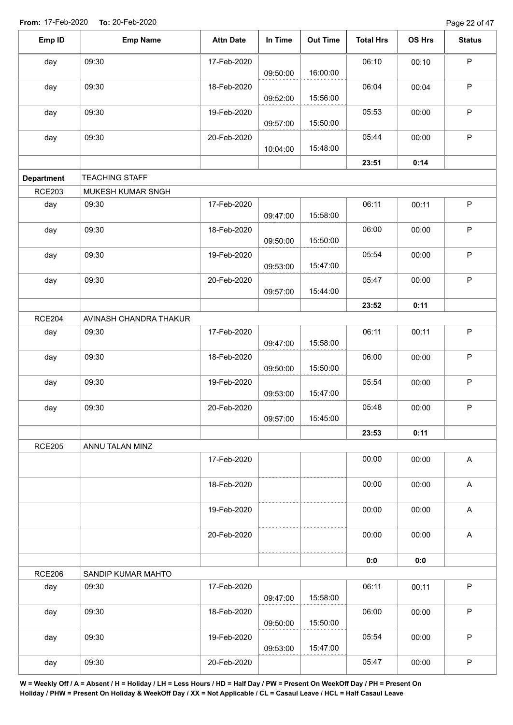Page 22 of 47

| Emp ID            | <b>Emp Name</b>        | <b>Attn Date</b> | In Time  | <b>Out Time</b> | <b>Total Hrs</b> | OS Hrs | <b>Status</b>             |
|-------------------|------------------------|------------------|----------|-----------------|------------------|--------|---------------------------|
| day               | 09:30                  | 17-Feb-2020      |          |                 | 06:10            | 00:10  | $\mathsf P$               |
|                   |                        |                  | 09:50:00 | 16:00:00        |                  |        |                           |
| day               | 09:30                  | 18-Feb-2020      | 09:52:00 | 15:56:00        | 06:04            | 00:04  | P                         |
| day               | 09:30                  | 19-Feb-2020      | 09:57:00 | 15:50:00        | 05:53            | 00:00  | $\mathsf P$               |
|                   | 09:30                  | 20-Feb-2020      |          |                 | 05:44            | 00:00  | $\mathsf P$               |
| day               |                        |                  | 10:04:00 | 15:48:00        |                  |        |                           |
|                   |                        |                  |          |                 | 23:51            | 0:14   |                           |
| <b>Department</b> | <b>TEACHING STAFF</b>  |                  |          |                 |                  |        |                           |
| <b>RCE203</b>     | MUKESH KUMAR SNGH      |                  |          |                 |                  |        |                           |
| day               | 09:30                  | 17-Feb-2020      | 09:47:00 | 15:58:00        | 06:11            | 00:11  | $\sf P$                   |
| day               | 09:30                  | 18-Feb-2020      | 09:50:00 | 15:50:00        | 06:00            | 00:00  | $\mathsf P$               |
| day               | 09:30                  | 19-Feb-2020      | 09:53:00 | 15:47:00        | 05:54            | 00:00  | $\sf P$                   |
| day               | 09:30                  | 20-Feb-2020      |          |                 | 05:47            | 00:00  | $\mathsf P$               |
|                   |                        |                  | 09:57:00 | 15:44:00        |                  |        |                           |
|                   |                        |                  |          |                 | 23:52            | 0:11   |                           |
| <b>RCE204</b>     | AVINASH CHANDRA THAKUR |                  |          |                 |                  |        |                           |
| day               | 09:30                  | 17-Feb-2020      | 09:47:00 | 15:58:00        | 06:11            | 00:11  | $\mathsf P$               |
| day               | 09:30                  | 18-Feb-2020      | 09:50:00 | 15:50:00        | 06:00            | 00:00  | $\sf P$                   |
| day               | 09:30                  | 19-Feb-2020      | 09:53:00 | 15:47:00        | 05:54            | 00:00  | $\sf P$                   |
| day               | 09:30                  | 20-Feb-2020      | 09:57:00 | 15:45:00        | 05:48            | 00:00  | P                         |
|                   |                        |                  |          |                 | 23:53            | 0:11   |                           |
| <b>RCE205</b>     | ANNU TALAN MINZ        |                  |          |                 |                  |        |                           |
|                   |                        | 17-Feb-2020      |          |                 | 00:00            | 00:00  | $\boldsymbol{\mathsf{A}}$ |
|                   |                        | 18-Feb-2020      |          |                 | 00:00            | 00:00  | $\boldsymbol{\mathsf{A}}$ |
|                   |                        | 19-Feb-2020      |          |                 | 00:00            | 00:00  | A                         |
|                   |                        | 20-Feb-2020      |          |                 | 00:00            | 00:00  | $\boldsymbol{\mathsf{A}}$ |
|                   |                        |                  |          |                 | 0:0              | 0:0    |                           |
| <b>RCE206</b>     | SANDIP KUMAR MAHTO     |                  |          |                 |                  |        |                           |
| day               | 09:30                  | 17-Feb-2020      | 09:47:00 | 15:58:00        | 06:11            | 00:11  | $\sf P$                   |
| day               | 09:30                  | 18-Feb-2020      | 09:50:00 | 15:50:00        | 06:00            | 00:00  | $\mathsf P$               |
| day               | 09:30                  | 19-Feb-2020      |          |                 | 05:54            | 00:00  | $\sf P$                   |
|                   |                        |                  | 09:53:00 | 15:47:00        |                  |        |                           |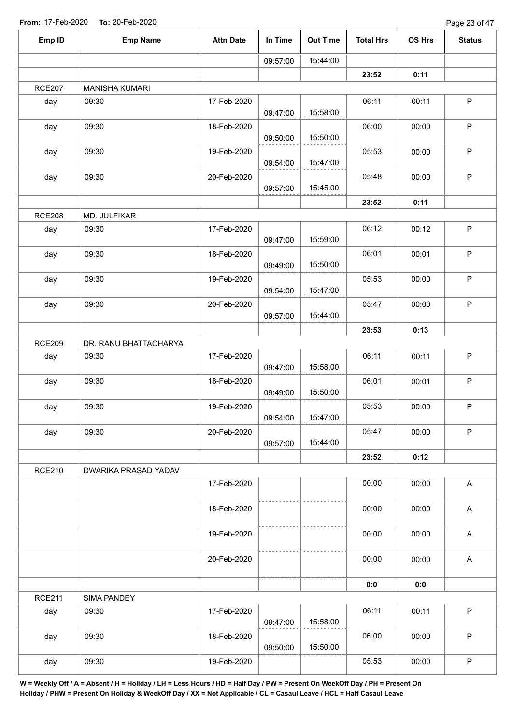| Emp ID        | <b>Emp Name</b>       | <b>Attn Date</b> | In Time  | <b>Out Time</b> | <b>Total Hrs</b> | OS Hrs | <b>Status</b> |
|---------------|-----------------------|------------------|----------|-----------------|------------------|--------|---------------|
|               |                       |                  | 09:57:00 | 15:44:00        |                  |        |               |
|               |                       |                  |          |                 | 23:52            | 0:11   |               |
| <b>RCE207</b> | MANISHA KUMARI        |                  |          |                 |                  |        |               |
| day           | 09:30                 | 17-Feb-2020      | 09:47:00 | 15:58:00        | 06:11            | 00:11  | $\mathsf P$   |
| day           | 09:30                 | 18-Feb-2020      | 09:50:00 | 15:50:00        | 06:00            | 00:00  | $\mathsf P$   |
| day           | 09:30                 | 19-Feb-2020      | 09:54:00 | 15:47:00        | 05:53            | 00:00  | $\sf P$       |
| day           | 09:30                 | 20-Feb-2020      | 09:57:00 | 15:45:00        | 05:48            | 00:00  | $\mathsf P$   |
|               |                       |                  |          |                 | 23:52            | 0:11   |               |
| <b>RCE208</b> | MD. JULFIKAR          |                  |          |                 |                  |        |               |
| day           | 09:30                 | 17-Feb-2020      | 09:47:00 | 15:59:00        | 06:12            | 00:12  | $\mathsf P$   |
| day           | 09:30                 | 18-Feb-2020      | 09:49:00 | 15:50:00        | 06:01            | 00:01  | $\sf P$       |
| day           | 09:30                 | 19-Feb-2020      | 09:54:00 | 15:47:00        | 05:53            | 00:00  | $\mathsf P$   |
| day           | 09:30                 | 20-Feb-2020      | 09:57:00 | 15:44:00        | 05:47            | 00:00  | $\sf P$       |
|               |                       |                  |          |                 | 23:53            | 0:13   |               |
| <b>RCE209</b> | DR. RANU BHATTACHARYA |                  |          |                 |                  |        |               |
| day           | 09:30                 | 17-Feb-2020      | 09:47:00 | 15:58:00        | 06:11            | 00:11  | $\mathsf P$   |
| day           | 09:30                 | 18-Feb-2020      | 09:49:00 | 15:50:00        | 06:01            | 00:01  | $\mathsf P$   |
| day           | 09:30                 | 19-Feb-2020      | 09:54:00 | 15:47:00        | 05:53            | 00:00  | $\mathsf P$   |
| day           | 09:30                 | 20-Feb-2020      | 09:57:00 | 15:44:00        | 05:47            | 00:00  | $\mathsf{P}$  |
|               |                       |                  |          |                 | 23:52            | 0:12   |               |
| <b>RCE210</b> | DWARIKA PRASAD YADAV  | 17-Feb-2020      |          |                 | 00:00            | 00:00  | A             |
|               |                       | 18-Feb-2020      |          |                 | 00:00            | 00:00  | $\mathsf{A}$  |
|               |                       | 19-Feb-2020      |          |                 | 00:00            | 00:00  | A             |
|               |                       | 20-Feb-2020      |          |                 | 00:00            | 00:00  | $\mathsf{A}$  |
|               |                       |                  |          |                 | 0:0              | 0:0    |               |
| <b>RCE211</b> | SIMA PANDEY           |                  |          |                 |                  |        |               |
| day           | 09:30                 | 17-Feb-2020      | 09:47:00 | 15:58:00        | 06:11            | 00:11  | $\mathsf P$   |
| day           | 09:30                 | 18-Feb-2020      | 09:50:00 | 15:50:00        | 06:00            | 00:00  | $\mathsf P$   |
| day           | 09:30                 | 19-Feb-2020      |          |                 | 05:53            | 00:00  | $\sf P$       |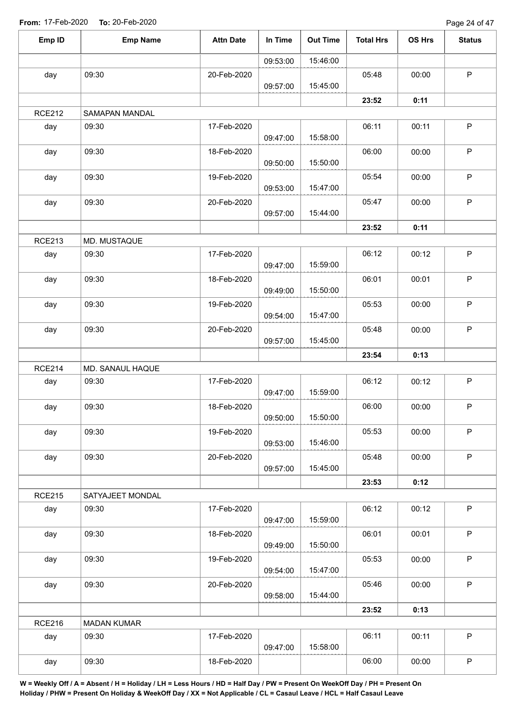Page 24 of 47

| Emp ID        | <b>Emp Name</b>    | <b>Attn Date</b> | In Time  | <b>Out Time</b> | <b>Total Hrs</b> | OS Hrs | <b>Status</b> |
|---------------|--------------------|------------------|----------|-----------------|------------------|--------|---------------|
|               |                    |                  | 09:53:00 | 15:46:00        |                  |        |               |
| day           | 09:30              | 20-Feb-2020      | 09:57:00 | 15:45:00        | 05:48            | 00:00  | $\mathsf P$   |
|               |                    |                  |          |                 | 23:52            | 0:11   |               |
| <b>RCE212</b> | SAMAPAN MANDAL     |                  |          |                 |                  |        |               |
| day           | 09:30              | 17-Feb-2020      |          |                 | 06:11            | 00:11  | $\mathsf P$   |
|               |                    |                  | 09:47:00 | 15:58:00        |                  |        |               |
| day           | 09:30              | 18-Feb-2020      | 09:50:00 | 15:50:00        | 06:00            | 00:00  | $\mathsf P$   |
| day           | 09:30              | 19-Feb-2020      | 09:53:00 | 15:47:00        | 05:54            | 00:00  | $\sf P$       |
| day           | 09:30              | 20-Feb-2020      | 09:57:00 | 15:44:00        | 05:47            | 00:00  | $\mathsf P$   |
|               |                    |                  |          |                 | 23:52            | 0:11   |               |
| <b>RCE213</b> | MD. MUSTAQUE       |                  |          |                 |                  |        |               |
| day           | 09:30              | 17-Feb-2020      | 09:47:00 | 15:59:00        | 06:12            | 00:12  | $\sf P$       |
| day           | 09:30              | 18-Feb-2020      | 09:49:00 | 15:50:00        | 06:01            | 00:01  | $\mathsf P$   |
| day           | 09:30              | 19-Feb-2020      | 09:54:00 | 15:47:00        | 05:53            | 00:00  | $\mathsf P$   |
| day           | 09:30              | 20-Feb-2020      | 09:57:00 | 15:45:00        | 05:48            | 00:00  | $\sf P$       |
|               |                    |                  |          |                 | 23:54            | 0:13   |               |
| <b>RCE214</b> | MD. SANAUL HAQUE   |                  |          |                 |                  |        |               |
| day           | 09:30              | 17-Feb-2020      | 09:47:00 | 15:59:00        | 06:12            | 00:12  | $\mathsf P$   |
| day           | 09:30              | 18-Feb-2020      | 09:50:00 | 15:50:00        | 06:00            | 00:00  | P             |
| day           | 09:30              | 19-Feb-2020      | 09:53:00 | 15:46:00        | 05:53            | 00:00  | $\mathsf P$   |
| day           | 09:30              | 20-Feb-2020      | 09:57:00 | 15:45:00        | 05:48            | 00:00  | $\mathsf P$   |
|               |                    |                  |          |                 | 23:53            | 0:12   |               |
| <b>RCE215</b> | SATYAJEET MONDAL   |                  |          |                 |                  |        |               |
| day           | 09:30              | 17-Feb-2020      | 09:47:00 | 15:59:00        | 06:12            | 00:12  | $\sf P$       |
| day           | 09:30              | 18-Feb-2020      | 09:49:00 | 15:50:00        | 06:01            | 00:01  | P             |
| day           | 09:30              | 19-Feb-2020      | 09:54:00 | 15:47:00        | 05:53            | 00:00  | $\mathsf P$   |
| day           | 09:30              | 20-Feb-2020      | 09:58:00 | 15:44:00        | 05:46            | 00:00  | $\mathsf P$   |
|               |                    |                  |          |                 | 23:52            | 0:13   |               |
| <b>RCE216</b> | <b>MADAN KUMAR</b> |                  |          |                 |                  |        |               |
| day           | 09:30              | 17-Feb-2020      | 09:47:00 | 15:58:00        | 06:11            | 00:11  | $\mathsf P$   |
| day           | 09:30              | 18-Feb-2020      |          |                 | 06:00            | 00:00  | $\sf P$       |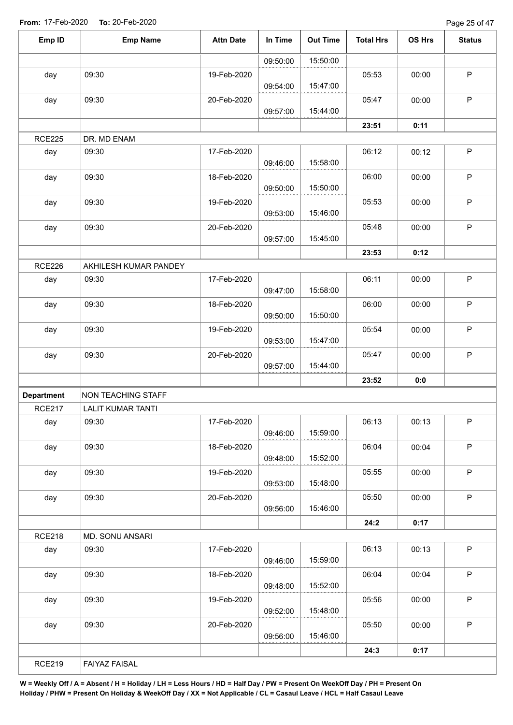| Emp ID               | <b>Emp Name</b>                                       | <b>Attn Date</b> | In Time  | <b>Out Time</b> | <b>Total Hrs</b> | OS Hrs | <b>Status</b> |
|----------------------|-------------------------------------------------------|------------------|----------|-----------------|------------------|--------|---------------|
|                      |                                                       |                  | 09:50:00 | 15:50:00        |                  |        |               |
| day                  | 09:30                                                 | 19-Feb-2020      |          |                 | 05:53            | 00:00  | $\mathsf P$   |
|                      |                                                       |                  | 09:54:00 | 15:47:00        |                  |        |               |
| day                  | 09:30                                                 | 20-Feb-2020      |          |                 | 05:47            | 00:00  | $\sf P$       |
|                      |                                                       |                  | 09:57:00 | 15:44:00        | 23:51            | 0:11   |               |
| <b>RCE225</b>        | DR. MD ENAM                                           |                  |          |                 |                  |        |               |
| day                  | 09:30                                                 | 17-Feb-2020      |          |                 | 06:12            | 00:12  | $\sf P$       |
|                      |                                                       |                  | 09:46:00 | 15:58:00        |                  |        |               |
| day                  | 09:30                                                 | 18-Feb-2020      | 09:50:00 | 15:50:00        | 06:00            | 00:00  | $\mathsf P$   |
| day                  | 09:30                                                 | 19-Feb-2020      |          |                 | 05:53            | 00:00  | $\sf P$       |
|                      |                                                       |                  | 09:53:00 | 15:46:00        |                  |        |               |
| day                  | 09:30                                                 | 20-Feb-2020      |          |                 | 05:48            | 00:00  | $\mathsf P$   |
|                      |                                                       |                  | 09:57:00 | 15:45:00        |                  |        |               |
|                      |                                                       |                  |          |                 | 23:53            | 0:12   |               |
| <b>RCE226</b>        | AKHILESH KUMAR PANDEY                                 |                  |          |                 |                  |        |               |
| day                  | 09:30                                                 | 17-Feb-2020      | 09:47:00 | 15:58:00        | 06:11            | 00:00  | $\mathsf P$   |
| day                  | 09:30                                                 | 18-Feb-2020      |          |                 | 06:00            | 00:00  | $\sf P$       |
|                      |                                                       |                  | 09:50:00 | 15:50:00        |                  |        |               |
| day                  | 09:30                                                 | 19-Feb-2020      |          |                 | 05:54            | 00:00  | $\mathsf P$   |
|                      |                                                       |                  | 09:53:00 | 15:47:00        |                  |        |               |
| day                  | 09:30                                                 | 20-Feb-2020      |          |                 | 05:47            | 00:00  | $\sf P$       |
|                      |                                                       |                  | 09:57:00 | 15:44:00        |                  |        |               |
|                      |                                                       |                  |          |                 | 23:52            | 0:0    |               |
| <b>Department</b>    | <b>NON TEACHING STAFF</b><br><b>LALIT KUMAR TANTI</b> |                  |          |                 |                  |        |               |
| <b>RCE217</b><br>day | 09:30                                                 | 17-Feb-2020      |          |                 | 06:13            | 00:13  | P             |
|                      |                                                       |                  | 09:46:00 | 15:59:00        |                  |        |               |
| day                  | 09:30                                                 | 18-Feb-2020      |          |                 | 06:04            | 00:04  | P             |
|                      |                                                       |                  | 09:48:00 | 15:52:00        |                  |        |               |
| day                  | 09:30                                                 | 19-Feb-2020      | 09:53:00 | 15:48:00        | 05:55            | 00:00  | $\mathsf P$   |
| day                  | 09:30                                                 | 20-Feb-2020      |          |                 | 05:50            | 00:00  | P             |
|                      |                                                       |                  | 09:56:00 | 15:46:00        |                  |        |               |
|                      |                                                       |                  |          |                 | 24:2             | 0:17   |               |
| <b>RCE218</b>        | MD. SONU ANSARI                                       |                  |          |                 |                  |        |               |
| day                  | 09:30                                                 | 17-Feb-2020      | 09:46:00 | 15:59:00        | 06:13            | 00:13  | P             |
| day                  | 09:30                                                 | 18-Feb-2020      | 09:48:00 | 15:52:00        | 06:04            | 00:04  | $\mathsf P$   |
| day                  | 09:30                                                 | 19-Feb-2020      |          |                 | 05:56            | 00:00  | $\mathsf P$   |
|                      |                                                       |                  | 09:52:00 | 15:48:00        |                  |        |               |
| day                  | 09:30                                                 | 20-Feb-2020      | 09:56:00 | 15:46:00        | 05:50            | 00:00  | $\mathsf{P}$  |
|                      |                                                       |                  |          |                 | 24:3             | 0:17   |               |
| <b>RCE219</b>        | <b>FAIYAZ FAISAL</b>                                  |                  |          |                 |                  |        |               |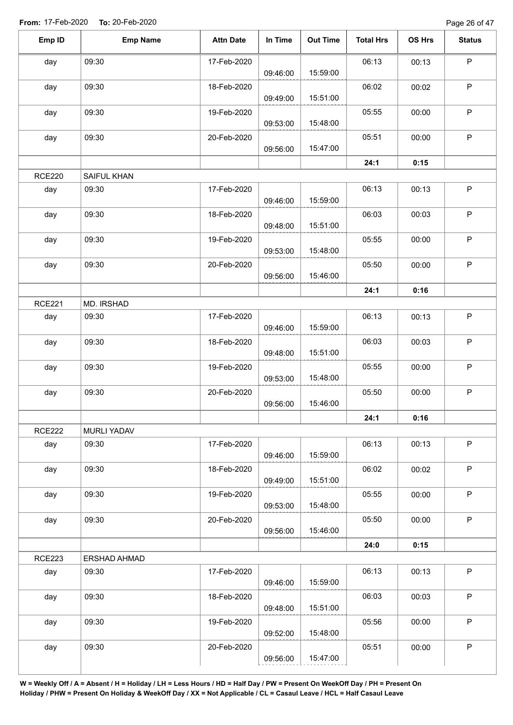Page 26 of 47

| Emp ID        | <b>Emp Name</b>    | <b>Attn Date</b> | In Time  | <b>Out Time</b> | <b>Total Hrs</b> | OS Hrs | <b>Status</b> |
|---------------|--------------------|------------------|----------|-----------------|------------------|--------|---------------|
| day           | 09:30              | 17-Feb-2020      |          |                 | 06:13            | 00:13  | $\mathsf P$   |
|               |                    |                  | 09:46:00 | 15:59:00        |                  |        |               |
| day           | 09:30              | 18-Feb-2020      | 09:49:00 | 15:51:00        | 06:02            | 00:02  | $\mathsf P$   |
| day           | 09:30              | 19-Feb-2020      | 09:53:00 | 15:48:00        | 05:55            | 00:00  | $\mathsf P$   |
| day           | 09:30              | 20-Feb-2020      |          |                 | 05:51            | 00:00  | $\mathsf P$   |
|               |                    |                  | 09:56:00 | 15:47:00        |                  |        |               |
|               |                    |                  |          |                 | 24:1             | 0:15   |               |
| <b>RCE220</b> | SAIFUL KHAN        |                  |          |                 |                  |        |               |
| day           | 09:30              | 17-Feb-2020      | 09:46:00 | 15:59:00        | 06:13            | 00:13  | $\mathsf P$   |
| day           | 09:30              | 18-Feb-2020      | 09:48:00 | 15:51:00        | 06:03            | 00:03  | $\sf P$       |
| day           | 09:30              | 19-Feb-2020      | 09:53:00 | 15:48:00        | 05:55            | 00:00  | $\mathsf P$   |
| day           | 09:30              | 20-Feb-2020      | 09:56:00 | 15:46:00        | 05:50            | 00:00  | $\sf P$       |
|               |                    |                  |          |                 | 24:1             | 0:16   |               |
| <b>RCE221</b> | MD. IRSHAD         |                  |          |                 |                  |        |               |
| day           | 09:30              | 17-Feb-2020      |          |                 | 06:13            | 00:13  | $\sf P$       |
|               |                    |                  | 09:46:00 | 15:59:00        |                  |        |               |
| day           | 09:30              | 18-Feb-2020      | 09:48:00 | 15:51:00        | 06:03            | 00:03  | $\mathsf P$   |
| day           | 09:30              | 19-Feb-2020      | 09:53:00 | 15:48:00        | 05:55            | 00:00  | $\mathsf P$   |
| day           | 09:30              | 20-Feb-2020      | 09:56:00 | 15:46:00        | 05:50            | 00:00  | $\sf P$       |
|               |                    |                  |          |                 | 24:1             | 0:16   |               |
| <b>RCE222</b> | <b>MURLI YADAV</b> |                  |          |                 |                  |        |               |
| day           | 09:30              | 17-Feb-2020      | 09:46:00 | 15:59:00        | 06:13            | 00:13  | P             |
| day           | 09:30              | 18-Feb-2020      |          |                 | 06:02            | 00:02  | $\mathsf P$   |
|               |                    |                  | 09:49:00 | 15:51:00        |                  |        |               |
| day           | 09:30              | 19-Feb-2020      | 09:53:00 | 15:48:00        | 05:55            | 00:00  | P             |
| day           | 09:30              | 20-Feb-2020      | 09:56:00 | 15:46:00        | 05:50            | 00:00  | $\mathsf P$   |
|               |                    |                  |          |                 | 24:0             | 0:15   |               |
| <b>RCE223</b> | ERSHAD AHMAD       |                  |          |                 |                  |        |               |
| day           | 09:30              | 17-Feb-2020      | 09:46:00 | 15:59:00        | 06:13            | 00:13  | $\mathsf P$   |
| day           | 09:30              | 18-Feb-2020      |          |                 | 06:03            | 00:03  | $\sf P$       |
|               |                    |                  | 09:48:00 | 15:51:00        |                  |        |               |
| day           | 09:30              | 19-Feb-2020      | 09:52:00 | 15:48:00        | 05:56            | 00:00  | $\mathsf P$   |
| day           | 09:30              | 20-Feb-2020      |          |                 | 05:51            | 00:00  | $\sf P$       |
|               |                    |                  | 09:56:00 | 15:47:00        |                  |        |               |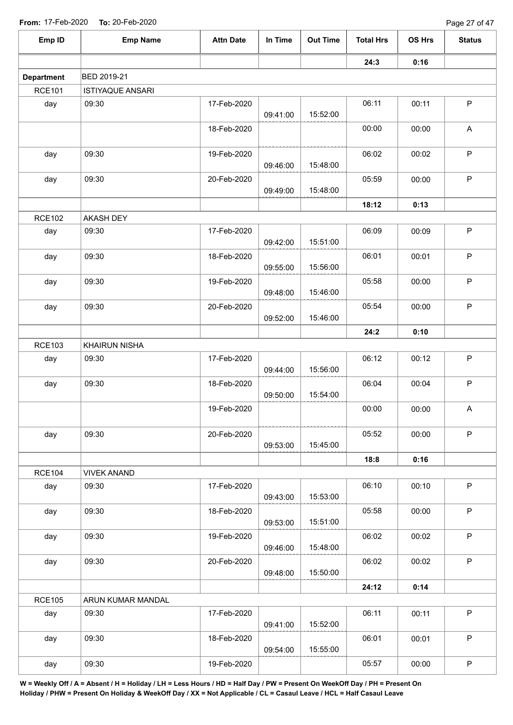| <b>From:</b> 17-Feb-2020 | <b>10: 20-FED-2020</b>  |                  |          |                 |                  |        | Page 27 or 47 |
|--------------------------|-------------------------|------------------|----------|-----------------|------------------|--------|---------------|
| Emp ID                   | <b>Emp Name</b>         | <b>Attn Date</b> | In Time  | <b>Out Time</b> | <b>Total Hrs</b> | OS Hrs | <b>Status</b> |
|                          |                         |                  |          |                 | 24:3             | 0:16   |               |
| <b>Department</b>        | BED 2019-21             |                  |          |                 |                  |        |               |
| <b>RCE101</b>            | <b>ISTIYAQUE ANSARI</b> |                  |          |                 |                  |        |               |
| day                      | 09:30                   | 17-Feb-2020      | 09:41:00 | 15:52:00        | 06:11            | 00:11  | $\mathsf{P}$  |
|                          |                         | 18-Feb-2020      |          |                 | 00:00            | 00:00  | A             |
| day                      | 09:30                   | 19-Feb-2020      | 09:46:00 | 15:48:00        | 06:02            | 00:02  | $\mathsf P$   |
| day                      | 09:30                   | 20-Feb-2020      | 09:49:00 | 15:48:00        | 05:59            | 00:00  | $\sf P$       |
|                          |                         |                  |          |                 |                  |        |               |
|                          |                         |                  |          |                 | 18:12            | 0:13   |               |
| <b>RCE102</b>            | AKASH DEY               |                  |          |                 |                  |        |               |
| day                      | 09:30                   | 17-Feb-2020      | 09:42:00 | 15:51:00        | 06:09            | 00:09  | P             |
| day                      | 09:30                   | 18-Feb-2020      | 09:55:00 | 15:56:00        | 06:01            | 00:01  | $\sf P$       |
| day                      | 09:30                   | 19-Feb-2020      | 09:48:00 | 15:46:00        | 05:58            | 00:00  | P             |
| day                      | 09:30                   | 20-Feb-2020      | 09:52:00 | 15:46:00        | 05:54            | 00:00  | P             |
|                          |                         |                  |          |                 | 24:2             | 0:10   |               |
| <b>RCE103</b>            | <b>KHAIRUN NISHA</b>    |                  |          |                 |                  |        |               |
| day                      | 09:30                   | 17-Feb-2020      | 09:44:00 | 15:56:00        | 06:12            | 00:12  | P             |
| day                      | 09:30                   | 18-Feb-2020      | 09:50:00 | 15:54:00        | 06:04            | 00:04  | $\mathsf P$   |
|                          |                         | 19-Feb-2020      |          |                 | 00:00            | 00:00  | A             |
| day                      | 09:30                   | 20-Feb-2020      | 09:53:00 | 15:45:00        | 05:52            | 00:00  | $\mathsf P$   |
|                          |                         |                  |          |                 | 18:8             | 0:16   |               |
| <b>RCE104</b>            | <b>VIVEK ANAND</b>      |                  |          |                 |                  |        |               |
| day                      | 09:30                   | 17-Feb-2020      | 09:43:00 | 15:53:00        | 06:10            | 00:10  | P             |
| day                      | 09:30                   | 18-Feb-2020      | 09:53:00 | 15:51:00        | 05:58            | 00:00  | P             |
| day                      | 09:30                   | 19-Feb-2020      | 09:46:00 | 15:48:00        | 06:02            | 00:02  | P             |
| day                      | 09:30                   | 20-Feb-2020      |          |                 | 06:02            | 00:02  | P             |
|                          |                         |                  | 09:48:00 | 15:50:00        |                  |        |               |
|                          |                         |                  |          |                 | 24:12            | 0:14   |               |
| <b>RCE105</b>            | ARUN KUMAR MANDAL       |                  |          |                 |                  |        |               |
| day                      | 09:30                   | 17-Feb-2020      | 09:41:00 | 15:52:00        | 06:11            | 00:11  | P             |
| day                      | 09:30                   | 18-Feb-2020      | 09:54:00 | 15:55:00        | 06:01            | 00:01  | P             |
| day                      | 09:30                   | 19-Feb-2020      |          |                 | 05:57            | 00:00  | $\mathsf P$   |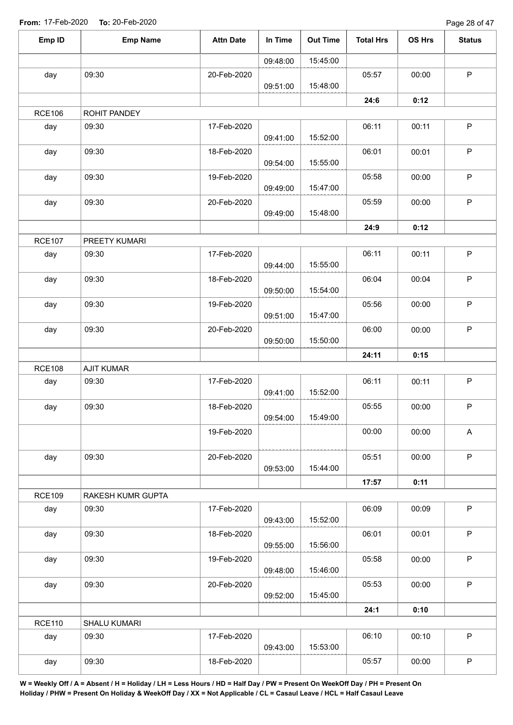Page 28 of 47

| Emp ID        | <b>Emp Name</b>   | <b>Attn Date</b> | In Time  | <b>Out Time</b> | <b>Total Hrs</b> | OS Hrs | <b>Status</b> |
|---------------|-------------------|------------------|----------|-----------------|------------------|--------|---------------|
|               |                   |                  | 09:48:00 | 15:45:00        |                  |        |               |
| day           | 09:30             | 20-Feb-2020      |          |                 | 05:57            | 00:00  | $\sf P$       |
|               |                   |                  | 09:51:00 | 15:48:00        |                  |        |               |
|               |                   |                  |          |                 | 24:6             | 0:12   |               |
| <b>RCE106</b> | ROHIT PANDEY      |                  |          |                 |                  |        |               |
| day           | 09:30             | 17-Feb-2020      | 09:41:00 | 15:52:00        | 06:11            | 00:11  | $\sf P$       |
| day           | 09:30             | 18-Feb-2020      | 09:54:00 | 15:55:00        | 06:01            | 00:01  | $\mathsf P$   |
| day           | 09:30             | 19-Feb-2020      | 09:49:00 | 15:47:00        | 05:58            | 00:00  | $\mathsf P$   |
| day           | 09:30             | 20-Feb-2020      | 09:49:00 | 15:48:00        | 05:59            | 00:00  | $\mathsf P$   |
|               |                   |                  |          |                 | 24:9             | 0:12   |               |
| <b>RCE107</b> | PREETY KUMARI     |                  |          |                 |                  |        |               |
| day           | 09:30             | 17-Feb-2020      | 09:44:00 | 15:55:00        | 06:11            | 00:11  | $\mathsf P$   |
| day           | 09:30             | 18-Feb-2020      | 09:50:00 | 15:54:00        | 06:04            | 00:04  | $\mathsf P$   |
| day           | 09:30             | 19-Feb-2020      | 09:51:00 | 15:47:00        | 05:56            | 00:00  | $\mathsf P$   |
| day           | 09:30             | 20-Feb-2020      | 09:50:00 | 15:50:00        | 06:00            | 00:00  | $\mathsf P$   |
|               |                   |                  |          |                 | 24:11            | 0:15   |               |
| <b>RCE108</b> | <b>AJIT KUMAR</b> |                  |          |                 |                  |        |               |
| day           | 09:30             | 17-Feb-2020      | 09:41:00 | 15:52:00        | 06:11            | 00:11  | $\mathsf P$   |
| day           | 09:30             | 18-Feb-2020      | 09:54:00 | 15:49:00        | 05:55            | 00:00  | $\mathsf P$   |
|               |                   | 19-Feb-2020      |          |                 | 00:00            | 00:00  | A             |
| day           | 09:30             | 20-Feb-2020      | 09:53:00 | 15:44:00        | 05:51            | 00:00  | $\mathsf P$   |
|               |                   |                  |          |                 | 17:57            | 0:11   |               |
| <b>RCE109</b> | RAKESH KUMR GUPTA |                  |          |                 |                  |        |               |
| day           | 09:30             | 17-Feb-2020      | 09:43:00 | 15:52:00        | 06:09            | 00:09  | $\mathsf P$   |
| day           | 09:30             | 18-Feb-2020      | 09:55:00 | 15:56:00        | 06:01            | 00:01  | $\mathsf P$   |
| day           | 09:30             | 19-Feb-2020      | 09:48:00 | 15:46:00        | 05:58            | 00:00  | $\mathsf P$   |
| day           | 09:30             | 20-Feb-2020      | 09:52:00 | 15:45:00        | 05:53            | 00:00  | $\mathsf P$   |
|               |                   |                  |          |                 | 24:1             | 0:10   |               |
| <b>RCE110</b> | SHALU KUMARI      |                  |          |                 |                  |        |               |
| day           | 09:30             | 17-Feb-2020      | 09:43:00 | 15:53:00        | 06:10            | 00:10  | $\mathsf P$   |
| day           | 09:30             | 18-Feb-2020      |          |                 | 05:57            | 00:00  | $\mathsf P$   |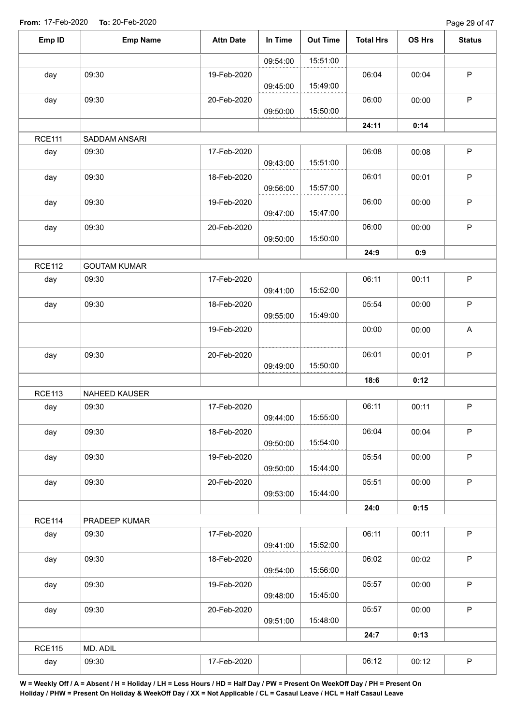| Emp ID        | <b>Emp Name</b>     | <b>Attn Date</b> | In Time  | <b>Out Time</b> | <b>Total Hrs</b> | OS Hrs | <b>Status</b> |
|---------------|---------------------|------------------|----------|-----------------|------------------|--------|---------------|
|               |                     |                  | 09:54:00 | 15:51:00        |                  |        |               |
| day           | 09:30               | 19-Feb-2020      | 09:45:00 | 15:49:00        | 06:04            | 00:04  | $\mathsf P$   |
| day           | 09:30               | 20-Feb-2020      | 09:50:00 | 15:50:00        | 06:00            | 00:00  | $\mathsf{P}$  |
|               |                     |                  |          |                 | 24:11            | 0:14   |               |
| <b>RCE111</b> | SADDAM ANSARI       |                  |          |                 |                  |        |               |
| day           | 09:30               | 17-Feb-2020      | 09:43:00 | 15:51:00        | 06:08            | 00:08  | $\mathsf P$   |
| day           | 09:30               | 18-Feb-2020      | 09:56:00 | 15:57:00        | 06:01            | 00:01  | $\mathsf P$   |
| day           | 09:30               | 19-Feb-2020      | 09:47:00 | 15:47:00        | 06:00            | 00:00  | $\sf P$       |
| day           | 09:30               | 20-Feb-2020      | 09:50:00 | 15:50:00        | 06:00            | 00:00  | $\mathsf P$   |
|               |                     |                  |          |                 | 24:9             | 0:9    |               |
| <b>RCE112</b> | <b>GOUTAM KUMAR</b> |                  |          |                 |                  |        |               |
| day           | 09:30               | 17-Feb-2020      | 09:41:00 | 15:52:00        | 06:11            | 00:11  | $\mathsf P$   |
| day           | 09:30               | 18-Feb-2020      | 09:55:00 | 15:49:00        | 05:54            | 00:00  | P             |
|               |                     | 19-Feb-2020      |          |                 | 00:00            | 00:00  | $\mathsf A$   |
| day           | 09:30               | 20-Feb-2020      | 09:49:00 | 15:50:00        | 06:01            | 00:01  | $\sf P$       |
|               |                     |                  |          |                 | 18:6             | 0:12   |               |
| <b>RCE113</b> | NAHEED KAUSER       |                  |          |                 |                  |        |               |
| day           | 09:30               | 17-Feb-2020      | 09:44:00 | 15:55:00        | 06:11            | 00:11  | $\mathsf P$   |
| day           | 09:30               | 18-Feb-2020      | 09:50:00 | 15:54:00        | 06:04            | 00:04  | P             |
| day           | 09:30               | 19-Feb-2020      | 09:50:00 | 15:44:00        | 05:54            | 00:00  | P             |
| day           | 09:30               | 20-Feb-2020      | 09:53:00 | 15:44:00        | 05:51            | 00:00  | $\mathsf{P}$  |
|               |                     |                  |          |                 | 24:0             | 0:15   |               |
| <b>RCE114</b> | PRADEEP KUMAR       |                  |          |                 |                  |        |               |
| day           | 09:30               | 17-Feb-2020      | 09:41:00 | 15:52:00        | 06:11            | 00:11  | $\mathsf P$   |
| day           | 09:30               | 18-Feb-2020      | 09:54:00 | 15:56:00        | 06:02            | 00:02  | $\mathsf P$   |
| day           | 09:30               | 19-Feb-2020      | 09:48:00 | 15:45:00        | 05:57            | 00:00  | P             |
| day           | 09:30               | 20-Feb-2020      | 09:51:00 | 15:48:00        | 05:57            | 00:00  | $\mathsf P$   |
|               |                     |                  |          |                 | 24:7             | 0:13   |               |
| <b>RCE115</b> | MD. ADIL            |                  |          |                 |                  |        |               |
| day           | 09:30               | 17-Feb-2020      |          |                 | 06:12            | 00:12  | $\mathsf P$   |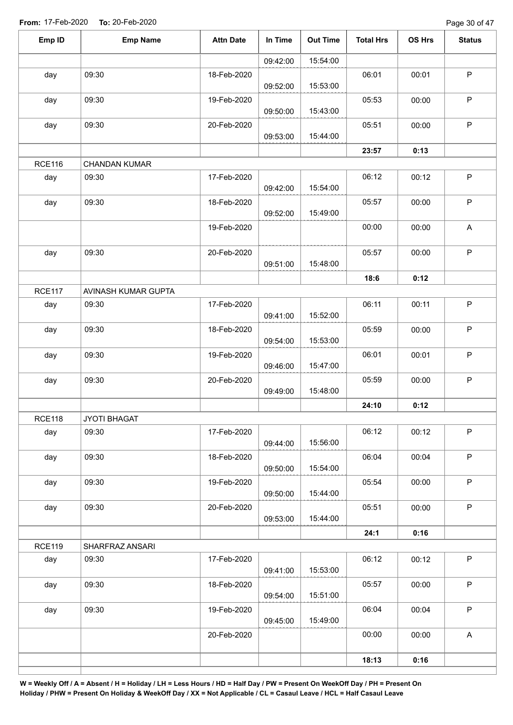Page 30 of 47

| Emp ID        | <b>Emp Name</b>      | <b>Attn Date</b> | In Time  | <b>Out Time</b> | <b>Total Hrs</b> | OS Hrs | <b>Status</b>             |
|---------------|----------------------|------------------|----------|-----------------|------------------|--------|---------------------------|
|               |                      |                  | 09:42:00 | 15:54:00        |                  |        |                           |
| day           | 09:30                | 18-Feb-2020      | 09:52:00 | 15:53:00        | 06:01            | 00:01  | $\mathsf P$               |
| day           | 09:30                | 19-Feb-2020      | 09:50:00 | 15:43:00        | 05:53            | 00:00  | $\sf P$                   |
| day           | 09:30                | 20-Feb-2020      | 09:53:00 | 15:44:00        | 05:51            | 00:00  | $\sf P$                   |
|               |                      |                  |          |                 | 23:57            | 0:13   |                           |
| <b>RCE116</b> | <b>CHANDAN KUMAR</b> |                  |          |                 |                  |        |                           |
| day           | 09:30                | 17-Feb-2020      | 09:42:00 | 15:54:00        | 06:12            | 00:12  | $\sf P$                   |
| day           | 09:30                | 18-Feb-2020      | 09:52:00 | 15:49:00        | 05:57            | 00:00  | $\sf P$                   |
|               |                      | 19-Feb-2020      |          |                 | 00:00            | 00:00  | $\boldsymbol{\mathsf{A}}$ |
| day           | 09:30                | 20-Feb-2020      | 09:51:00 | 15:48:00        | 05:57            | 00:00  | $\mathsf P$               |
|               |                      |                  |          |                 | 18:6             | 0:12   |                           |
| <b>RCE117</b> | AVINASH KUMAR GUPTA  |                  |          |                 |                  |        |                           |
| day           | 09:30                | 17-Feb-2020      | 09:41:00 | 15:52:00        | 06:11            | 00:11  | P                         |
| day           | 09:30                | 18-Feb-2020      | 09:54:00 | 15:53:00        | 05:59            | 00:00  | $\sf P$                   |
| day           | 09:30                | 19-Feb-2020      | 09:46:00 | 15:47:00        | 06:01            | 00:01  | $\mathsf P$               |
| day           | 09:30                | 20-Feb-2020      | 09:49:00 | 15:48:00        | 05:59            | 00:00  | $\sf P$                   |
|               |                      |                  |          |                 | 24:10            | 0:12   |                           |
| <b>RCE118</b> | JYOTI BHAGAT         |                  |          |                 |                  |        |                           |
| day           | 09:30                | 17-Feb-2020      | 09:44:00 | 15:56:00        | 06:12            | 00:12  | $\sf P$                   |
| day           | 09:30                | 18-Feb-2020      | 09:50:00 | 15:54:00        | 06:04            | 00:04  | $\mathsf P$               |
| day           | 09:30                | 19-Feb-2020      | 09:50:00 | 15:44:00        | 05:54            | 00:00  | $\sf P$                   |
| day           | 09:30                | 20-Feb-2020      | 09:53:00 | 15:44:00        | 05:51            | 00:00  | $\mathsf P$               |
|               |                      |                  |          |                 | 24:1             | 0:16   |                           |
| <b>RCE119</b> | SHARFRAZ ANSARI      |                  |          |                 |                  |        |                           |
| day           | 09:30                | 17-Feb-2020      | 09:41:00 | 15:53:00        | 06:12            | 00:12  | $\mathsf P$               |
| day           | 09:30                | 18-Feb-2020      | 09:54:00 | 15:51:00        | 05:57            | 00:00  | $\sf P$                   |
| day           | 09:30                | 19-Feb-2020      | 09:45:00 | 15:49:00        | 06:04            | 00:04  | $\mathsf P$               |
|               |                      | 20-Feb-2020      |          |                 | 00:00            | 00:00  | $\boldsymbol{\mathsf{A}}$ |
|               |                      |                  |          |                 | 18:13            | 0:16   |                           |
|               |                      |                  |          |                 |                  |        |                           |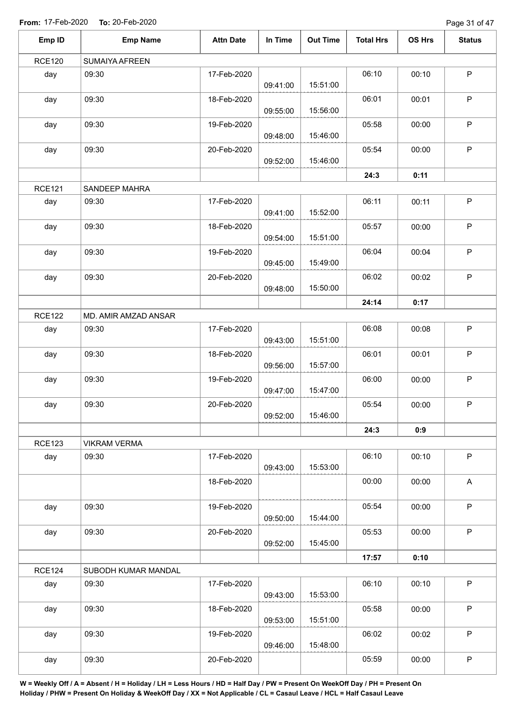Page 31 of 47

| Emp ID        | <b>Emp Name</b>       | <b>Attn Date</b> | In Time  | <b>Out Time</b> | <b>Total Hrs</b> | OS Hrs | <b>Status</b> |
|---------------|-----------------------|------------------|----------|-----------------|------------------|--------|---------------|
| <b>RCE120</b> | <b>SUMAIYA AFREEN</b> |                  |          |                 |                  |        |               |
| day           | 09:30                 | 17-Feb-2020      | 09:41:00 | 15:51:00        | 06:10            | 00:10  | $\mathsf P$   |
| day           | 09:30                 | 18-Feb-2020      | 09:55:00 | 15:56:00        | 06:01            | 00:01  | $\mathsf P$   |
| day           | 09:30                 | 19-Feb-2020      | 09:48:00 | 15:46:00        | 05:58            | 00:00  | $\sf P$       |
| day           | 09:30                 | 20-Feb-2020      | 09:52:00 | 15:46:00        | 05:54            | 00:00  | $\mathsf P$   |
|               |                       |                  |          |                 | 24:3             | 0:11   |               |
| <b>RCE121</b> | SANDEEP MAHRA         |                  |          |                 |                  |        |               |
| day           | 09:30                 | 17-Feb-2020      | 09:41:00 | 15:52:00        | 06:11            | 00:11  | $\sf P$       |
| day           | 09:30                 | 18-Feb-2020      | 09:54:00 | 15:51:00        | 05:57            | 00:00  | $\mathsf P$   |
| day           | 09:30                 | 19-Feb-2020      | 09:45:00 | 15:49:00        | 06:04            | 00:04  | P             |
| day           | 09:30                 | 20-Feb-2020      | 09:48:00 | 15:50:00        | 06:02            | 00:02  | $\mathsf P$   |
|               |                       |                  |          |                 | 24:14            | 0:17   |               |
| <b>RCE122</b> | MD. AMIR AMZAD ANSAR  |                  |          |                 |                  |        |               |
| day           | 09:30                 | 17-Feb-2020      | 09:43:00 | 15:51:00        | 06:08            | 00:08  | $\mathsf P$   |
| day           | 09:30                 | 18-Feb-2020      | 09:56:00 | 15:57:00        | 06:01            | 00:01  | $\mathsf P$   |
| day           | 09:30                 | 19-Feb-2020      | 09:47:00 | 15:47:00        | 06:00            | 00:00  | $\mathsf P$   |
| day           | 09:30                 | 20-Feb-2020      | 09:52:00 | 15:46:00        | 05:54            | 00:00  | P             |
|               |                       |                  |          |                 | 24:3             | 0:9    |               |
| <b>RCE123</b> | <b>VIKRAM VERMA</b>   |                  |          |                 |                  |        |               |
| day           | 09:30                 | 17-Feb-2020      | 09:43:00 | 15:53:00        | 06:10            | 00:10  | $\mathsf P$   |
|               |                       | 18-Feb-2020      |          |                 | 00:00            | 00:00  | A             |
| day           | 09:30                 | 19-Feb-2020      | 09:50:00 | 15:44:00        | 05:54            | 00:00  | $\mathsf P$   |
| day           | 09:30                 | 20-Feb-2020      | 09:52:00 | 15:45:00        | 05:53            | 00:00  | $\sf P$       |
|               |                       |                  |          |                 | 17:57            | 0:10   |               |
| <b>RCE124</b> | SUBODH KUMAR MANDAL   |                  |          |                 |                  |        |               |
| day           | 09:30                 | 17-Feb-2020      | 09:43:00 | 15:53:00        | 06:10            | 00:10  | $\sf P$       |
| day           | 09:30                 | 18-Feb-2020      | 09:53:00 | 15:51:00        | 05:58            | 00:00  | $\mathsf P$   |
| day           | 09:30                 | 19-Feb-2020      | 09:46:00 | 15:48:00        | 06:02            | 00:02  | $\mathsf P$   |
| day           | 09:30                 | 20-Feb-2020      |          |                 | 05:59            | 00:00  | $\sf P$       |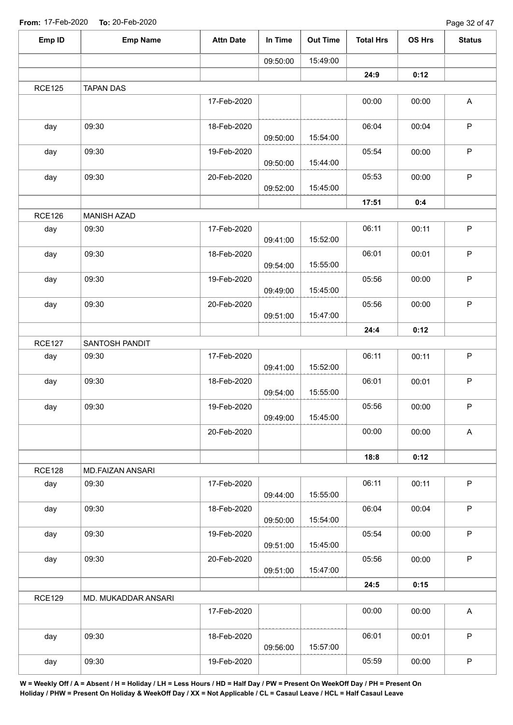| Emp ID        | <b>Emp Name</b>     | <b>Attn Date</b> | In Time  | <b>Out Time</b> | <b>Total Hrs</b> | OS Hrs | <b>Status</b> |
|---------------|---------------------|------------------|----------|-----------------|------------------|--------|---------------|
|               |                     |                  | 09:50:00 | 15:49:00        |                  |        |               |
|               |                     |                  |          |                 | 24:9             | 0:12   |               |
| <b>RCE125</b> | <b>TAPAN DAS</b>    |                  |          |                 |                  |        |               |
|               |                     | 17-Feb-2020      |          |                 | 00:00            | 00:00  | A             |
| day           | 09:30               | 18-Feb-2020      | 09:50:00 | 15:54:00        | 06:04            | 00:04  | $\sf P$       |
| day           | 09:30               | 19-Feb-2020      | 09:50:00 | 15:44:00        | 05:54            | 00:00  | $\mathsf P$   |
| day           | 09:30               | 20-Feb-2020      | 09:52:00 | 15:45:00        | 05:53            | 00:00  | $\mathsf P$   |
|               |                     |                  |          |                 | 17:51            | 0:4    |               |
| <b>RCE126</b> | <b>MANISH AZAD</b>  |                  |          |                 |                  |        |               |
| day           | 09:30               | 17-Feb-2020      | 09:41:00 | 15:52:00        | 06:11            | 00:11  | $\mathsf P$   |
| day           | 09:30               | 18-Feb-2020      | 09:54:00 | 15:55:00        | 06:01            | 00:01  | $\sf P$       |
| day           | 09:30               | 19-Feb-2020      | 09:49:00 | 15:45:00        | 05:56            | 00:00  | $\sf P$       |
| day           | 09:30               | 20-Feb-2020      | 09:51:00 | 15:47:00        | 05:56            | 00:00  | $\mathsf P$   |
|               |                     |                  |          |                 | 24:4             | 0:12   |               |
| <b>RCE127</b> | SANTOSH PANDIT      |                  |          |                 |                  |        |               |
| day           | 09:30               | 17-Feb-2020      | 09:41:00 | 15:52:00        | 06:11            | 00:11  | $\mathsf P$   |
| day           | 09:30               | 18-Feb-2020      | 09:54:00 | 15:55:00        | 06:01            | 00:01  | $\mathsf P$   |
| day           | 09:30               | 19-Feb-2020      | 09:49:00 | 15:45:00        | 05:56            | 00:00  | $\mathsf P$   |
|               |                     | 20-Feb-2020      |          |                 | 00:00            | 00:00  | $\mathsf A$   |
|               |                     |                  |          |                 | 18:8             | 0:12   |               |
| <b>RCE128</b> | MD.FAIZAN ANSARI    |                  |          |                 |                  |        |               |
| day           | 09:30               | 17-Feb-2020      | 09:44:00 | 15:55:00        | 06:11            | 00:11  | $\sf P$       |
| day           | 09:30               | 18-Feb-2020      | 09:50:00 | 15:54:00        | 06:04            | 00:04  | P             |
| day           | 09:30               | 19-Feb-2020      | 09:51:00 | 15:45:00        | 05:54            | 00:00  | $\mathsf P$   |
| day           | 09:30               | 20-Feb-2020      | 09:51:00 | 15:47:00        | 05:56            | 00:00  | $\mathsf{P}$  |
|               |                     |                  |          |                 | 24:5             | 0:15   |               |
| <b>RCE129</b> | MD. MUKADDAR ANSARI |                  |          |                 |                  |        |               |
|               |                     | 17-Feb-2020      |          |                 | 00:00            | 00:00  | $\mathsf{A}$  |
| day           | 09:30               | 18-Feb-2020      | 09:56:00 | 15:57:00        | 06:01            | 00:01  | $\sf P$       |
| day           | 09:30               | 19-Feb-2020      |          |                 | 05:59            | 00:00  | $\sf P$       |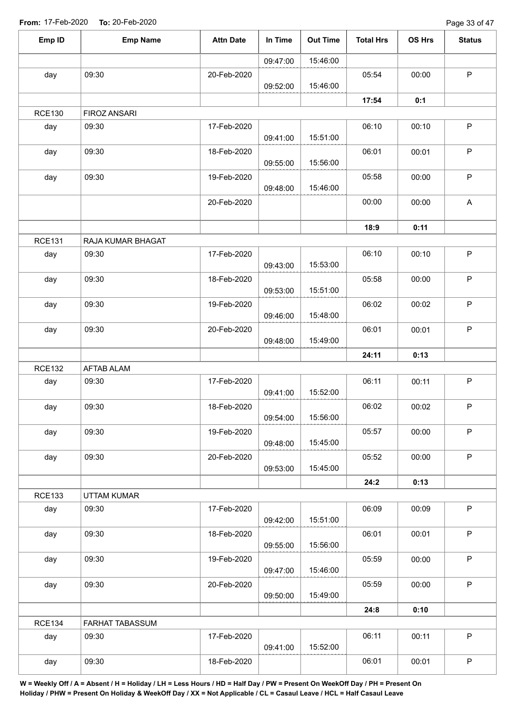Page 33 of 47

| Emp ID               | <b>Emp Name</b>          | <b>Attn Date</b> | In Time  | <b>Out Time</b> | <b>Total Hrs</b> | OS Hrs | <b>Status</b>             |
|----------------------|--------------------------|------------------|----------|-----------------|------------------|--------|---------------------------|
|                      |                          |                  | 09:47:00 | 15:46:00        |                  |        |                           |
| day                  | 09:30                    | 20-Feb-2020      |          |                 | 05:54            | 00:00  | $\mathsf P$               |
|                      |                          |                  | 09:52:00 | 15:46:00        |                  |        |                           |
|                      |                          |                  |          |                 | 17:54            | 0:1    |                           |
| <b>RCE130</b>        | FIROZ ANSARI             |                  |          |                 |                  |        |                           |
| day                  | 09:30                    | 17-Feb-2020      | 09:41:00 | 15:51:00        | 06:10            | 00:10  | $\sf P$                   |
| day                  | 09:30                    | 18-Feb-2020      | 09:55:00 | 15:56:00        | 06:01            | 00:01  | $\sf P$                   |
| day                  | 09:30                    | 19-Feb-2020      | 09:48:00 | 15:46:00        | 05:58            | 00:00  | $\mathsf P$               |
|                      |                          | 20-Feb-2020      |          |                 | 00:00            | 00:00  | $\boldsymbol{\mathsf{A}}$ |
|                      |                          |                  |          |                 | 18:9             | 0:11   |                           |
| <b>RCE131</b>        | RAJA KUMAR BHAGAT        |                  |          |                 |                  |        |                           |
| day                  | 09:30                    | 17-Feb-2020      | 09:43:00 | 15:53:00        | 06:10            | 00:10  | $\sf P$                   |
| day                  | 09:30                    | 18-Feb-2020      | 09:53:00 | 15:51:00        | 05:58            | 00:00  | $\sf P$                   |
| day                  | 09:30                    | 19-Feb-2020      | 09:46:00 | 15:48:00        | 06:02            | 00:02  | $\sf P$                   |
| day                  | 09:30                    | 20-Feb-2020      | 09:48:00 | 15:49:00        | 06:01            | 00:01  | $\mathsf P$               |
|                      |                          |                  |          |                 | 24:11            | 0:13   |                           |
| <b>RCE132</b>        | AFTAB ALAM               |                  |          |                 |                  |        |                           |
| day                  | 09:30                    | 17-Feb-2020      |          |                 | 06:11            | 00:11  | $\sf P$                   |
|                      |                          |                  | 09:41:00 | 15:52:00        |                  |        |                           |
| day                  | 09:30                    | 18-Feb-2020      | 09:54:00 | 15:56:00        | 06:02            | 00:02  | $\mathsf P$               |
| day                  | 09:30                    | 19-Feb-2020      | 09:48:00 | 15:45:00        | 05:57            | 00:00  | $\mathsf P$               |
| day                  | 09:30                    | 20-Feb-2020      |          |                 | 05:52            | 00:00  | $\mathsf P$               |
|                      |                          |                  | 09:53:00 | 15:45:00        | 24:2             | 0:13   |                           |
| <b>RCE133</b>        | <b>UTTAM KUMAR</b>       |                  |          |                 |                  |        |                           |
| day                  | 09:30                    | 17-Feb-2020      | 09:42:00 | 15:51:00        | 06:09            | 00:09  | $\sf P$                   |
| day                  | 09:30                    | 18-Feb-2020      | 09:55:00 | 15:56:00        | 06:01            | 00:01  | $\mathsf P$               |
| day                  | 09:30                    | 19-Feb-2020      |          |                 | 05:59            | 00:00  | $\mathsf P$               |
| day                  | 09:30                    | 20-Feb-2020      | 09:47:00 | 15:46:00        | 05:59            | 00:00  | $\mathsf P$               |
|                      |                          |                  | 09:50:00 | 15:49:00        |                  |        |                           |
|                      |                          |                  |          |                 | 24:8             | 0:10   |                           |
| <b>RCE134</b><br>day | FARHAT TABASSUM<br>09:30 | 17-Feb-2020      |          |                 | 06:11            | 00:11  | $\mathsf P$               |
|                      |                          |                  | 09:41:00 | 15:52:00        |                  |        |                           |
| day                  | 09:30                    | 18-Feb-2020      |          |                 | 06:01            | 00:01  | $\sf P$                   |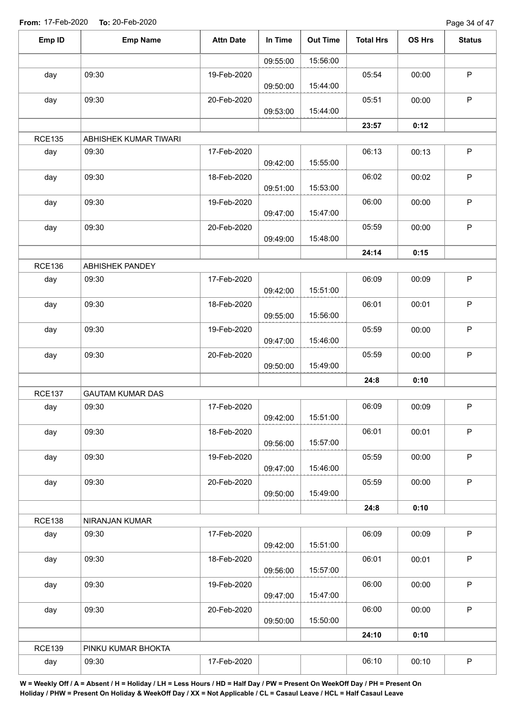| Emp ID        | <b>Emp Name</b>         | <b>Attn Date</b> | In Time  | <b>Out Time</b> | <b>Total Hrs</b> | OS Hrs | <b>Status</b> |
|---------------|-------------------------|------------------|----------|-----------------|------------------|--------|---------------|
|               |                         |                  | 09:55:00 | 15:56:00        |                  |        |               |
| day           | 09:30                   | 19-Feb-2020      |          |                 | 05:54            | 00:00  | $\mathsf P$   |
|               |                         |                  | 09:50:00 | 15:44:00        |                  |        |               |
| day           | 09:30                   | 20-Feb-2020      | 09:53:00 | 15:44:00        | 05:51            | 00:00  | $\mathsf P$   |
|               |                         |                  |          |                 | 23:57            | 0:12   |               |
| <b>RCE135</b> | ABHISHEK KUMAR TIWARI   |                  |          |                 |                  |        |               |
| day           | 09:30                   | 17-Feb-2020      | 09:42:00 | 15:55:00        | 06:13            | 00:13  | $\sf P$       |
| day           | 09:30                   | 18-Feb-2020      | 09:51:00 | 15:53:00        | 06:02            | 00:02  | $\mathsf P$   |
| day           | 09:30                   | 19-Feb-2020      | 09:47:00 | 15:47:00        | 06:00            | 00:00  | ${\sf P}$     |
| day           | 09:30                   | 20-Feb-2020      | 09:49:00 | 15:48:00        | 05:59            | 00:00  | $\mathsf P$   |
|               |                         |                  |          |                 | 24:14            | 0:15   |               |
| <b>RCE136</b> | ABHISHEK PANDEY         |                  |          |                 |                  |        |               |
| day           | 09:30                   | 17-Feb-2020      | 09:42:00 | 15:51:00        | 06:09            | 00:09  | $\mathsf P$   |
| day           | 09:30                   | 18-Feb-2020      | 09:55:00 | 15:56:00        | 06:01            | 00:01  | ${\sf P}$     |
| day           | 09:30                   | 19-Feb-2020      | 09:47:00 | 15:46:00        | 05:59            | 00:00  | $\mathsf P$   |
| day           | 09:30                   | 20-Feb-2020      | 09:50:00 | 15:49:00        | 05:59            | 00:00  | $\sf P$       |
|               |                         |                  |          |                 | 24:8             | 0:10   |               |
| <b>RCE137</b> | <b>GAUTAM KUMAR DAS</b> |                  |          |                 |                  |        |               |
| day           | 09:30                   | 17-Feb-2020      | 09:42:00 | 15:51:00        | 06:09            | 00:09  | $\mathsf P$   |
| day           | 09:30                   | 18-Feb-2020      | 09:56:00 | 15:57:00        | 06:01            | 00:01  | $\mathsf{P}$  |
| day           | 09:30                   | 19-Feb-2020      | 09:47:00 | 15:46:00        | 05:59            | 00:00  | P             |
| day           | 09:30                   | 20-Feb-2020      | 09:50:00 | 15:49:00        | 05:59            | 00:00  | $\mathsf P$   |
|               |                         |                  |          |                 | 24:8             | 0:10   |               |
| <b>RCE138</b> | NIRANJAN KUMAR          |                  |          |                 |                  |        |               |
| day           | 09:30                   | 17-Feb-2020      | 09:42:00 | 15:51:00        | 06:09            | 00:09  | $\mathsf P$   |
| day           | 09:30                   | 18-Feb-2020      | 09:56:00 | 15:57:00        | 06:01            | 00:01  | $\mathsf P$   |
| day           | 09:30                   | 19-Feb-2020      | 09:47:00 | 15:47:00        | 06:00            | 00:00  | P             |
| day           | 09:30                   | 20-Feb-2020      |          | 15:50:00        | 06:00            | 00:00  | $\mathsf P$   |
|               |                         |                  | 09:50:00 |                 | 24:10            | 0:10   |               |
| <b>RCE139</b> | PINKU KUMAR BHOKTA      |                  |          |                 |                  |        |               |
| day           | 09:30                   | 17-Feb-2020      |          |                 | 06:10            | 00:10  | $\mathsf P$   |
|               |                         |                  |          |                 |                  |        |               |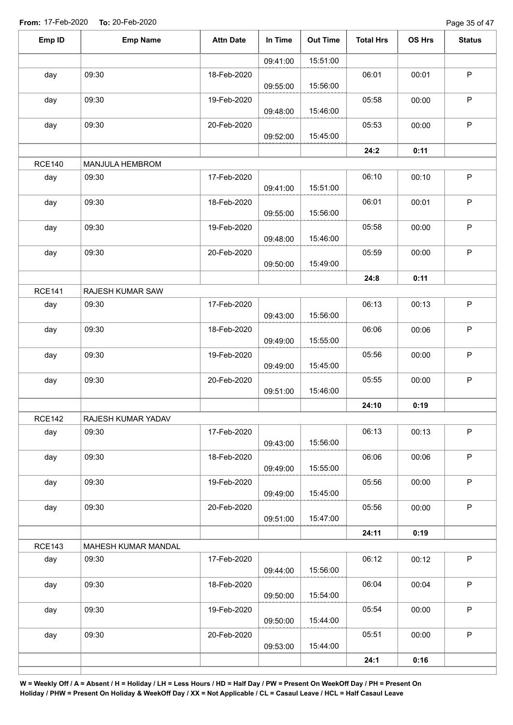Page 35 of 47

| Emp ID        | <b>Emp Name</b>     | <b>Attn Date</b> | In Time  | <b>Out Time</b> | <b>Total Hrs</b> | OS Hrs | <b>Status</b> |
|---------------|---------------------|------------------|----------|-----------------|------------------|--------|---------------|
|               |                     |                  | 09:41:00 | 15:51:00        |                  |        |               |
| day           | 09:30               | 18-Feb-2020      | 09:55:00 | 15:56:00        | 06:01            | 00:01  | $\mathsf P$   |
| day           | 09:30               | 19-Feb-2020      | 09:48:00 | 15:46:00        | 05:58            | 00:00  | $\mathsf P$   |
| day           | 09:30               | 20-Feb-2020      | 09:52:00 | 15:45:00        | 05:53            | 00:00  | $\sf P$       |
|               |                     |                  |          |                 | 24:2             | 0:11   |               |
| <b>RCE140</b> | MANJULA HEMBROM     |                  |          |                 |                  |        |               |
| day           | 09:30               | 17-Feb-2020      | 09:41:00 | 15:51:00        | 06:10            | 00:10  | $\sf P$       |
| day           | 09:30               | 18-Feb-2020      | 09:55:00 | 15:56:00        | 06:01            | 00:01  | P             |
| day           | 09:30               | 19-Feb-2020      | 09:48:00 | 15:46:00        | 05:58            | 00:00  | $\mathsf P$   |
| day           | 09:30               | 20-Feb-2020      | 09:50:00 | 15:49:00        | 05:59            | 00:00  | $\mathsf P$   |
|               |                     |                  |          |                 | 24:8             | 0:11   |               |
| <b>RCE141</b> | RAJESH KUMAR SAW    |                  |          |                 |                  |        |               |
| day           | 09:30               | 17-Feb-2020      | 09:43:00 | 15:56:00        | 06:13            | 00:13  | $\mathsf P$   |
| day           | 09:30               | 18-Feb-2020      | 09:49:00 | 15:55:00        | 06:06            | 00:06  | $\mathsf P$   |
| day           | 09:30               | 19-Feb-2020      | 09:49:00 | 15:45:00        | 05:56            | 00:00  | $\mathsf P$   |
| day           | 09:30               | 20-Feb-2020      | 09:51:00 | 15:46:00        | 05:55            | 00:00  | $\mathsf P$   |
|               |                     |                  |          |                 | 24:10            | 0:19   |               |
| <b>RCE142</b> | RAJESH KUMAR YADAV  |                  |          |                 |                  |        |               |
| day           | 09:30               | 17-Feb-2020      | 09:43:00 | 15:56:00        | 06:13            | 00:13  | $\mathsf P$   |
| day           | 09:30               | 18-Feb-2020      | 09:49:00 | 15:55:00        | 06:06            | 00:06  | $\mathsf P$   |
| day           | 09:30               | 19-Feb-2020      | 09:49:00 | 15:45:00        | 05:56            | 00:00  | $\sf P$       |
| day           | 09:30               | 20-Feb-2020      | 09:51:00 | 15:47:00        | 05:56            | 00:00  | $\mathsf P$   |
|               |                     |                  |          |                 | 24:11            | 0:19   |               |
| <b>RCE143</b> | MAHESH KUMAR MANDAL |                  |          |                 |                  |        |               |
| day           | 09:30               | 17-Feb-2020      | 09:44:00 | 15:56:00        | 06:12            | 00:12  | $\mathsf P$   |
| day           | 09:30               | 18-Feb-2020      | 09:50:00 | 15:54:00        | 06:04            | 00:04  | $\mathsf P$   |
| day           | 09:30               | 19-Feb-2020      | 09:50:00 | 15:44:00        | 05:54            | 00:00  | $\mathsf P$   |
| day           | 09:30               | 20-Feb-2020      | 09:53:00 | 15:44:00        | 05:51            | 00:00  | $\mathsf P$   |
|               |                     |                  |          |                 | 24:1             | 0:16   |               |
|               |                     |                  |          |                 |                  |        |               |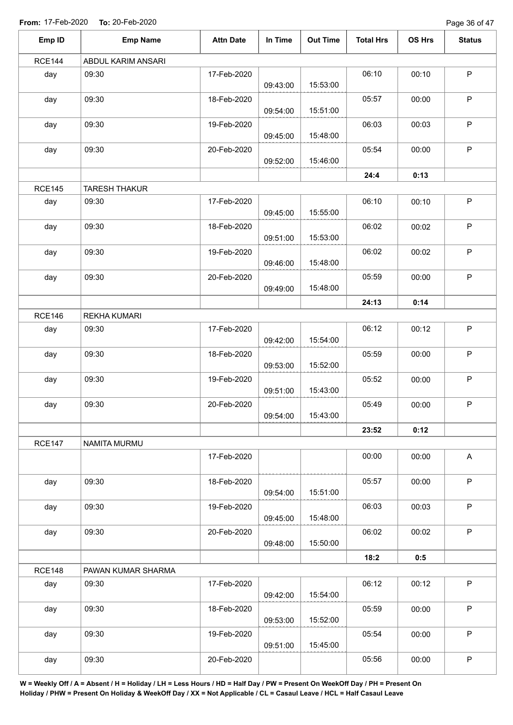Page 36 of 47

| Emp ID        | <b>Emp Name</b>              | <b>Attn Date</b> | In Time  | <b>Out Time</b> | <b>Total Hrs</b> | OS Hrs | <b>Status</b> |
|---------------|------------------------------|------------------|----------|-----------------|------------------|--------|---------------|
| <b>RCE144</b> | ABDUL KARIM ANSARI           |                  |          |                 |                  |        |               |
| day           | 09:30                        | 17-Feb-2020      | 09:43:00 | 15:53:00        | 06:10            | 00:10  | $\sf P$       |
| day           | 09:30                        | 18-Feb-2020      | 09:54:00 | 15:51:00        | 05:57            | 00:00  | $\mathsf P$   |
| day           | 09:30                        | 19-Feb-2020      | 09:45:00 | 15:48:00        | 06:03            | 00:03  | $\sf P$       |
| day           | 09:30                        | 20-Feb-2020      | 09:52:00 | 15:46:00        | 05:54            | 00:00  | $\mathsf P$   |
|               |                              |                  |          |                 | 24:4             | 0:13   |               |
| <b>RCE145</b> | <b>TARESH THAKUR</b>         |                  |          |                 |                  |        |               |
| day           | 09:30                        | 17-Feb-2020      | 09:45:00 | 15:55:00        | 06:10            | 00:10  | $\sf P$       |
| day           | 09:30                        | 18-Feb-2020      | 09:51:00 | 15:53:00        | 06:02            | 00:02  | $\sf P$       |
| day           | 09:30                        | 19-Feb-2020      | 09:46:00 | 15:48:00        | 06:02            | 00:02  | $\mathsf P$   |
| day           | 09:30                        | 20-Feb-2020      |          |                 | 05:59            | 00:00  | $\sf P$       |
|               |                              |                  | 09:49:00 | 15:48:00        |                  |        |               |
| <b>RCE146</b> |                              |                  |          |                 | 24:13            | 0:14   |               |
| day           | <b>REKHA KUMARI</b><br>09:30 | 17-Feb-2020      | 09:42:00 | 15:54:00        | 06:12            | 00:12  | $\mathsf P$   |
| day           | 09:30                        | 18-Feb-2020      | 09:53:00 | 15:52:00        | 05:59            | 00:00  | $\sf P$       |
| day           | 09:30                        | 19-Feb-2020      | 09:51:00 | 15:43:00        | 05:52            | 00:00  | $\sf P$       |
| day           | 09:30                        | 20-Feb-2020      | 09:54:00 | 15:43:00        | 05:49            | 00:00  | P             |
|               |                              |                  |          |                 | 23:52            | 0:12   |               |
| <b>RCE147</b> | NAMITA MURMU                 |                  |          |                 |                  |        |               |
|               |                              | 17-Feb-2020      |          |                 | 00:00            | 00:00  | $\mathsf A$   |
| day           | 09:30                        | 18-Feb-2020      | 09:54:00 | 15:51:00        | 05:57            | 00:00  | $\mathsf P$   |
| day           | 09:30                        | 19-Feb-2020      | 09:45:00 | 15:48:00        | 06:03            | 00:03  | $\mathsf P$   |
| day           | 09:30                        | 20-Feb-2020      | 09:48:00 | 15:50:00        | 06:02            | 00:02  | $\sf P$       |
|               |                              |                  |          |                 | 18:2             | 0:5    |               |
| <b>RCE148</b> | PAWAN KUMAR SHARMA           |                  |          |                 |                  |        |               |
| day           | 09:30                        | 17-Feb-2020      | 09:42:00 | 15:54:00        | 06:12            | 00:12  | $\sf P$       |
| day           | 09:30                        | 18-Feb-2020      | 09:53:00 | 15:52:00        | 05:59            | 00:00  | $\mathsf P$   |
| day           | 09:30                        | 19-Feb-2020      | 09:51:00 | 15:45:00        | 05:54            | 00:00  | $\mathsf P$   |
| day           | 09:30                        | 20-Feb-2020      |          |                 | 05:56            | 00:00  | $\mathsf P$   |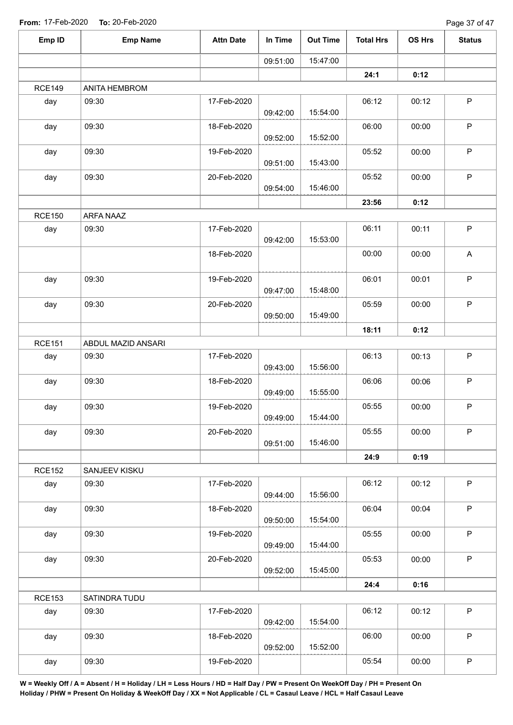| Emp ID        | <b>Emp Name</b>      | <b>Attn Date</b> | In Time  | <b>Out Time</b> | <b>Total Hrs</b> | OS Hrs | <b>Status</b> |
|---------------|----------------------|------------------|----------|-----------------|------------------|--------|---------------|
|               |                      |                  | 09:51:00 | 15:47:00        |                  |        |               |
|               |                      |                  |          |                 | 24:1             | 0:12   |               |
| <b>RCE149</b> | <b>ANITA HEMBROM</b> |                  |          |                 |                  |        |               |
| day           | 09:30                | 17-Feb-2020      | 09:42:00 | 15:54:00        | 06:12            | 00:12  | $\mathsf P$   |
| day           | 09:30                | 18-Feb-2020      | 09:52:00 | 15:52:00        | 06:00            | 00:00  | $\mathsf P$   |
| day           | 09:30                | 19-Feb-2020      | 09:51:00 | 15:43:00        | 05:52            | 00:00  | $\mathsf P$   |
| day           | 09:30                | 20-Feb-2020      | 09:54:00 | 15:46:00        | 05:52            | 00:00  | $\mathsf P$   |
|               |                      |                  |          |                 | 23:56            | 0:12   |               |
| <b>RCE150</b> | ARFA NAAZ            |                  |          |                 |                  |        |               |
| day           | 09:30                | 17-Feb-2020      | 09:42:00 | 15:53:00        | 06:11            | 00:11  | $\mathsf P$   |
|               |                      | 18-Feb-2020      |          |                 | 00:00            | 00:00  | A             |
| day           | 09:30                | 19-Feb-2020      | 09:47:00 | 15:48:00        | 06:01            | 00:01  | ${\sf P}$     |
| day           | 09:30                | 20-Feb-2020      | 09:50:00 | 15:49:00        | 05:59            | 00:00  | $\mathsf P$   |
|               |                      |                  |          |                 | 18:11            | 0:12   |               |
| <b>RCE151</b> | ABDUL MAZID ANSARI   |                  |          |                 |                  |        |               |
| day           | 09:30                | 17-Feb-2020      | 09:43:00 | 15:56:00        | 06:13            | 00:13  | $\mathsf P$   |
| day           | 09:30                | 18-Feb-2020      | 09:49:00 | 15:55:00        | 06:06            | 00:06  | $\mathsf P$   |
| day           | 09:30                | 19-Feb-2020      | 09:49:00 | 15:44:00        | 05:55            | 00:00  | P             |
| day           | 09:30                | 20-Feb-2020      | 09:51:00 | 15:46:00        | 05:55            | 00:00  | $\mathsf P$   |
|               |                      |                  |          |                 | 24:9             | 0:19   |               |
| <b>RCE152</b> | SANJEEV KISKU        |                  |          |                 |                  |        |               |
| day           | 09:30                | 17-Feb-2020      | 09:44:00 | 15:56:00        | 06:12            | 00:12  | $\mathsf P$   |
| day           | 09:30                | 18-Feb-2020      | 09:50:00 | 15:54:00        | 06:04            | 00:04  | P             |
| day           | 09:30                | 19-Feb-2020      | 09:49:00 | 15:44:00        | 05:55            | 00:00  | P             |
| day           | 09:30                | 20-Feb-2020      | 09:52:00 | 15:45:00        | 05:53            | 00:00  | P             |
|               |                      |                  |          |                 | 24:4             | 0:16   |               |
| <b>RCE153</b> | SATINDRA TUDU        |                  |          |                 |                  |        |               |
| day           | 09:30                | 17-Feb-2020      | 09:42:00 | 15:54:00        | 06:12            | 00:12  | $\mathsf{P}$  |
| day           | 09:30                | 18-Feb-2020      | 09:52:00 | 15:52:00        | 06:00            | 00:00  | $\sf P$       |
| day           | 09:30                | 19-Feb-2020      |          |                 | 05:54            | 00:00  | $\mathsf P$   |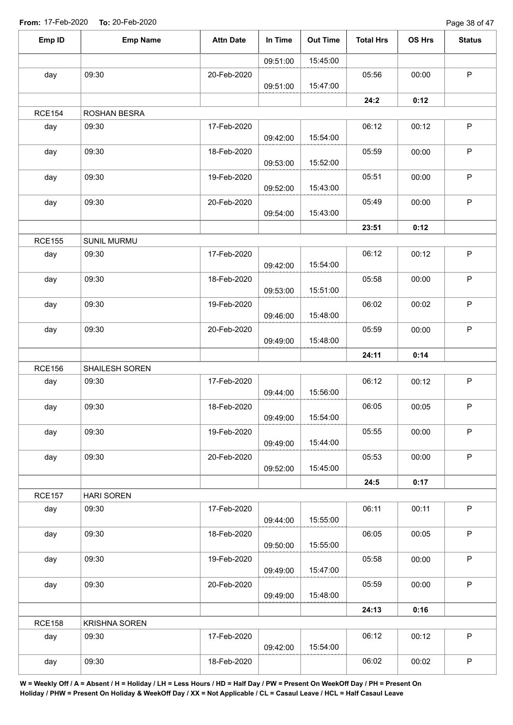Page 38 of 47

| Emp ID        | <b>Emp Name</b>      | <b>Attn Date</b> | In Time  | <b>Out Time</b> | <b>Total Hrs</b> | OS Hrs | <b>Status</b> |
|---------------|----------------------|------------------|----------|-----------------|------------------|--------|---------------|
|               |                      |                  | 09:51:00 | 15:45:00        |                  |        |               |
| day           | 09:30                | 20-Feb-2020      | 09:51:00 | 15:47:00        | 05:56            | 00:00  | $\mathsf P$   |
|               |                      |                  |          |                 | 24:2             | 0:12   |               |
| <b>RCE154</b> | ROSHAN BESRA         |                  |          |                 |                  |        |               |
| day           | 09:30                | 17-Feb-2020      |          |                 | 06:12            | 00:12  | $\mathsf P$   |
|               |                      |                  | 09:42:00 | 15:54:00        |                  |        |               |
| day           | 09:30                | 18-Feb-2020      | 09:53:00 | 15:52:00        | 05:59            | 00:00  | $\mathsf P$   |
| day           | 09:30                | 19-Feb-2020      | 09:52:00 | 15:43:00        | 05:51            | 00:00  | P             |
| day           | 09:30                | 20-Feb-2020      | 09:54:00 | 15:43:00        | 05:49            | 00:00  | $\mathsf P$   |
|               |                      |                  |          |                 | 23:51            | 0:12   |               |
| <b>RCE155</b> | SUNIL MURMU          |                  |          |                 |                  |        |               |
| day           | 09:30                | 17-Feb-2020      | 09:42:00 | 15:54:00        | 06:12            | 00:12  | $\sf P$       |
|               | 09:30                | 18-Feb-2020      |          |                 | 05:58            | 00:00  | $\mathsf P$   |
| day           |                      |                  | 09:53:00 | 15:51:00        |                  |        |               |
| day           | 09:30                | 19-Feb-2020      | 09:46:00 | 15:48:00        | 06:02            | 00:02  | $\mathsf P$   |
| day           | 09:30                | 20-Feb-2020      | 09:49:00 | 15:48:00        | 05:59            | 00:00  | $\sf P$       |
|               |                      |                  |          |                 | 24:11            | 0:14   |               |
| <b>RCE156</b> | SHAILESH SOREN       |                  |          |                 |                  |        |               |
| day           | 09:30                | 17-Feb-2020      | 09:44:00 | 15:56:00        | 06:12            | 00:12  | $\mathsf P$   |
| day           | 09:30                | 18-Feb-2020      | 09:49:00 | 15:54:00        | 06:05            | 00:05  | P             |
| day           | 09:30                | 19-Feb-2020      | 09:49:00 | 15:44:00        | 05:55            | 00:00  | $\mathsf P$   |
| day           | 09:30                | 20-Feb-2020      | 09:52:00 | 15:45:00        | 05:53            | 00:00  | $\mathsf P$   |
|               |                      |                  |          |                 | 24:5             | 0:17   |               |
| <b>RCE157</b> | <b>HARI SOREN</b>    |                  |          |                 |                  |        |               |
| day           | 09:30                | 17-Feb-2020      |          |                 | 06:11            | 00:11  | $\sf P$       |
|               |                      |                  | 09:44:00 | 15:55:00        |                  |        |               |
| day           | 09:30                | 18-Feb-2020      | 09:50:00 | 15:55:00        | 06:05            | 00:05  | $\sf P$       |
| day           | 09:30                | 19-Feb-2020      |          |                 | 05:58            | 00:00  | $\mathsf P$   |
|               |                      |                  | 09:49:00 | 15:47:00        |                  |        |               |
| day           | 09:30                | 20-Feb-2020      | 09:49:00 | 15:48:00        | 05:59            | 00:00  | $\sf P$       |
|               |                      |                  |          |                 | 24:13            | 0:16   |               |
| <b>RCE158</b> | <b>KRISHNA SOREN</b> |                  |          |                 |                  |        |               |
| day           | 09:30                | 17-Feb-2020      | 09:42:00 | 15:54:00        | 06:12            | 00:12  | $\mathsf P$   |
| day           | 09:30                | 18-Feb-2020      |          |                 | 06:02            | 00:02  | $\sf P$       |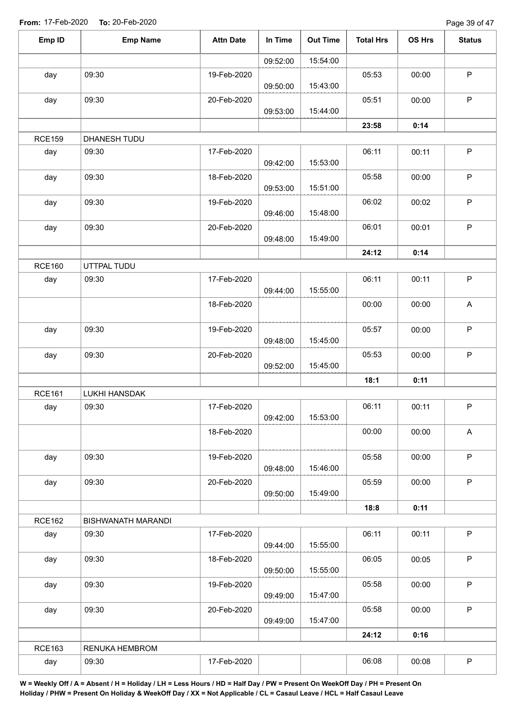| Emp ID        | <b>Emp Name</b>    | <b>Attn Date</b> | In Time  | <b>Out Time</b> | <b>Total Hrs</b> | OS Hrs | <b>Status</b> |
|---------------|--------------------|------------------|----------|-----------------|------------------|--------|---------------|
|               |                    |                  | 09:52:00 | 15:54:00        |                  |        |               |
| day           | 09:30              | 19-Feb-2020      | 09:50:00 | 15:43:00        | 05:53            | 00:00  | $\mathsf P$   |
| day           | 09:30              | 20-Feb-2020      |          | 15:44:00        | 05:51            | 00:00  | $\sf P$       |
|               |                    |                  | 09:53:00 |                 | 23:58            | 0:14   |               |
| <b>RCE159</b> | DHANESH TUDU       |                  |          |                 |                  |        |               |
| day           | 09:30              | 17-Feb-2020      |          |                 | 06:11            | 00:11  | $\sf P$       |
|               |                    |                  | 09:42:00 | 15:53:00        |                  |        |               |
| day           | 09:30              | 18-Feb-2020      | 09:53:00 | 15:51:00        | 05:58            | 00:00  | $\mathsf P$   |
| day           | 09:30              | 19-Feb-2020      |          |                 | 06:02            | 00:02  | $\sf P$       |
|               |                    |                  | 09:46:00 | 15:48:00        |                  |        |               |
| day           | 09:30              | 20-Feb-2020      | 09:48:00 | 15:49:00        | 06:01            | 00:01  | $\mathsf P$   |
|               |                    |                  |          |                 | 24:12            | 0:14   |               |
| <b>RCE160</b> | UTTPAL TUDU        |                  |          |                 |                  |        |               |
| day           | 09:30              | 17-Feb-2020      |          |                 | 06:11            | 00:11  | $\mathsf P$   |
|               |                    |                  | 09:44:00 | 15:55:00        |                  |        |               |
|               |                    | 18-Feb-2020      |          |                 | 00:00            | 00:00  | $\mathsf A$   |
| day           | 09:30              | 19-Feb-2020      |          |                 | 05:57            | 00:00  | $\mathsf P$   |
|               |                    |                  | 09:48:00 | 15:45:00        |                  |        |               |
| day           | 09:30              | 20-Feb-2020      |          |                 | 05:53            | 00:00  | $\mathsf P$   |
|               |                    |                  | 09:52:00 | 15:45:00        |                  |        |               |
|               |                    |                  |          |                 | 18:1             | 0:11   |               |
| <b>RCE161</b> | LUKHI HANSDAK      |                  |          |                 |                  |        |               |
| day           | 09:30              | 17-Feb-2020      | 09:42:00 | 15:53:00        | 06:11            | 00:11  | $\sf P$       |
|               |                    | 18-Feb-2020      |          |                 | 00:00            | 00:00  | A             |
|               | 09:30              |                  |          |                 | 05:58            |        | P             |
| day           |                    | 19-Feb-2020      | 09:48:00 | 15:46:00        |                  | 00:00  |               |
| day           | 09:30              | 20-Feb-2020      |          |                 | 05:59            | 00:00  | P             |
|               |                    |                  | 09:50:00 | 15:49:00        |                  |        |               |
|               |                    |                  |          |                 | 18:8             | 0:11   |               |
| <b>RCE162</b> | BISHWANATH MARANDI |                  |          |                 |                  |        |               |
| day           | 09:30              | 17-Feb-2020      |          |                 | 06:11            | 00:11  | P             |
|               |                    |                  | 09:44:00 | 15:55:00        |                  |        |               |
| day           | 09:30              | 18-Feb-2020      |          |                 | 06:05            | 00:05  | P             |
|               |                    |                  | 09:50:00 | 15:55:00        |                  |        |               |
| day           | 09:30              | 19-Feb-2020      |          |                 | 05:58            | 00:00  | P             |
|               |                    |                  | 09:49:00 | 15:47:00        |                  |        |               |
| day           | 09:30              | 20-Feb-2020      | 09:49:00 | 15:47:00        | 05:58            | 00:00  | $\mathsf P$   |
|               |                    |                  |          |                 | 24:12            | 0:16   |               |
| <b>RCE163</b> | RENUKA HEMBROM     |                  |          |                 |                  |        |               |
| day           | 09:30              | 17-Feb-2020      |          |                 | 06:08            | 00:08  | $\sf P$       |
|               |                    |                  |          |                 |                  |        |               |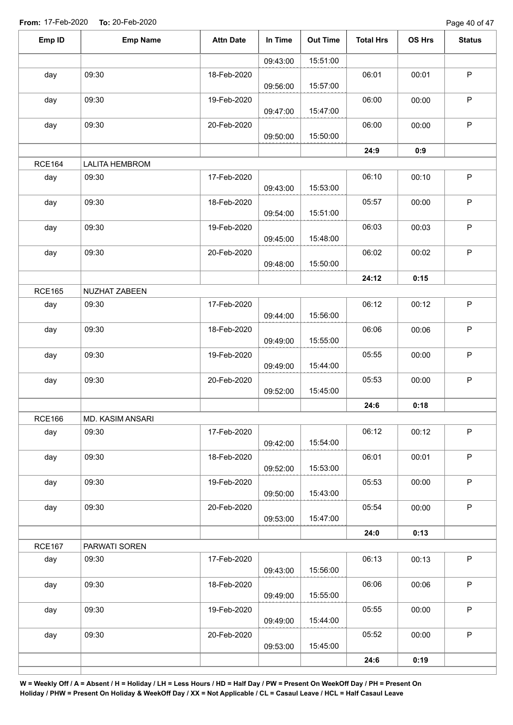Page 40 of 47

| Emp ID        | <b>Emp Name</b>       | <b>Attn Date</b> | In Time  | <b>Out Time</b> | <b>Total Hrs</b> | OS Hrs | <b>Status</b> |
|---------------|-----------------------|------------------|----------|-----------------|------------------|--------|---------------|
|               |                       |                  | 09:43:00 | 15:51:00        |                  |        |               |
| day           | 09:30                 | 18-Feb-2020      |          |                 | 06:01            | 00:01  | $\mathsf P$   |
|               |                       |                  | 09:56:00 | 15:57:00        |                  |        |               |
| day           | 09:30                 | 19-Feb-2020      |          |                 | 06:00            | 00:00  | $\mathsf P$   |
|               |                       |                  | 09:47:00 | 15:47:00        |                  |        |               |
| day           | 09:30                 | 20-Feb-2020      | 09:50:00 | 15:50:00        | 06:00            | 00:00  | $\sf P$       |
|               |                       |                  |          |                 | 24:9             | 0:9    |               |
| <b>RCE164</b> | <b>LALITA HEMBROM</b> |                  |          |                 |                  |        |               |
| day           | 09:30                 | 17-Feb-2020      |          |                 | 06:10            | 00:10  | $\sf P$       |
|               |                       |                  | 09:43:00 | 15:53:00        |                  |        |               |
| day           | 09:30                 | 18-Feb-2020      |          |                 | 05:57            | 00:00  | $\mathsf P$   |
|               |                       |                  | 09:54:00 | 15:51:00        |                  |        |               |
| day           | 09:30                 | 19-Feb-2020      |          |                 | 06:03            | 00:03  | $\mathsf P$   |
|               | 09:30                 | 20-Feb-2020      | 09:45:00 | 15:48:00        |                  |        | $\mathsf P$   |
| day           |                       |                  | 09:48:00 | 15:50:00        | 06:02            | 00:02  |               |
|               |                       |                  |          |                 | 24:12            | 0:15   |               |
| <b>RCE165</b> | NUZHAT ZABEEN         |                  |          |                 |                  |        |               |
| day           | 09:30                 | 17-Feb-2020      |          |                 | 06:12            | 00:12  | P             |
|               |                       |                  | 09:44:00 | 15:56:00        |                  |        |               |
| day           | 09:30                 | 18-Feb-2020      |          |                 | 06:06            | 00:06  | $\sf P$       |
|               |                       |                  | 09:49:00 | 15:55:00        |                  |        |               |
| day           | 09:30                 | 19-Feb-2020      | 09:49:00 | 15:44:00        | 05:55            | 00:00  | $\mathsf P$   |
| day           | 09:30                 | 20-Feb-2020      |          |                 | 05:53            | 00:00  | $\sf P$       |
|               |                       |                  | 09:52:00 | 15:45:00        |                  |        |               |
|               |                       |                  |          |                 | 24:6             | 0:18   |               |
| <b>RCE166</b> | MD. KASIM ANSARI      |                  |          |                 |                  |        |               |
| day           | 09:30                 | 17-Feb-2020      |          |                 | 06:12            | 00:12  | $\mathsf P$   |
|               |                       |                  | 09:42:00 | 15:54:00        |                  |        |               |
| day           | 09:30                 | 18-Feb-2020      |          |                 | 06:01            | 00:01  | $\mathsf P$   |
| day           | 09:30                 | 19-Feb-2020      | 09:52:00 | 15:53:00        | 05:53            | 00:00  | $\sf P$       |
|               |                       |                  | 09:50:00 | 15:43:00        |                  |        |               |
| day           | 09:30                 | 20-Feb-2020      |          |                 | 05:54            | 00:00  | $\mathsf P$   |
|               |                       |                  | 09:53:00 | 15:47:00        |                  |        |               |
|               |                       |                  |          |                 | 24:0             | 0:13   |               |
| <b>RCE167</b> | PARWATI SOREN         |                  |          |                 |                  |        |               |
| day           | 09:30                 | 17-Feb-2020      |          |                 | 06:13            | 00:13  | $\sf P$       |
|               |                       |                  | 09:43:00 | 15:56:00        |                  |        |               |
| day           | 09:30                 | 18-Feb-2020      | 09:49:00 | 15:55:00        | 06:06            | 00:06  | $\mathsf P$   |
| day           | 09:30                 | 19-Feb-2020      |          |                 | 05:55            | 00:00  | P             |
|               |                       |                  | 09:49:00 | 15:44:00        |                  |        |               |
| day           | 09:30                 | 20-Feb-2020      |          |                 | 05:52            | 00:00  | $\sf P$       |
|               |                       |                  | 09:53:00 | 15:45:00        |                  |        |               |
|               |                       |                  |          |                 | 24:6             | 0:19   |               |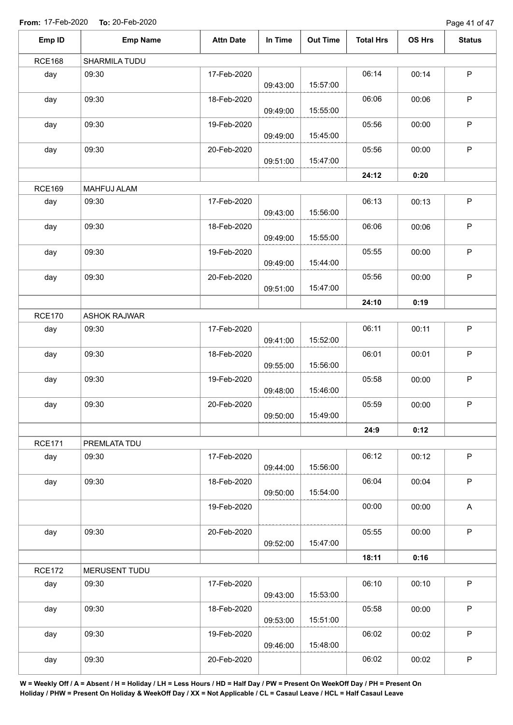Page 41 of 47

| Emp ID        | <b>Emp Name</b>     | <b>Attn Date</b> | In Time  | <b>Out Time</b> | <b>Total Hrs</b> | OS Hrs | <b>Status</b> |
|---------------|---------------------|------------------|----------|-----------------|------------------|--------|---------------|
| <b>RCE168</b> | SHARMILA TUDU       |                  |          |                 |                  |        |               |
| day           | 09:30               | 17-Feb-2020      | 09:43:00 | 15:57:00        | 06:14            | 00:14  | $\sf P$       |
| day           | 09:30               | 18-Feb-2020      | 09:49:00 | 15:55:00        | 06:06            | 00:06  | $\mathsf P$   |
| day           | 09:30               | 19-Feb-2020      | 09:49:00 | 15:45:00        | 05:56            | 00:00  | $\sf P$       |
| day           | 09:30               | 20-Feb-2020      | 09:51:00 | 15:47:00        | 05:56            | 00:00  | $\mathsf P$   |
|               |                     |                  |          |                 | 24:12            | 0:20   |               |
| <b>RCE169</b> | MAHFUJ ALAM         |                  |          |                 |                  |        |               |
| day           | 09:30               | 17-Feb-2020      | 09:43:00 | 15:56:00        | 06:13            | 00:13  | $\sf P$       |
| day           | 09:30               | 18-Feb-2020      | 09:49:00 | 15:55:00        | 06:06            | 00:06  | $\sf P$       |
| day           | 09:30               | 19-Feb-2020      | 09:49:00 | 15:44:00        | 05:55            | 00:00  | $\sf P$       |
| day           | 09:30               | 20-Feb-2020      | 09:51:00 | 15:47:00        | 05:56            | 00:00  | $\sf P$       |
|               |                     |                  |          |                 | 24:10            | 0:19   |               |
| <b>RCE170</b> | <b>ASHOK RAJWAR</b> |                  |          |                 |                  |        |               |
| day           | 09:30               | 17-Feb-2020      | 09:41:00 | 15:52:00        | 06:11            | 00:11  | $\mathsf P$   |
| day           | 09:30               | 18-Feb-2020      | 09:55:00 | 15:56:00        | 06:01            | 00:01  | $\mathsf P$   |
| day           | 09:30               | 19-Feb-2020      | 09:48:00 | 15:46:00        | 05:58            | 00:00  | $\sf P$       |
| day           | 09:30               | 20-Feb-2020      | 09:50:00 | 15:49:00        | 05:59            | 00:00  | P             |
|               |                     |                  |          |                 | 24:9             | 0:12   |               |
| <b>RCE171</b> | PREMLATA TDU        |                  |          |                 |                  |        |               |
| day           | 09:30               | 17-Feb-2020      | 09:44:00 | 15:56:00        | 06:12            | 00:12  | $\mathsf P$   |
| day           | 09:30               | 18-Feb-2020      | 09:50:00 | 15:54:00        | 06:04            | 00:04  | $\mathsf P$   |
|               |                     | 19-Feb-2020      |          |                 | 00:00            | 00:00  | $\mathsf A$   |
| day           | 09:30               | 20-Feb-2020      | 09:52:00 | 15:47:00        | 05:55            | 00:00  | $\sf P$       |
|               |                     |                  |          |                 | 18:11            | 0:16   |               |
| <b>RCE172</b> | MERUSENT TUDU       |                  |          |                 |                  |        |               |
| day           | 09:30               | 17-Feb-2020      | 09:43:00 | 15:53:00        | 06:10            | 00:10  | $\sf P$       |
| day           | 09:30               | 18-Feb-2020      | 09:53:00 | 15:51:00        | 05:58            | 00:00  | $\mathsf P$   |
| day           | 09:30               | 19-Feb-2020      | 09:46:00 | 15:48:00        | 06:02            | 00:02  | $\mathsf P$   |
| day           | 09:30               | 20-Feb-2020      |          |                 | 06:02            | 00:02  | $\mathsf P$   |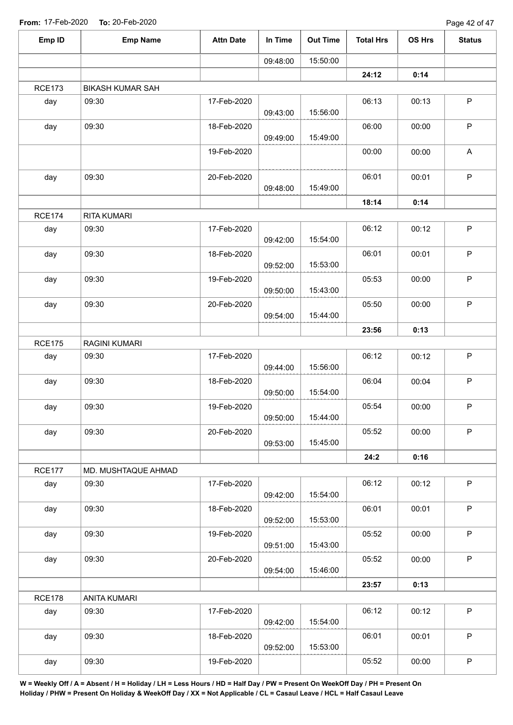Page 42 of 47

| Emp ID        | <b>Emp Name</b>         | <b>Attn Date</b> | In Time  | <b>Out Time</b> | <b>Total Hrs</b> | OS Hrs | <b>Status</b>             |
|---------------|-------------------------|------------------|----------|-----------------|------------------|--------|---------------------------|
|               |                         |                  | 09:48:00 | 15:50:00        |                  |        |                           |
|               |                         |                  |          |                 | 24:12            | 0:14   |                           |
| <b>RCE173</b> | <b>BIKASH KUMAR SAH</b> |                  |          |                 |                  |        |                           |
| day           | 09:30                   | 17-Feb-2020      | 09:43:00 | 15:56:00        | 06:13            | 00:13  | $\sf P$                   |
| day           | 09:30                   | 18-Feb-2020      | 09:49:00 | 15:49:00        | 06:00            | 00:00  | P                         |
|               |                         | 19-Feb-2020      |          |                 | 00:00            | 00:00  | $\boldsymbol{\mathsf{A}}$ |
| day           | 09:30                   | 20-Feb-2020      | 09:48:00 | 15:49:00        | 06:01            | 00:01  | P                         |
|               |                         |                  |          |                 | 18:14            | 0:14   |                           |
| <b>RCE174</b> | <b>RITA KUMARI</b>      |                  |          |                 |                  |        |                           |
| day           | 09:30                   | 17-Feb-2020      | 09:42:00 | 15:54:00        | 06:12            | 00:12  | P                         |
| day           | 09:30                   | 18-Feb-2020      | 09:52:00 | 15:53:00        | 06:01            | 00:01  | P                         |
| day           | 09:30                   | 19-Feb-2020      | 09:50:00 | 15:43:00        | 05:53            | 00:00  | P                         |
| day           | 09:30                   | 20-Feb-2020      | 09:54:00 | 15:44:00        | 05:50            | 00:00  | $\mathsf P$               |
|               |                         |                  |          |                 | 23:56            | 0:13   |                           |
| <b>RCE175</b> | RAGINI KUMARI           |                  |          |                 |                  |        |                           |
| day           | 09:30                   | 17-Feb-2020      | 09:44:00 | 15:56:00        | 06:12            | 00:12  | $\sf P$                   |
| day           | 09:30                   | 18-Feb-2020      | 09:50:00 | 15:54:00        | 06:04            | 00:04  | $\sf P$                   |
| day           | 09:30                   | 19-Feb-2020      | 09:50:00 | 15:44:00        | 05:54            | 00:00  | P                         |
| day           | 09:30                   | 20-Feb-2020      | 09:53:00 | 15:45:00        | 05:52            | 00:00  | $\mathsf P$               |
|               |                         |                  |          |                 | 24:2             | 0:16   |                           |
| <b>RCE177</b> | MD. MUSHTAQUE AHMAD     |                  |          |                 |                  |        |                           |
| day           | 09:30                   | 17-Feb-2020      | 09:42:00 | 15:54:00        | 06:12            | 00:12  | $\mathsf P$               |
| day           | 09:30                   | 18-Feb-2020      | 09:52:00 | 15:53:00        | 06:01            | 00:01  | P                         |
| day           | 09:30                   | 19-Feb-2020      | 09:51:00 | 15:43:00        | 05:52            | 00:00  | P                         |
| day           | 09:30                   | 20-Feb-2020      | 09:54:00 | 15:46:00        | 05:52            | 00:00  | P                         |
|               |                         |                  |          |                 | 23:57            | 0:13   |                           |
| <b>RCE178</b> | ANITA KUMARI            |                  |          |                 |                  |        |                           |
| day           | 09:30                   | 17-Feb-2020      | 09:42:00 | 15:54:00        | 06:12            | 00:12  | $\mathsf P$               |
| day           | 09:30                   | 18-Feb-2020      | 09:52:00 | 15:53:00        | 06:01            | 00:01  | P                         |
| day           | 09:30                   | 19-Feb-2020      |          |                 | 05:52            | 00:00  | $\sf P$                   |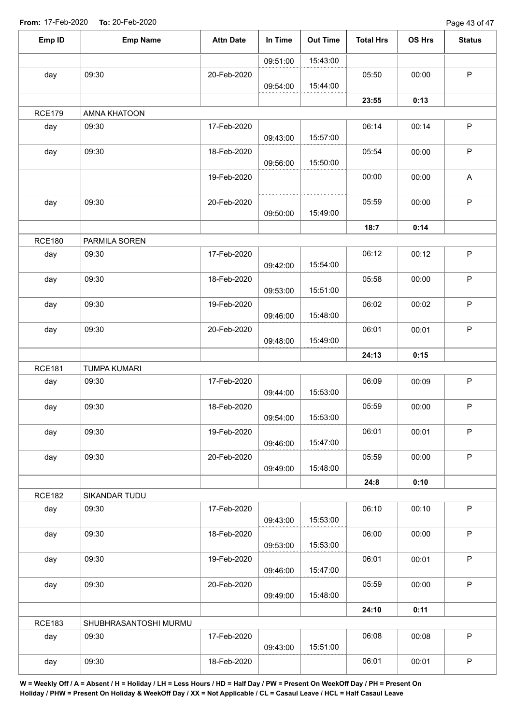Page 43 of 47

| Emp ID               | <b>Emp Name</b>              | <b>Attn Date</b> | In Time  | <b>Out Time</b> | <b>Total Hrs</b> | OS Hrs | <b>Status</b> |
|----------------------|------------------------------|------------------|----------|-----------------|------------------|--------|---------------|
|                      |                              |                  | 09:51:00 | 15:43:00        |                  |        |               |
| day                  | 09:30                        | 20-Feb-2020      |          |                 | 05:50            | 00:00  | $\mathsf P$   |
|                      |                              |                  | 09:54:00 | 15:44:00        |                  |        |               |
|                      |                              |                  |          |                 | 23:55            | 0:13   |               |
| <b>RCE179</b>        | AMNA KHATOON                 |                  |          |                 |                  |        |               |
| day                  | 09:30                        | 17-Feb-2020      | 09:43:00 | 15:57:00        | 06:14            | 00:14  | $\sf P$       |
| day                  | 09:30                        | 18-Feb-2020      | 09:56:00 | 15:50:00        | 05:54            | 00:00  | ${\sf P}$     |
|                      |                              | 19-Feb-2020      |          |                 | 00:00            | 00:00  | A             |
| day                  | 09:30                        | 20-Feb-2020      | 09:50:00 | 15:49:00        | 05:59            | 00:00  | $\mathsf P$   |
|                      |                              |                  |          |                 | 18:7             | 0:14   |               |
| <b>RCE180</b>        | PARMILA SOREN                |                  |          |                 |                  |        |               |
| day                  | 09:30                        | 17-Feb-2020      | 09:42:00 | 15:54:00        | 06:12            | 00:12  | ${\sf P}$     |
| day                  | 09:30                        | 18-Feb-2020      | 09:53:00 | 15:51:00        | 05:58            | 00:00  | $\sf P$       |
| day                  | 09:30                        | 19-Feb-2020      | 09:46:00 | 15:48:00        | 06:02            | 00:02  | $\sf P$       |
| day                  | 09:30                        | 20-Feb-2020      |          | 15:49:00        | 06:01            | 00:01  | $\sf P$       |
|                      |                              |                  | 09:48:00 |                 |                  |        |               |
|                      |                              |                  |          |                 | 24:13            | 0:15   |               |
| <b>RCE181</b><br>day | <b>TUMPA KUMARI</b><br>09:30 | 17-Feb-2020      |          |                 | 06:09            | 00:09  | $\sf P$       |
|                      |                              |                  | 09:44:00 | 15:53:00        |                  |        |               |
| day                  | 09:30                        | 18-Feb-2020      | 09:54:00 | 15:53:00        | 05:59            | 00:00  | $\mathsf P$   |
| day                  | 09:30                        | 19-Feb-2020      | 09:46:00 | 15:47:00        | 06:01            | 00:01  | P             |
| day                  | 09:30                        | 20-Feb-2020      | 09:49:00 | 15:48:00        | 05:59            | 00:00  | $\sf P$       |
|                      |                              |                  |          |                 | 24:8             | 0:10   |               |
| <b>RCE182</b>        | SIKANDAR TUDU                |                  |          |                 |                  |        |               |
| day                  | 09:30                        | 17-Feb-2020      | 09:43:00 | 15:53:00        | 06:10            | 00:10  | $\sf P$       |
| day                  | 09:30                        | 18-Feb-2020      |          |                 | 06:00            | 00:00  | $\mathsf P$   |
|                      |                              |                  | 09:53:00 | 15:53:00        |                  |        |               |
| day                  | 09:30                        | 19-Feb-2020      | 09:46:00 | 15:47:00        | 06:01            | 00:01  | $\mathsf P$   |
| day                  | 09:30                        | 20-Feb-2020      | 09:49:00 | 15:48:00        | 05:59            | 00:00  | $\mathsf P$   |
|                      |                              |                  |          |                 | 24:10            | 0:11   |               |
| <b>RCE183</b>        | SHUBHRASANTOSHI MURMU        |                  |          |                 |                  |        |               |
| day                  | 09:30                        | 17-Feb-2020      | 09:43:00 | 15:51:00        | 06:08            | 00:08  | $\mathsf P$   |
| day                  | 09:30                        | 18-Feb-2020      |          |                 | 06:01            | 00:01  | $\mathsf P$   |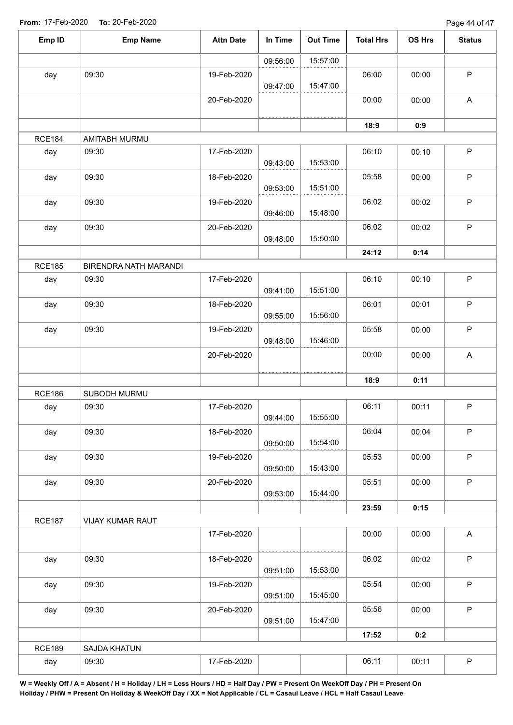| Emp ID        | <b>Emp Name</b>       | <b>Attn Date</b> | In Time  | <b>Out Time</b> | <b>Total Hrs</b> | OS Hrs | <b>Status</b>             |
|---------------|-----------------------|------------------|----------|-----------------|------------------|--------|---------------------------|
|               |                       |                  | 09:56:00 | 15:57:00        |                  |        |                           |
| day           | 09:30                 | 19-Feb-2020      |          |                 | 06:00            | 00:00  | P                         |
|               |                       |                  | 09:47:00 | 15:47:00        |                  |        |                           |
|               |                       | 20-Feb-2020      |          |                 | 00:00            | 00:00  | A                         |
|               |                       |                  |          |                 |                  |        |                           |
| <b>RCE184</b> | AMITABH MURMU         |                  |          |                 | 18:9             | 0:9    |                           |
| day           | 09:30                 | 17-Feb-2020      |          |                 | 06:10            | 00:10  | P                         |
|               |                       |                  | 09:43:00 | 15:53:00        |                  |        |                           |
| day           | 09:30                 | 18-Feb-2020      |          |                 | 05:58            | 00:00  | P                         |
|               |                       |                  | 09:53:00 | 15:51:00        |                  |        |                           |
| day           | 09:30                 | 19-Feb-2020      |          |                 | 06:02            | 00:02  | P                         |
|               |                       |                  | 09:46:00 | 15:48:00        |                  |        |                           |
| day           | 09:30                 | 20-Feb-2020      | 09:48:00 | 15:50:00        | 06:02            | 00:02  | P                         |
|               |                       |                  |          |                 | 24:12            | 0:14   |                           |
| <b>RCE185</b> | BIRENDRA NATH MARANDI |                  |          |                 |                  |        |                           |
| day           | 09:30                 | 17-Feb-2020      |          |                 | 06:10            | 00:10  | P                         |
|               |                       |                  | 09:41:00 | 15:51:00        |                  |        |                           |
| day           | 09:30                 | 18-Feb-2020      |          |                 | 06:01            | 00:01  | P                         |
|               |                       |                  | 09:55:00 | 15:56:00        |                  |        |                           |
| day           | 09:30                 | 19-Feb-2020      |          | 15:46:00        | 05:58            | 00:00  | P                         |
|               |                       |                  | 09:48:00 |                 | 00:00            | 00:00  | $\boldsymbol{\mathsf{A}}$ |
|               |                       | 20-Feb-2020      |          |                 |                  |        |                           |
|               |                       |                  |          |                 | 18:9             | 0:11   |                           |
| <b>RCE186</b> | SUBODH MURMU          |                  |          |                 |                  |        |                           |
| day           | 09:30                 | 17-Feb-2020      |          |                 | 06:11            | 00:11  | P                         |
|               |                       |                  | 09:44:00 | 15:55:00        |                  |        |                           |
| day           | 09:30                 | 18-Feb-2020      |          |                 | 06:04            | 00:04  | P                         |
|               |                       |                  | 09:50:00 | 15:54:00        |                  |        |                           |
| day           | 09:30                 | 19-Feb-2020      | 09:50:00 | 15:43:00        | 05:53            | 00:00  | P                         |
| day           | 09:30                 | 20-Feb-2020      |          |                 | 05:51            | 00:00  | P                         |
|               |                       |                  | 09:53:00 | 15:44:00        |                  |        |                           |
|               |                       |                  |          |                 | 23:59            | 0:15   |                           |
| <b>RCE187</b> | VIJAY KUMAR RAUT      |                  |          |                 |                  |        |                           |
|               |                       | 17-Feb-2020      |          |                 | 00:00            | 00:00  | $\mathsf{A}$              |
|               |                       |                  |          |                 |                  |        |                           |
| day           | 09:30                 | 18-Feb-2020      | 09:51:00 | 15:53:00        | 06:02            | 00:02  | P                         |
| day           | 09:30                 | 19-Feb-2020      |          |                 | 05:54            | 00:00  | P                         |
|               |                       |                  | 09:51:00 | 15:45:00        |                  |        |                           |
| day           | 09:30                 | 20-Feb-2020      |          |                 | 05:56            | 00:00  | $\mathsf P$               |
|               |                       |                  | 09:51:00 | 15:47:00        |                  |        |                           |
|               |                       |                  |          |                 | 17:52            | 0:2    |                           |
| <b>RCE189</b> | SAJDA KHATUN          |                  |          |                 |                  |        |                           |
| day           | 09:30                 | 17-Feb-2020      |          |                 | 06:11            | 00:11  | P                         |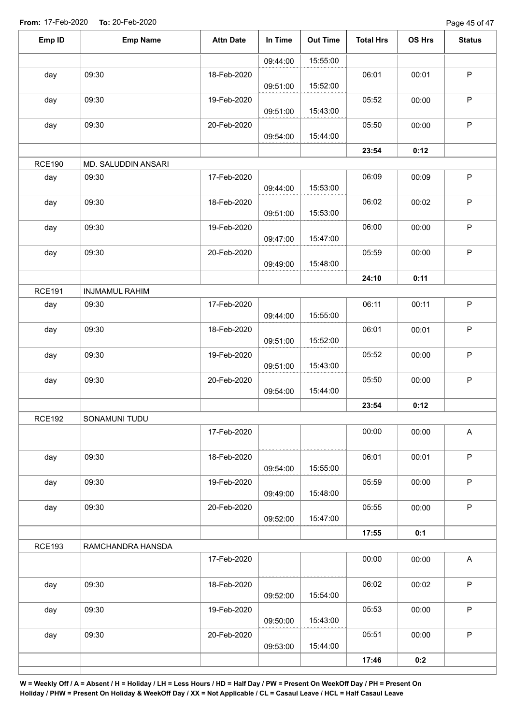Page 45 of 47

| Emp ID        | <b>Emp Name</b>              | <b>Attn Date</b> | In Time  | <b>Out Time</b> | <b>Total Hrs</b> | OS Hrs | <b>Status</b>             |
|---------------|------------------------------|------------------|----------|-----------------|------------------|--------|---------------------------|
|               |                              |                  | 09:44:00 | 15:55:00        |                  |        |                           |
| day           | 09:30                        | 18-Feb-2020      | 09:51:00 | 15:52:00        | 06:01            | 00:01  | $\mathsf P$               |
| day           | 09:30                        | 19-Feb-2020      |          |                 | 05:52            | 00:00  | $\mathsf P$               |
| day           | 09:30                        | 20-Feb-2020      | 09:51:00 | 15:43:00        | 05:50            | 00:00  | $\sf P$                   |
|               |                              |                  | 09:54:00 | 15:44:00        |                  |        |                           |
|               |                              |                  |          |                 | 23:54            | 0:12   |                           |
| <b>RCE190</b> | MD. SALUDDIN ANSARI<br>09:30 | 17-Feb-2020      |          |                 | 06:09            |        | $\mathsf P$               |
| day           |                              |                  | 09:44:00 | 15:53:00        |                  | 00:09  |                           |
| day           | 09:30                        | 18-Feb-2020      | 09:51:00 | 15:53:00        | 06:02            | 00:02  | $\sf P$                   |
| day           | 09:30                        | 19-Feb-2020      | 09:47:00 | 15:47:00        | 06:00            | 00:00  | $\sf P$                   |
| day           | 09:30                        | 20-Feb-2020      | 09:49:00 | 15:48:00        | 05:59            | 00:00  | P                         |
|               |                              |                  |          |                 | 24:10            | 0:11   |                           |
| <b>RCE191</b> | <b>INJMAMUL RAHIM</b>        |                  |          |                 |                  |        |                           |
| day           | 09:30                        | 17-Feb-2020      | 09:44:00 | 15:55:00        | 06:11            | 00:11  | $\mathsf P$               |
| day           | 09:30                        | 18-Feb-2020      | 09:51:00 | 15:52:00        | 06:01            | 00:01  | $\sf P$                   |
| day           | 09:30                        | 19-Feb-2020      | 09:51:00 | 15:43:00        | 05:52            | 00:00  | $\mathsf P$               |
| day           | 09:30                        | 20-Feb-2020      | 09:54:00 | 15:44:00        | 05:50            | 00:00  | $\mathsf P$               |
|               |                              |                  |          |                 | 23:54            | 0:12   |                           |
| <b>RCE192</b> | SONAMUNI TUDU                |                  |          |                 |                  |        |                           |
|               |                              | 17-Feb-2020      |          |                 | 00:00            | 00:00  | $\boldsymbol{\mathsf{A}}$ |
| day           | 09:30                        | 18-Feb-2020      | 09:54:00 | 15:55:00        | 06:01            | 00:01  | $\mathsf P$               |
| day           | 09:30                        | 19-Feb-2020      | 09:49:00 | 15:48:00        | 05:59            | 00:00  | $\sf P$                   |
| day           | 09:30                        | 20-Feb-2020      | 09:52:00 | 15:47:00        | 05:55            | 00:00  | $\mathsf P$               |
|               |                              |                  |          |                 | 17:55            | 0:1    |                           |
| <b>RCE193</b> | RAMCHANDRA HANSDA            |                  |          |                 |                  |        |                           |
|               |                              | 17-Feb-2020      |          |                 | 00:00            | 00:00  | $\mathsf{A}$              |
| day           | 09:30                        | 18-Feb-2020      | 09:52:00 | 15:54:00        | 06:02            | 00:02  | $\mathsf P$               |
| day           | 09:30                        | 19-Feb-2020      |          |                 | 05:53            | 00:00  | P                         |
|               |                              |                  | 09:50:00 | 15:43:00        |                  |        |                           |
| day           | 09:30                        | 20-Feb-2020      | 09:53:00 | 15:44:00        | 05:51            | 00:00  | $\mathsf P$               |
|               |                              |                  |          |                 | 17:46            | 0:2    |                           |
|               |                              |                  |          |                 |                  |        |                           |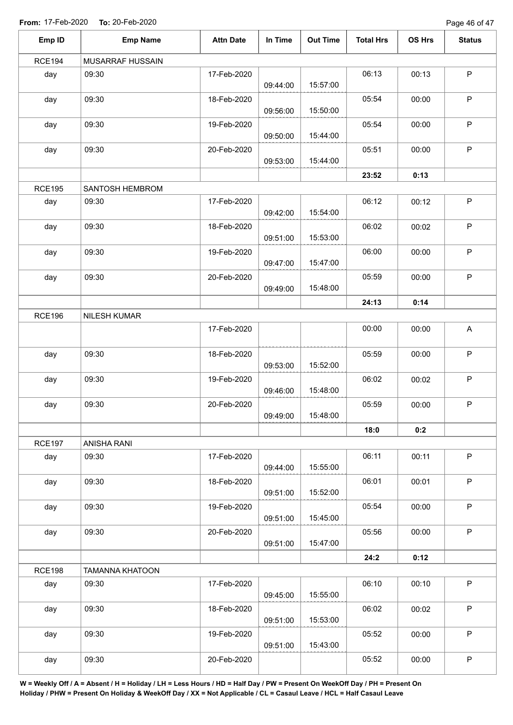Page 46 of 47

| Emp ID        | <b>Emp Name</b>        | <b>Attn Date</b> | In Time  | <b>Out Time</b> | <b>Total Hrs</b> | OS Hrs | <b>Status</b> |
|---------------|------------------------|------------------|----------|-----------------|------------------|--------|---------------|
| <b>RCE194</b> | MUSARRAF HUSSAIN       |                  |          |                 |                  |        |               |
| day           | 09:30                  | 17-Feb-2020      | 09:44:00 | 15:57:00        | 06:13            | 00:13  | $\mathsf P$   |
| day           | 09:30                  | 18-Feb-2020      | 09:56:00 | 15:50:00        | 05:54            | 00:00  | $\mathsf P$   |
| day           | 09:30                  | 19-Feb-2020      | 09:50:00 | 15:44:00        | 05:54            | 00:00  | $\mathsf P$   |
| day           | 09:30                  | 20-Feb-2020      | 09:53:00 | 15:44:00        | 05:51            | 00:00  | $\mathsf P$   |
|               |                        |                  |          |                 | 23:52            | 0:13   |               |
| <b>RCE195</b> | SANTOSH HEMBROM        |                  |          |                 |                  |        |               |
| day           | 09:30                  | 17-Feb-2020      | 09:42:00 | 15:54:00        | 06:12            | 00:12  | $\mathsf P$   |
| day           | 09:30                  | 18-Feb-2020      | 09:51:00 | 15:53:00        | 06:02            | 00:02  | $\sf P$       |
| day           | 09:30                  | 19-Feb-2020      | 09:47:00 | 15:47:00        | 06:00            | 00:00  | $\mathsf P$   |
| day           | 09:30                  | 20-Feb-2020      |          | 15:48:00        | 05:59            | 00:00  | $\sf P$       |
|               |                        |                  | 09:49:00 |                 |                  |        |               |
|               |                        |                  |          |                 | 24:13            | 0:14   |               |
| <b>RCE196</b> | NILESH KUMAR           | 17-Feb-2020      |          |                 | 00:00            | 00:00  | A             |
| day           | 09:30                  | 18-Feb-2020      | 09:53:00 | 15:52:00        | 05:59            | 00:00  | $\mathsf P$   |
| day           | 09:30                  | 19-Feb-2020      | 09:46:00 | 15:48:00        | 06:02            | 00:02  | $\sf P$       |
| day           | 09:30                  | 20-Feb-2020      | 09:49:00 | 15:48:00        | 05:59            | 00:00  | $\mathsf P$   |
|               |                        |                  |          |                 | 18:0             | 0:2    |               |
| <b>RCE197</b> | ANISHA RANI            |                  |          |                 |                  |        |               |
| day           | 09:30                  | 17-Feb-2020      | 09:44:00 | 15:55:00        | 06:11            | 00:11  | $\sf P$       |
| day           | 09:30                  | 18-Feb-2020      | 09:51:00 | 15:52:00        | 06:01            | 00:01  | $\mathsf P$   |
| day           | 09:30                  | 19-Feb-2020      | 09:51:00 | 15:45:00        | 05:54            | 00:00  | $\mathsf P$   |
| day           | 09:30                  | 20-Feb-2020      | 09:51:00 | 15:47:00        | 05:56            | 00:00  | $\mathsf P$   |
|               |                        |                  |          |                 | 24:2             | 0:12   |               |
| <b>RCE198</b> | <b>TAMANNA KHATOON</b> |                  |          |                 |                  |        |               |
| day           | 09:30                  | 17-Feb-2020      | 09:45:00 | 15:55:00        | 06:10            | 00:10  | $\sf P$       |
| day           | 09:30                  | 18-Feb-2020      | 09:51:00 | 15:53:00        | 06:02            | 00:02  | $\sf P$       |
| day           | 09:30                  | 19-Feb-2020      | 09:51:00 | 15:43:00        | 05:52            | 00:00  | $\mathsf P$   |
| day           | 09:30                  | 20-Feb-2020      |          |                 | 05:52            | 00:00  | $\mathsf P$   |